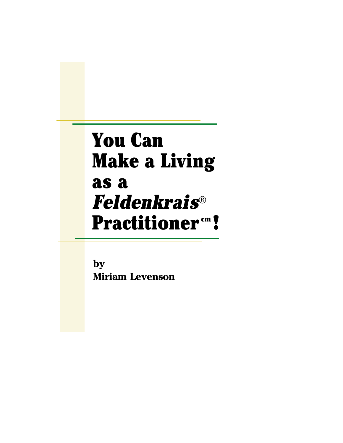# You Can Make a Living as a Feldenkrais® Practitioner<sup>cm</sup>!

by Miriam Levenson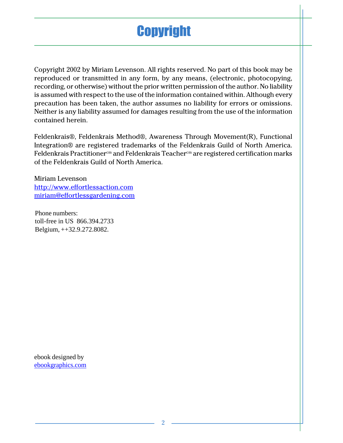### **Copyright**

<span id="page-1-0"></span>Copyright 2002 by Miriam Levenson. All rights reserved. No part of this book may be reproduced or transmitted in any form, by any means, (electronic, photocopying, recording, or otherwise) without the prior written permission of the author. No liability is assumed with respect to the use of the information contained within. Although every precaution has been taken, the author assumes no liability for errors or omissions. Neither is any liability assumed for damages resulting from the use of the information contained herein.

Feldenkrais®, Feldenkrais Method®, Awareness Through Movement(R), Functional Integration® are registered trademarks of the Feldenkrais Guild of North America. Feldenkrais Practitioner<sup>cm</sup> and Feldenkrais Teacher<sup>cm</sup> are registered certification marks of the Feldenkrais Guild of North America.

Miriam Levenson <http://www.effortlessaction.com> [miriam@effortlessgardening.com](mailto:miriam@effortlessgardening.com)

Phone numbers: toll-free in US 866.394.2733 Belgium, ++32.9.272.8082.

ebook designed by [ebookgraphics.com](http://www.ebookgraphics.com/infodesign/infodesign.html)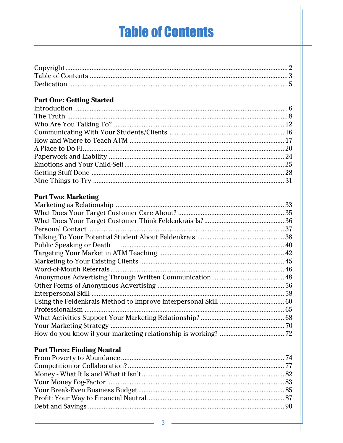### **Table of Contents**

#### **Part One: Getting Started**

#### **Part Two: Marketing**

### **Part Three: Finding Neutral**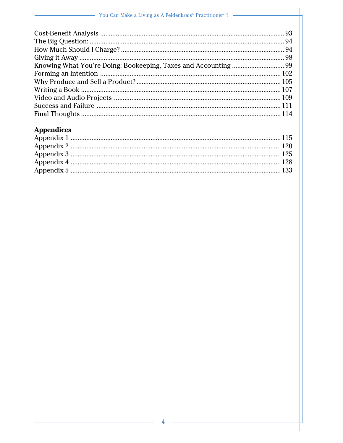#### **Appendices**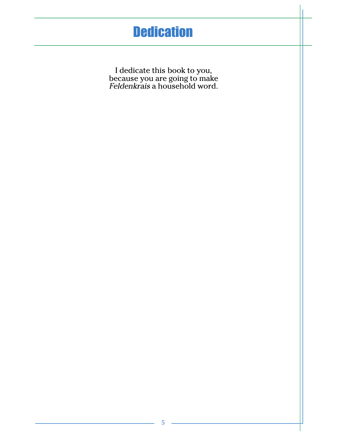### **Dedication**

<span id="page-4-0"></span>I dedicate this book to you, because you are going to make Feldenkrais a household word.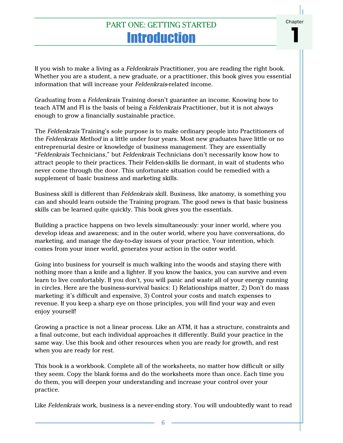### PART ONE: GETTING STARTED Introduction **1**

<span id="page-5-0"></span>If you wish to make a living as a Feldenkrais Practitioner, you are reading the right book. Whether you are a student, a new graduate, or a practitioner, this book gives you essential information that will increase your Feldenkrais-related income.

Graduating from a Feldenkrais Training doesn't guarantee an income. Knowing how to teach ATM and FI is the basis of being a Feldenkrais Practitioner, but it is not always enough to grow a financially sustainable practice.

The Feldenkrais Training's sole purpose is to make ordinary people into Practitioners of the Feldenkrais Method in a little under four years. Most new graduates have little or no entreprenurial desire or knowledge of business management. They are essentially "Feldenkrais Technicians," but Feldenkrais Technicians don't necessarily know how to attract people to their practices. Their Felden-skills lie dormant, in wait of students who never come through the door. This unfortunate situation could be remedied with a supplement of basic business and marketing skills.

Business skill is different than Feldenkrais skill. Business, like anatomy, is something you can and should learn outside the Training program. The good news is that basic business skills can be learned quite quickly. This book gives you the essentials.

Building a practice happens on two levels simultaneously: your inner world, where you develop ideas and awareness; and in the outer world, where you have conversations, do marketing, and manage the day-to-day issues of your practice. Your intention, which comes from your inner world, generates your action in the outer world.

Going into business for yourself is much walking into the woods and staying there with nothing more than a knife and a lighter. If you know the basics, you can survive and even learn to live comfortably. If you don't, you will panic and waste all of your energy running in circles. Here are the business-survival basics: 1) Relationships matter, 2) Don't do mass marketing: it's difficult and expensive, 3) Control your costs and match expenses to revenue. If you keep a sharp eye on those principles, you will find your way and even enjoy yourself!

Growing a practice is not a linear process. Like an ATM, it has a structure, constraints and a final outcome, but each individual approaches it differently. Build your practice in the same way. Use this book and other resources when you are ready for growth, and rest when you are ready for rest.

This book is a workbook. Complete all of the worksheets, no matter how difficult or silly they seem. Copy the blank forms and do the worksheets more than once. Each time you do them, you will deepen your understanding and increase your control over your practice.

Like Feldenkrais work, business is a never-ending story. You will undoubtedly want to read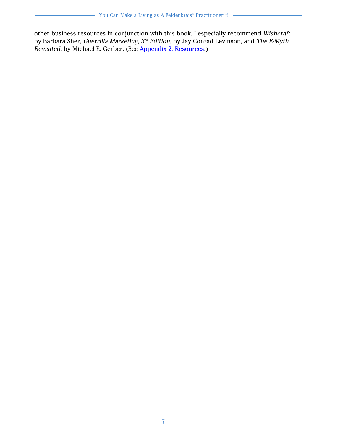other business resources in conjunction with this book. I especially recommend Wishcraft by Barbara Sher, Guerrilla Marketing, 3rd Edition, by Jay Conrad Levinson, and The E-Myth Revisited, by Michael E. Gerber. (See [Appendix 2, Resources.](#page-119-0))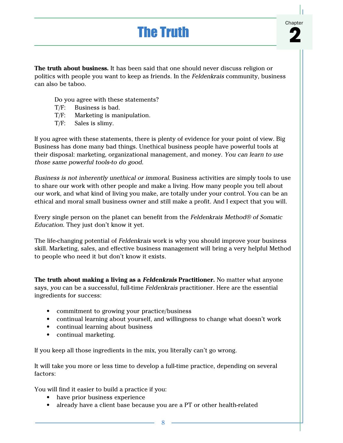## The Truth

<span id="page-7-0"></span>The truth about business. It has been said that one should never discuss religion or politics with people you want to keep as friends. In the Feldenkrais community, business can also be taboo.

- Do you agree with these statements?
- T/F: Business is bad.
- T/F: Marketing is manipulation.
- T/F: Sales is slimy.

If you agree with these statements, there is plenty of evidence for your point of view. Big Business has done many bad things. Unethical business people have powerful tools at their disposal: marketing, organizational management, and money. You can learn to use those same powerful tools-to do good.

Business is not inherently unethical or immoral. Business activities are simply tools to use to share our work with other people and make a living. How many people you tell about our work, and what kind of living you make, are totally under your control. You can be an ethical and moral small business owner and still make a profit. And I expect that you will.

Every single person on the planet can benefit from the Feldenkrais Method® of Somatic Education. They just don't know it yet.

The life-changing potential of Feldenkrais work is why you should improve your business skill. Marketing, sales, and effective business management will bring a very helpful Method to people who need it but don't know it exists.

The truth about making a living as a Feldenkrais Practitioner. No matter what anyone says, you can be a successful, full-time Feldenkrais practitioner. Here are the essential ingredients for success:

- commitment to growing your practice/business
- continual learning about yourself, and willingness to change what doesn't work
- continual learning about business
- continual marketing.

If you keep all those ingredients in the mix, you literally can't go wrong.

It will take you more or less time to develop a full-time practice, depending on several factors:

You will find it easier to build a practice if you:

- have prior business experience
- already have a client base because you are a PT or other health-related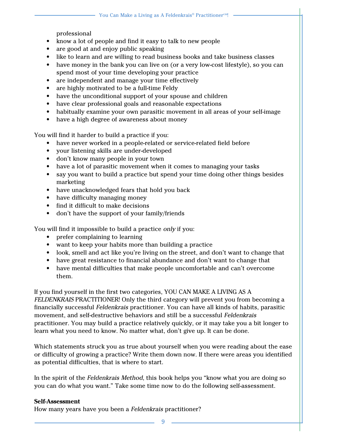professional

- know a lot of people and find it easy to talk to new people
- are good at and enjoy public speaking
- like to learn and are willing to read business books and take business classes
- have money in the bank you can live on (or a very low-cost lifestyle), so you can spend most of your time developing your practice
- are independent and manage your time effectively
- are highly motivated to be a full-time Feldy
- have the unconditional support of your spouse and children
- have clear professional goals and reasonable expectations
- habitually examine your own parasitic movement in all areas of your self-image
- have a high degree of awareness about money

You will find it harder to build a practice if you:

- have never worked in a people-related or service-related field before
- your listening skills are under-developed
- don't know many people in your town
- have a lot of parasitic movement when it comes to managing your tasks
- say you want to build a practice but spend your time doing other things besides marketing
- have unacknowledged fears that hold you back
- have difficulty managing money
- find it difficult to make decisions
- don't have the support of your family/friends

You will find it impossible to build a practice only if you:

- prefer complaining to learning
- want to keep your habits more than building a practice
- look, smell and act like you're living on the street, and don't want to change that
- have great resistance to financial abundance and don't want to change that
- have mental difficulties that make people uncomfortable and can't overcome them.

If you find yourself in the first two categories, YOU CAN MAKE A LIVING AS A FELDENKRAIS PRACTITIONER! Only the third category will prevent you from becoming a financially successful Feldenkrais practitioner. You can have all kinds of habits, parasitic movement, and self-destructive behaviors and still be a successful Feldenkrais practitioner. You may build a practice relatively quickly, or it may take you a bit longer to learn what you need to know. No matter what, don't give up. It can be done.

Which statements struck you as true about yourself when you were reading about the ease or difficulty of growing a practice? Write them down now. If there were areas you identified as potential difficulties, that is where to start.

In the spirit of the Feldenkrais Method, this book helps you "know what you are doing so you can do what you want." Take some time now to do the following self-assessment.

#### Self-Assessment

How many years have you been a Feldenkrais practitioner?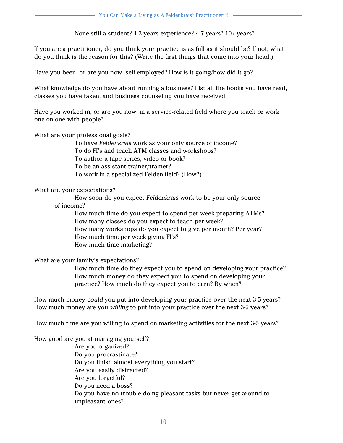None-still a student? 1-3 years experience? 4-7 years? 10+ years?

If you are a practitioner, do you think your practice is as full as it should be? If not, what do you think is the reason for this? (Write the first things that come into your head.)

Have you been, or are you now, self-employed? How is it going/how did it go?

What knowledge do you have about running a business? List all the books you have read, classes you have taken, and business counseling you have received.

Have you worked in, or are you now, in a service-related field where you teach or work one-on-one with people?

What are your professional goals?

To have Feldenkrais work as your only source of income? To do FI's and teach ATM classes and workshops? To author a tape series, video or book? To be an assistant trainer/trainer? To work in a specialized Felden-field? (How?)

What are your expectations?

How soon do you expect Feldenkrais work to be your only source of income?

How much time do you expect to spend per week preparing ATMs? How many classes do you expect to teach per week? How many workshops do you expect to give per month? Per year? How much time per week giving FI's? How much time marketing?

What are your family's expectations?

How much time do they expect you to spend on developing your practice? How much money do they expect you to spend on developing your practice? How much do they expect you to earn? By when?

How much money could you put into developing your practice over the next 3-5 years? How much money are you willing to put into your practice over the next 3-5 years?

How much time are you willing to spend on marketing activities for the next 3-5 years?

How good are you at managing yourself?

Are you organized? Do you procrastinate? Do you finish almost everything you start? Are you easily distracted? Are you forgetful? Do you need a boss? Do you have no trouble doing pleasant tasks but never get around to unpleasant ones?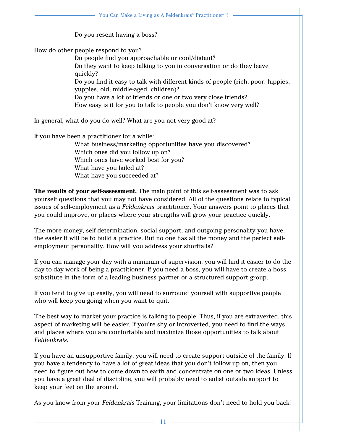Do you resent having a boss?

How do other people respond to you?

Do people find you approachable or cool/distant? Do they want to keep talking to you in conversation or do they leave quickly? Do you find it easy to talk with different kinds of people (rich, poor, hippies, yuppies, old, middle-aged, children)? Do you have a lot of friends or one or two very close friends? How easy is it for you to talk to people you don't know very well?

In general, what do you do well? What are you not very good at?

If you have been a practitioner for a while:

What business/marketing opportunities have you discovered? Which ones did you follow up on? Which ones have worked best for you? What have you failed at? What have you succeeded at?

The results of your self-assessment. The main point of this self-assessment was to ask yourself questions that you may not have considered. All of the questions relate to typical issues of self-employment as a Feldenkrais practitioner. Your answers point to places that you could improve, or places where your strengths will grow your practice quickly.

The more money, self-determination, social support, and outgoing personality you have, the easier it will be to build a practice. But no one has all the money and the perfect selfemployment personality. How will you address your shortfalls?

If you can manage your day with a minimum of supervision, you will find it easier to do the day-to-day work of being a practitioner. If you need a boss, you will have to create a bosssubstitute in the form of a leading business partner or a structured support group.

If you tend to give up easily, you will need to surround yourself with supportive people who will keep you going when you want to quit.

The best way to market your practice is talking to people. Thus, if you are extraverted, this aspect of marketing will be easier. If you're shy or introverted, you need to find the ways and places where you are comfortable and maximize those opportunities to talk about Feldenkrais.

If you have an unsupportive family, you will need to create support outside of the family. If you have a tendency to have a lot of great ideas that you don't follow up on, then you need to figure out how to come down to earth and concentrate on one or two ideas. Unless you have a great deal of discipline, you will probably need to enlist outside support to keep your feet on the ground.

As you know from your Feldenkrais Training, your limitations don't need to hold you back!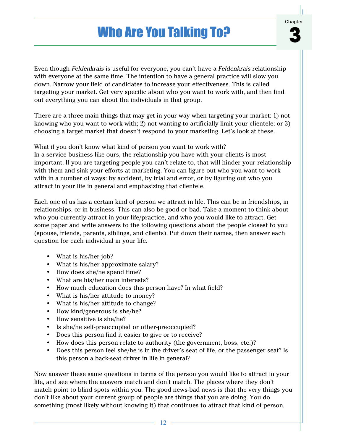## Who Are You Talking To? **3**



<span id="page-11-0"></span>Even though Feldenkrais is useful for everyone, you can't have a Feldenkrais relationship with everyone at the same time. The intention to have a general practice will slow you down. Narrow your field of candidates to increase your effectiveness. This is called targeting your market. Get very specific about who you want to work with, and then find out everything you can about the individuals in that group.

There are a three main things that may get in your way when targeting your market: 1) not knowing who you want to work with; 2) not wanting to artificially limit your clientele; or 3) choosing a target market that doesn't respond to your marketing. Let's look at these.

What if you don't know what kind of person you want to work with?

In a service business like ours, the relationship you have with your clients is most important. If you are targeting people you can't relate to, that will hinder your relationship with them and sink your efforts at marketing. You can figure out who you want to work with in a number of ways: by accident, by trial and error, or by figuring out who you attract in your life in general and emphasizing that clientele.

Each one of us has a certain kind of person we attract in life. This can be in friendships, in relationships, or in business. This can also be good or bad. Take a moment to think about who you currently attract in your life/practice, and who you would like to attract. Get some paper and write answers to the following questions about the people closest to you (spouse, friends, parents, siblings, and clients). Put down their names, then answer each question for each individual in your life.

- What is his/her job?
- What is his/her approximate salary?
- How does she/he spend time?
- What are his/her main interests?
- How much education does this person have? In what field?
- What is his/her attitude to money?
- What is his/her attitude to change?
- How kind/generous is she/he?
- How sensitive is she/he?
- Is she/he self-preoccupied or other-preoccupied?
- Does this person find it easier to give or to receive?
- How does this person relate to authority (the government, boss, etc.)?
- Does this person feel she/he is in the driver's seat of life, or the passenger seat? Is this person a back-seat driver in life in general?

Now answer these same questions in terms of the person you would like to attract in your life, and see where the answers match and don't match. The places where they don't match point to blind spots within you. The good news-bad news is that the very things you don't like about your current group of people are things that you are doing. You do something (most likely without knowing it) that continues to attract that kind of person,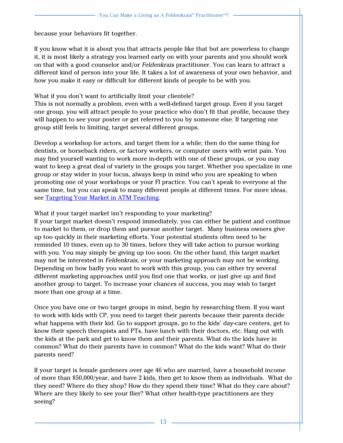because your behaviors fit together.

If you know what it is about you that attracts people like that but are powerless to change it, it is most likely a strategy you learned early on with your parents and you should work on that with a good counselor and/or Feldenkrais practitioner. You can learn to attract a different kind of person into your life. It takes a lot of awareness of your own behavior, and how you make it easy or difficult for different kinds of people to be with you.

What if you don't want to artificially limit your clientele?

This is not normally a problem, even with a well-defined target group. Even if you target one group, you will attract people to your practice who don't fit that profile, because they will happen to see your poster or get referred to you by someone else. If targeting one group still feels to limiting, target several different groups.

Develop a workshop for actors, and target them for a while; then do the same thing for dentists, or horseback riders, or factory workers, or computer users with wrist pain. You may find yourself wanting to work more in-depth with one of these groups, or you may want to keep a great deal of variety in the groups you target. Whether you specialize in one group or stay wider in your focus, always keep in mind who you are speaking to when promoting one of your workshops or your FI practice. You can't speak to everyone at the same time, but you can speak to many different people at different times. For more ideas, see [Targeting Your Market in ATM Teaching.](#page-41-0)

What if your target market isn't responding to your marketing?

If your target market doesn't respond immediately, you can either be patient and continue to market to them, or drop them and pursue another target. Many business owners give up too quickly in their marketing efforts. Your potential students often need to be reminded 10 times, even up to 30 times, before they will take action to pursue working with you. You may simply be giving up too soon. On the other hand, this target market may not be interested in Feldenkrais, or your marketing approach may not be working. Depending on how badly you want to work with this group, you can either try several different marketing approaches until you find one that works, or just give up and find another group to target. To increase your chances of success, you may wish to target more than one group at a time.

Once you have one or two target groups in mind, begin by researching them. If you want to work with kids with CP, you need to target their parents because their parents decide what happens with their kid. Go to support groups, go to the kids' day-care centers, get to know their speech therapists and PTs, have lunch with their doctors, etc. Hang out with the kids at the park and get to know them and their parents. What do the kids have in common? What do their parents have in common? What do the kids want? What do their parents need?

If your target is female gardeners over age 46 who are married, have a household income of more than \$50,000/year, and have 2 kids, then get to know them as individuals. What do they need? Where do they shop? How do they spend their time? What do they care about? Where are they likely to see your flier? What other health-type practitioners are they seeing?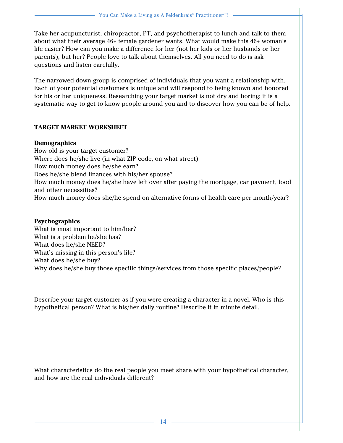<span id="page-13-0"></span>Take her acupuncturist, chiropractor, PT, and psychotherapist to lunch and talk to them about what their average 46+ female gardener wants. What would make this 46+ woman's life easier? How can you make a difference for her (not her kids or her husbands or her parents), but her? People love to talk about themselves. All you need to do is ask questions and listen carefully.

The narrowed-down group is comprised of individuals that you want a relationship with. Each of your potential customers is unique and will respond to being known and honored for his or her uniqueness. Researching your target market is not dry and boring; it is a systematic way to get to know people around you and to discover how you can be of help.

#### TARGET MARKET WORKSHEET

#### **Demographics**

How old is your target customer? Where does he/she live (in what ZIP code, on what street) How much money does he/she earn? Does he/she blend finances with his/her spouse? How much money does he/she have left over after paying the mortgage, car payment, food and other necessities? How much money does she/he spend on alternative forms of health care per month/year?

#### **Psychographics**

What is most important to him/her? What is a problem he/she has? What does he/she NEED? What's missing in this person's life? What does he/she buy? Why does he/she buy those specific things/services from those specific places/people?

Describe your target customer as if you were creating a character in a novel. Who is this hypothetical person? What is his/her daily routine? Describe it in minute detail.

What characteristics do the real people you meet share with your hypothetical character, and how are the real individuals different?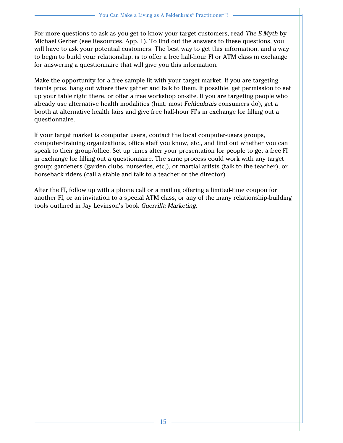For more questions to ask as you get to know your target customers, read The E-Myth by Michael Gerber (see Resources, App. 1). To find out the answers to these questions, you will have to ask your potential customers. The best way to get this information, and a way to begin to build your relationship, is to offer a free half-hour FI or ATM class in exchange for answering a questionnaire that will give you this information.

Make the opportunity for a free sample fit with your target market. If you are targeting tennis pros, hang out where they gather and talk to them. If possible, get permission to set up your table right there, or offer a free workshop on-site. If you are targeting people who already use alternative health modalities (hint: most Feldenkrais consumers do), get a booth at alternative health fairs and give free half-hour FI's in exchange for filling out a questionnaire.

If your target market is computer users, contact the local computer-users groups, computer-training organizations, office staff you know, etc., and find out whether you can speak to their group/office. Set up times after your presentation for people to get a free FI in exchange for filling out a questionnaire. The same process could work with any target group: gardeners (garden clubs, nurseries, etc.), or martial artists (talk to the teacher), or horseback riders (call a stable and talk to a teacher or the director).

After the FI, follow up with a phone call or a mailing offering a limited-time coupon for another FI, or an invitation to a special ATM class, or any of the many relationship-building tools outlined in Jay Levinson's book Guerrilla Marketing.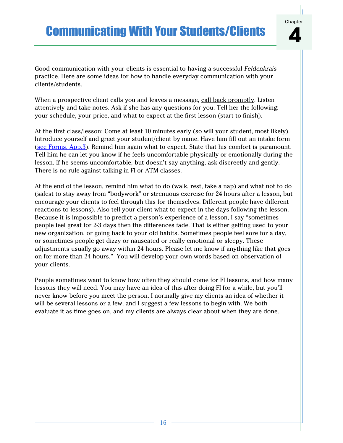### <span id="page-15-0"></span>Communicating With Your Students/Clients **4**

Good communication with your clients is essential to having a successful Feldenkrais practice. Here are some ideas for how to handle everyday communication with your clients/students.

When a prospective client calls you and leaves a message, call back promptly. Listen attentively and take notes. Ask if she has any questions for you. Tell her the following: your schedule, your price, and what to expect at the first lesson (start to finish).

At the first class/lesson: Come at least 10 minutes early (so will your student, most likely). Introduce yourself and greet your student/client by name. Have him fill out an intake form [\(see Forms, App.3\)](#page-124-0). Remind him again what to expect. State that his comfort is paramount. Tell him he can let you know if he feels uncomfortable physically or emotionally during the lesson. If he seems uncomfortable, but doesn't say anything, ask discreetly and gently. There is no rule against talking in FI or ATM classes.

At the end of the lesson, remind him what to do (walk, rest, take a nap) and what not to do (safest to stay away from "bodywork" or strenuous exercise for 24 hours after a lesson, but encourage your clients to feel through this for themselves. Different people have different reactions to lessons). Also tell your client what to expect in the days following the lesson. Because it is impossible to predict a person's experience of a lesson, I say "sometimes people feel great for 2-3 days then the differences fade. That is either getting used to your new organization, or going back to your old habits. Sometimes people feel sore for a day, or sometimes people get dizzy or nauseated or really emotional or sleepy. These adjustments usually go away within 24 hours. Please let me know if anything like that goes on for more than 24 hours." You will develop your own words based on observation of your clients.

People sometimes want to know how often they should come for FI lessons, and how many lessons they will need. You may have an idea of this after doing FI for a while, but you'll never know before you meet the person. I normally give my clients an idea of whether it will be several lessons or a few, and I suggest a few lessons to begin with. We both evaluate it as time goes on, and my clients are always clear about when they are done.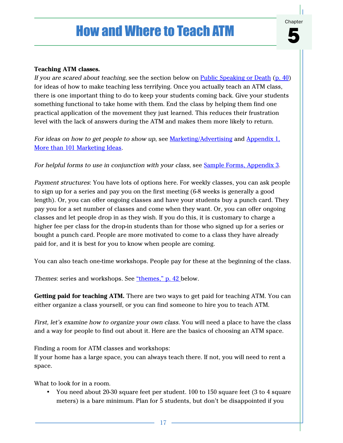### **5** How and Where to Teach ATM

#### <span id="page-16-0"></span>Teaching ATM classes.

If you are scared about teaching, see the section below on [Public Speaking or Death](#page-39-0) ([p. 40\)](#page-39-0) for ideas of how to make teaching less terrifying. Once you actually teach an ATM class, there is one important thing to do to keep your students coming back. Give your students something functional to take home with them. End the class by helping them find one practical application of the movement they just learned. This reduces their frustration level with the lack of answers during the ATM and makes them more likely to return.

For ideas on how to get people to show up, see [Marketing/Advertising](#page-32-0) and [Appendix 1,](#page-114-0) [More than 101 Marketing Ideas.](#page-114-0)

For helpful forms to use in conjunction with your class, see [Sample Forms, Appendix 3.](#page-124-0)

Payment structures: You have lots of options here. For weekly classes, you can ask people to sign up for a series and pay you on the first meeting (6-8 weeks is generally a good length). Or, you can offer ongoing classes and have your students buy a punch card. They pay you for a set number of classes and come when they want. Or, you can offer ongoing classes and let people drop in as they wish. If you do this, it is customary to charge a higher fee per class for the drop-in students than for those who signed up for a series or bought a punch card. People are more motivated to come to a class they have already paid for, and it is best for you to know when people are coming.

You can also teach one-time workshops. People pay for these at the beginning of the class.

Themes: series and workshops. Se[e "themes," p. 42 b](#page-41-0)elow.

Getting paid for teaching ATM. There are two ways to get paid for teaching ATM. You can either organize a class yourself, or you can find someone to hire you to teach ATM.

First, let's examine how to organize your own class. You will need a place to have the class and a way for people to find out about it. Here are the basics of choosing an ATM space.

Finding a room for ATM classes and workshops:

If your home has a large space, you can always teach there. If not, you will need to rent a space.

What to look for in a room.

• You need about 20-30 square feet per student. 100 to 150 square feet (3 to 4 square meters) is a bare minimum. Plan for 5 students, but don't be disappointed if you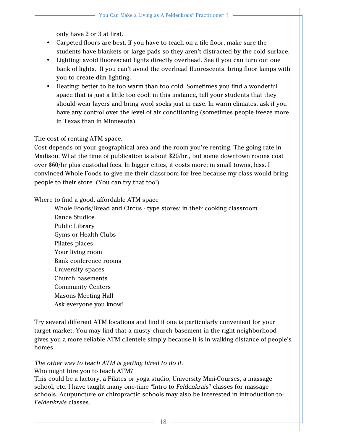only have 2 or 3 at first.

- Carpeted floors are best. If you have to teach on a tile floor, make sure the students have blankets or large pads so they aren't distracted by the cold surface.
- Lighting: avoid fluorescent lights directly overhead. See if you can turn out one bank of lights. If you can't avoid the overhead fluorescents, bring floor lamps with you to create dim lighting.
- Heating: better to be too warm than too cold. Sometimes you find a wonderful space that is just a little too cool; in this instance, tell your students that they should wear layers and bring wool socks just in case. In warm climates, ask if you have any control over the level of air conditioning (sometimes people freeze more in Texas than in Minnesota).

#### The cost of renting ATM space.

Cost depends on your geographical area and the room you're renting. The going rate in Madison, WI at the time of publication is about \$20/hr., but some downtown rooms cost over \$60/hr plus custodial fees. In bigger cities, it costs more; in small towns, less. I convinced Whole Foods to give me their classroom for free because my class would bring people to their store. (You can try that too!)

#### Where to find a good, affordable ATM space…

Whole Foods/Bread and Circus - type stores: in their cooking classroom Dance Studios Public Library Gyms or Health Clubs Pilates places Your living room Bank conference rooms University spaces Church basements Community Centers Masons Meeting Hall Ask everyone you know!

Try several different ATM locations and find if one is particularly convenient for your target market. You may find that a musty church basement in the right neighborhood gives you a more reliable ATM clientele simply because it is in walking distance of people's homes.

The other way to teach ATM is getting hired to do it.

Who might hire you to teach ATM?

This could be a factory, a Pilates or yoga studio, University Mini-Courses, a massage school, etc. I have taught many one-time "Intro to Feldenkrais" classes for massage schools. Acupuncture or chiropractic schools may also be interested in introduction-to-Feldenkrais classes.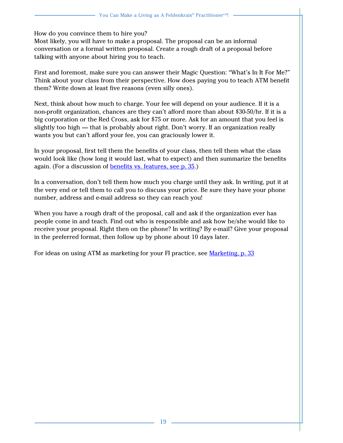How do you convince them to hire you?

Most likely, you will have to make a proposal. The proposal can be an informal conversation or a formal written proposal. Create a rough draft of a proposal before talking with anyone about hiring you to teach.

First and foremost, make sure you can answer their Magic Question: "What's In It For Me?" Think about your class from their perspective. How does paying you to teach ATM benefit them? Write down at least five reasons (even silly ones).

Next, think about how much to charge. Your fee will depend on your audience. If it is a non-profit organization, chances are they can't afford more than about \$30-50/hr. If it is a big corporation or the Red Cross, ask for \$75 or more. Ask for an amount that you feel is slightly too high — that is probably about right. Don't worry. If an organization really wants you but can't afford your fee, you can graciously lower it.

In your proposal, first tell them the benefits of your class, then tell them what the class would look like (how long it would last, what to expect) and then summarize the benefits again. (For a discussion of [benefits vs. features, see p. 35.](#page-34-0))

In a conversation, don't tell them how much you charge until they ask. In writing, put it at the very end or tell them to call you to discuss your price. Be sure they have your phone number, address and e-mail address so they can reach you!

When you have a rough draft of the proposal, call and ask if the organization ever has people come in and teach. Find out who is responsible and ask how he/she would like to receive your proposal. Right then on the phone? In writing? By e-mail? Give your proposal in the preferred format, then follow up by phone about 10 days later.

For ideas on using ATM as marketing for your FI practice, see [Marketing, p. 33](#page-32-0)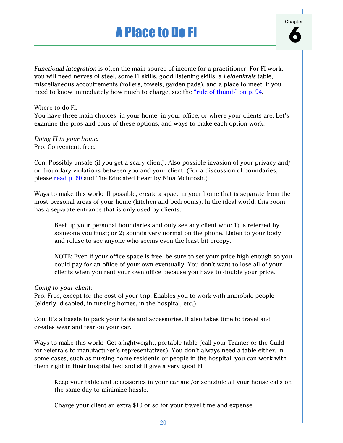### A Place to Do FI **6**

**Chapter** 



<span id="page-19-0"></span>Functional Integration is often the main source of income for a practitioner. For FI work, you will need nerves of steel, some FI skills, good listening skills, a Feldenkrais table, miscellaneous accoutrements (rollers, towels, garden pads), and a place to meet. If you need to know immediately how much to charge, see the ["rule of thumb" on p. 94.](#page-93-0)

#### Where to do FI.

You have three main choices: in your home, in your office, or where your clients are. Let's examine the pros and cons of these options, and ways to make each option work.

Doing FI in your home: Pro: Convenient, free.

Con: Possibly unsafe (if you get a scary client). Also possible invasion of your privacy and/ or boundary violations between you and your client. (For a discussion of boundaries, please [read p. 60](#page-59-0) and The Educated Heart by Nina McIntosh.)

Ways to make this work: If possible, create a space in your home that is separate from the most personal areas of your home (kitchen and bedrooms). In the ideal world, this room has a separate entrance that is only used by clients.

Beef up your personal boundaries and only see any client who: 1) is referred by someone you trust; or 2) sounds very normal on the phone. Listen to your body and refuse to see anyone who seems even the least bit creepy.

NOTE: Even if your office space is free, be sure to set your price high enough so you could pay for an office of your own eventually. You don't want to lose all of your clients when you rent your own office because you have to double your price.

#### Going to your client:

Pro: Free, except for the cost of your trip. Enables you to work with immobile people (elderly, disabled, in nursing homes, in the hospital, etc.).

Con: It's a hassle to pack your table and accessories. It also takes time to travel and creates wear and tear on your car.

Ways to make this work: Get a lightweight, portable table (call your Trainer or the Guild for referrals to manufacturer's representatives). You don't always need a table either. In some cases, such as nursing home residents or people in the hospital, you can work with them right in their hospital bed and still give a very good FI.

Keep your table and accessories in your car and/or schedule all your house calls on the same day to minimize hassle.

Charge your client an extra \$10 or so for your travel time and expense.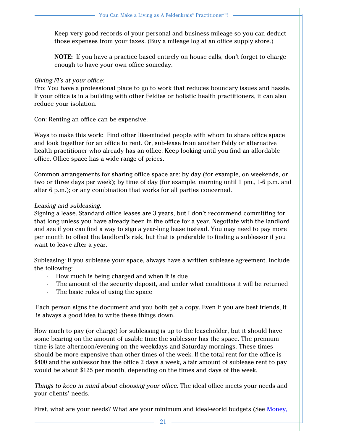Keep very good records of your personal and business mileage so you can deduct those expenses from your taxes. (Buy a mileage log at an office supply store.)

NOTE: If you have a practice based entirely on house calls, don't forget to charge enough to have your own office someday.

#### Giving FI's at your office:

Pro: You have a professional place to go to work that reduces boundary issues and hassle. If your office is in a building with other Feldies or holistic health practitioners, it can also reduce your isolation.

Con: Renting an office can be expensive.

Ways to make this work: Find other like-minded people with whom to share office space and look together for an office to rent. Or, sub-lease from another Feldy or alternative health practitioner who already has an office. Keep looking until you find an affordable office. Office space has a wide range of prices.

Common arrangements for sharing office space are: by day (for example, on weekends, or two or three days per week); by time of day (for example, morning until 1 pm., 1-6 p.m. and after 6 p.m.); or any combination that works for all parties concerned.

#### Leasing and subleasing.

Signing a lease. Standard office leases are 3 years, but I don't recommend committing for that long unless you have already been in the office for a year. Negotiate with the landlord and see if you can find a way to sign a year-long lease instead. You may need to pay more per month to offset the landlord's risk, but that is preferable to finding a sublessor if you want to leave after a year.

Subleasing: if you sublease your space, always have a written sublease agreement. Include the following:

- · How much is being charged and when it is due
- · The amount of the security deposit, and under what conditions it will be returned
- The basic rules of using the space

Each person signs the document and you both get a copy. Even if you are best friends, it is always a good idea to write these things down.

How much to pay (or charge) for subleasing is up to the leaseholder, but it should have some bearing on the amount of usable time the sublessor has the space. The premium time is late afternoon/evening on the weekdays and Saturday mornings. These times should be more expensive than other times of the week. If the total rent for the office is \$400 and the sublessor has the office 2 days a week, a fair amount of sublease rent to pay would be about \$125 per month, depending on the times and days of the week.

Things to keep in mind about choosing your office. The ideal office meets your needs and your clients' needs.

First, what are your needs? What are your minimum and ideal-world budgets (See [Money,](#page-84-0)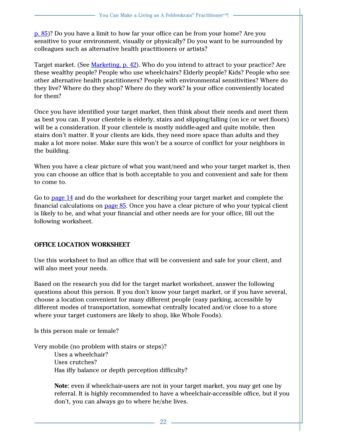<span id="page-21-0"></span>[p. 85\)](#page-84-0)? Do you have a limit to how far your office can be from your home? Are you sensitive to your environment, visually or physically? Do you want to be surrounded by colleagues such as alternative health practitioners or artists?

Target market. (See [Marketing, p. 42\)](#page-41-0). Who do you intend to attract to your practice? Are these wealthy people? People who use wheelchairs? Elderly people? Kids? People who see other alternative health practitioners? People with environmental sensitivities? Where do they live? Where do they shop? Where do they work? Is your office conveniently located for them?

Once you have identified your target market, then think about their needs and meet them as best you can. If your clientele is elderly, stairs and slipping/falling (on ice or wet floors) will be a consideration. If your clientele is mostly middle-aged and quite mobile, then stairs don't matter. If your clients are kids, they need more space than adults and they make a lot more noise. Make sure this won't be a source of conflict for your neighbors in the building.

When you have a clear picture of what you want/need and who your target market is, then you can choose an office that is both acceptable to you and convenient and safe for them to come to.

Go to [page 14](#page-13-0) and do the worksheet for describing your target market and complete the financial calculations on [page 85](#page-84-0). Once you have a clear picture of who your typical client is likely to be, and what your financial and other needs are for your office, fill out the following worksheet.

#### OFFICE LOCATION WORKSHEET

Use this worksheet to find an office that will be convenient and safe for your client, and will also meet your needs.

Based on the research you did for the target market worksheet, answer the following questions about this person. If you don't know your target market, or if you have several, choose a location convenient for many different people (easy parking, accessible by different modes of transportation, somewhat centrally located and/or close to a store where your target customers are likely to shop, like Whole Foods).

Is this person male or female?

Very mobile (no problem with stairs or steps)?

Uses a wheelchair? Uses crutches? Has iffy balance or depth perception difficulty?

Note: even if wheelchair-users are not in your target market, you may get one by referral. It is highly recommended to have a wheelchair-accessible office, but if you don't, you can always go to where he/she lives.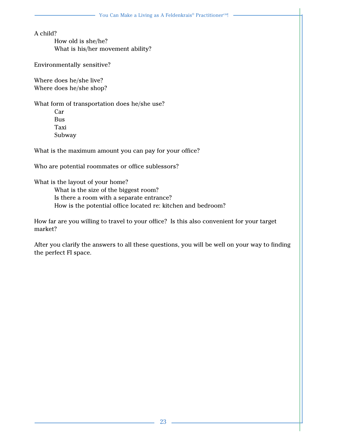A child?

How old is she/he? What is his/her movement ability?

Environmentally sensitive?

Where does he/she live? Where does he/she shop?

What form of transportation does he/she use?

Car Bus Taxi Subway

What is the maximum amount you can pay for your office?

Who are potential roommates or office sublessors?

What is the layout of your home?

What is the size of the biggest room?

Is there a room with a separate entrance?

How is the potential office located re: kitchen and bedroom?

How far are you willing to travel to your office? Is this also convenient for your target market?

After you clarify the answers to all these questions, you will be well on your way to finding the perfect FI space.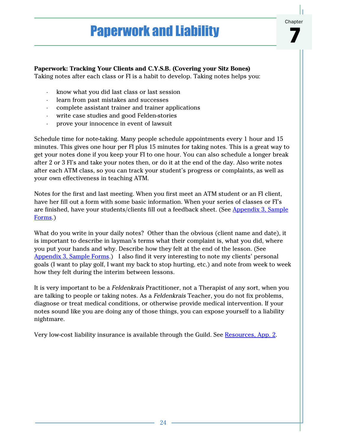### Paperwork and Liability **7**

**Chapter** 

#### <span id="page-23-0"></span>Paperwork: Tracking Your Clients and C.Y.S.B. (Covering your Sitz Bones)

Taking notes after each class or FI is a habit to develop. Taking notes helps you:

- · know what you did last class or last session
- learn from past mistakes and successes
- complete assistant trainer and trainer applications
- write case studies and good Felden-stories
- prove your innocence in event of lawsuit

Schedule time for note-taking. Many people schedule appointments every 1 hour and 15 minutes. This gives one hour per FI plus 15 minutes for taking notes. This is a great way to get your notes done if you keep your FI to one hour. You can also schedule a longer break after 2 or 3 FI's and take your notes then, or do it at the end of the day. Also write notes after each ATM class, so you can track your student's progress or complaints, as well as your own effectiveness in teaching ATM.

Notes for the first and last meeting. When you first meet an ATM student or an FI client, have her fill out a form with some basic information. When your series of classes or FI's are finished, have your students/clients fill out a feedback sheet. (See [Appendix 3, Sample](#page-124-0) [Forms](#page-124-0).)

What do you write in your daily notes? Other than the obvious (client name and date), it is important to describe in layman's terms what their complaint is, what you did, where you put your hands and why. Describe how they felt at the end of the lesson. (See [Appendix 3, Sample Forms.](#page-124-0)) I also find it very interesting to note my clients' personal goals (I want to play golf, I want my back to stop hurting, etc.) and note from week to week how they felt during the interim between lessons.

It is very important to be a Feldenkrais Practitioner, not a Therapist of any sort, when you are talking to people or taking notes. As a Feldenkrais Teacher, you do not fix problems, diagnose or treat medical conditions, or otherwise provide medical intervention. If your notes sound like you are doing any of those things, you can expose yourself to a liability nightmare.

Very low-cost liability insurance is available through the Guild. See [Resources, App. 2](#page-119-0).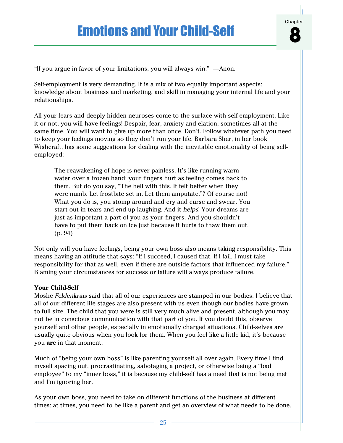### Emotions and Your Child-Self **8**

<span id="page-24-0"></span>"If you argue in favor of your limitations, you will always win." —Anon.

Self-employment is very demanding. It is a mix of two equally important aspects: knowledge about business and marketing, and skill in managing your internal life and your relationships.

All your fears and deeply hidden neuroses come to the surface with self-employment. Like it or not, you will have feelings! Despair, fear, anxiety and elation, sometimes all at the same time. You will want to give up more than once. Don't. Follow whatever path you need to keep your feelings moving so they don't run your life. Barbara Sher, in her book Wishcraft, has some suggestions for dealing with the inevitable emotionality of being selfemployed:

The reawakening of hope is never painless. It's like running warm water over a frozen hand: your fingers hurt as feeling comes back to them. But do you say, "The hell with this. It felt better when they were numb. Let frostbite set in. Let them amputate."? Of course not! What you do is, you stomp around and cry and curse and swear. You start out in tears and end up laughing. And it helps! Your dreams are just as important a part of you as your fingers. And you shouldn't have to put them back on ice just because it hurts to thaw them out. (p. 94)

Not only will you have feelings, being your own boss also means taking responsibility. This means having an attitude that says: "If I succeed, I caused that. If I fail, I must take responsibility for that as well, even if there are outside factors that influenced my failure." Blaming your circumstances for success or failure will always produce failure.

#### Your Child-Self

Moshe Feldenkrais said that all of our experiences are stamped in our bodies. I believe that all of our different life stages are also present with us even though our bodies have grown to full size. The child that you were is still very much alive and present, although you may not be in conscious communication with that part of you. If you doubt this, observe yourself and other people, especially in emotionally charged situations. Child-selves are usually quite obvious when you look for them. When you feel like a little kid, it's because you are in that moment.

Much of "being your own boss" is like parenting yourself all over again. Every time I find myself spacing out, procrastinating, sabotaging a project, or otherwise being a "bad employee" to my "inner boss," it is because my child-self has a need that is not being met and I'm ignoring her.

As your own boss, you need to take on different functions of the business at different times: at times, you need to be like a parent and get an overview of what needs to be done.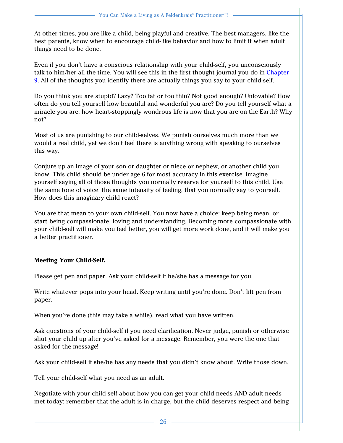At other times, you are like a child, being playful and creative. The best managers, like the best parents, know when to encourage child-like behavior and how to limit it when adult things need to be done.

Even if you don't have a conscious relationship with your child-self, you unconsciously talk to him/her all the time. You will see this in the first thought journal you do in [Chapter](#page-27-0) [9.](#page-27-0) All of the thoughts you identify there are actually things you say to your child-self.

Do you think you are stupid? Lazy? Too fat or too thin? Not good enough? Unlovable? How often do you tell yourself how beautiful and wonderful you are? Do you tell yourself what a miracle you are, how heart-stoppingly wondrous life is now that you are on the Earth? Why not?

Most of us are punishing to our child-selves. We punish ourselves much more than we would a real child, yet we don't feel there is anything wrong with speaking to ourselves this way.

Conjure up an image of your son or daughter or niece or nephew, or another child you know. This child should be under age 6 for most accuracy in this exercise. Imagine yourself saying all of those thoughts you normally reserve for yourself to this child. Use the same tone of voice, the same intensity of feeling, that you normally say to yourself. How does this imaginary child react?

You are that mean to your own child-self. You now have a choice: keep being mean, or start being compassionate, loving and understanding. Becoming more compassionate with your child-self will make you feel better, you will get more work done, and it will make you a better practitioner.

#### Meeting Your Child-Self.

Please get pen and paper. Ask your child-self if he/she has a message for you.

Write whatever pops into your head. Keep writing until you're done. Don't lift pen from paper.

When you're done (this may take a while), read what you have written.

Ask questions of your child-self if you need clarification. Never judge, punish or otherwise shut your child up after you've asked for a message. Remember, you were the one that asked for the message!

Ask your child-self if she/he has any needs that you didn't know about. Write those down.

Tell your child-self what you need as an adult.

Negotiate with your child-self about how you can get your child needs AND adult needs met today: remember that the adult is in charge, but the child deserves respect and being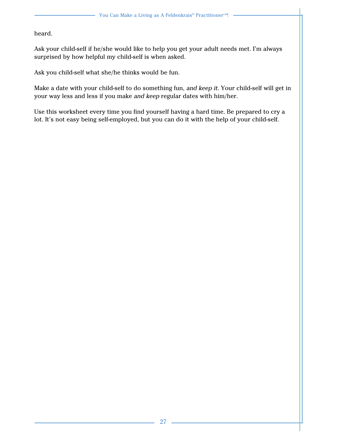heard.

Ask your child-self if he/she would like to help you get your adult needs met. I'm always surprised by how helpful my child-self is when asked.

Ask you child-self what she/he thinks would be fun.

Make a date with your child-self to do something fun, and keep it. Your child-self will get in your way less and less if you make and keep regular dates with him/her.

Use this worksheet every time you find yourself having a hard time. Be prepared to cry a lot. It's not easy being self-employed, but you can do it with the help of your child-self.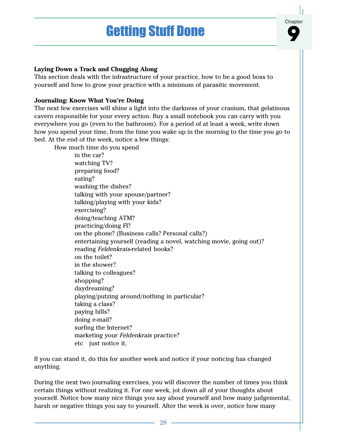### Getting Stuff Done **9**

**Chapter** 

#### <span id="page-27-0"></span>Laying Down a Track and Chugging Along

This section deals with the infrastructure of your practice, how to be a good boss to yourself and how to grow your practice with a minimum of parasitic movement.

#### Journaling: Know What You're Doing…

The next few exercises will shine a light into the darkness of your cranium, that gelatinous cavern responsible for your every action. Buy a small notebook you can carry with you everywhere you go (even to the bathroom). For a period of at least a week, write down how you spend your time, from the time you wake up in the morning to the time you go to bed. At the end of the week, notice a few things:

How much time do you spend …

in the car? watching TV? preparing food? eating? washing the dishes? talking with your spouse/partner? talking/playing with your kids? exercising? doing/teaching ATM? practicing/doing FI? on the phone? (Business calls? Personal calls?) entertaining yourself (reading a novel, watching movie, going out)? reading Feldenkrais-related books? on the toilet? in the shower? talking to colleagues? shopping? daydreaming? playing/putzing around/nothing in particular? taking a class? paying bills? doing e-mail? surfing the Internet? marketing your Feldenkrais practice? etc…just notice it.

If you can stand it, do this for another week and notice if your noticing has changed anything.

During the next two journaling exercises, you will discover the number of times you think certain things without realizing it. For one week, jot down all of your thoughts about yourself. Notice how many nice things you say about yourself and how many judgemental, harsh or negative things you say to yourself. After the week is over, notice how many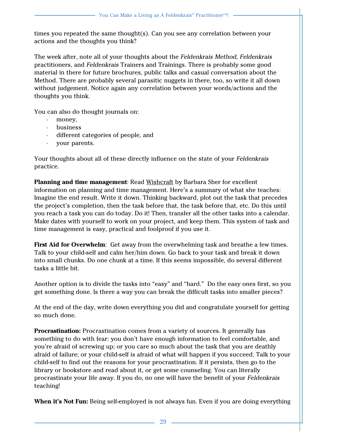times you repeated the same thought(s). Can you see any correlation between your actions and the thoughts you think?

The week after, note all of your thoughts about the Feldenkrais Method, Feldenkrais practitioners, and Feldenkrais Trainers and Trainings. There is probably some good material in there for future brochures, public talks and casual conversation about the Method. There are probably several parasitic nuggets in there, too, so write it all down without judgement. Notice again any correlation between your words/actions and the thoughts you think.

You can also do thought journals on:

- · money,
- · business
- different categories of people, and
- your parents.

Your thoughts about all of these directly influence on the state of your Feldenkrais practice.

Planning and time management: Read Wishcraft by Barbara Sher for excellent information on planning and time management. Here's a summary of what she teaches: Imagine the end result. Write it down. Thinking backward, plot out the task that precedes the project's completion, then the task before that, the task before that, etc. Do this until you reach a task you can do today. Do it! Then, transfer all the other tasks into a calendar. Make dates with yourself to work on your project, and keep them. This system of task and time management is easy, practical and foolproof if you use it.

First Aid for Overwhelm: Get away from the overwhelming task and breathe a few times. Talk to your child-self and calm her/him down. Go back to your task and break it down into small chunks. Do one chunk at a time. If this seems impossible, do several different tasks a little bit.

Another option is to divide the tasks into "easy" and "hard." Do the easy ones first, so you get something done. Is there a way you can break the difficult tasks into smaller pieces?

At the end of the day, write down everything you did and congratulate yourself for getting so much done.

Procrastination: Procrastination comes from a variety of sources. It generally has something to do with fear: you don't have enough information to feel comfortable, and you're afraid of screwing up; or you care so much about the task that you are deathly afraid of failure; or your child-self is afraid of what will happen if you succeed. Talk to your child-self to find out the reasons for your procrastination. If it persists, then go to the library or bookstore and read about it, or get some counseling. You can literally procrastinate your life away. If you do, no one will have the benefit of your Feldenkrais teaching!

When it's Not Fun: Being self-employed is not always fun. Even if you are doing everything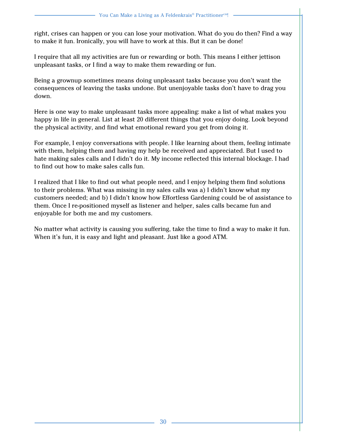right, crises can happen or you can lose your motivation. What do you do then? Find a way to make it fun. Ironically, you will have to work at this. But it can be done!

I require that all my activities are fun or rewarding or both. This means I either jettison unpleasant tasks, or I find a way to make them rewarding or fun.

Being a grownup sometimes means doing unpleasant tasks because you don't want the consequences of leaving the tasks undone. But unenjoyable tasks don't have to drag you down.

Here is one way to make unpleasant tasks more appealing: make a list of what makes you happy in life in general. List at least 20 different things that you enjoy doing. Look beyond the physical activity, and find what emotional reward you get from doing it.

For example, I enjoy conversations with people. I like learning about them, feeling intimate with them, helping them and having my help be received and appreciated. But I used to hate making sales calls and I didn't do it. My income reflected this internal blockage. I had to find out how to make sales calls fun.

I realized that I like to find out what people need, and I enjoy helping them find solutions to their problems. What was missing in my sales calls was a) I didn't know what my customers needed; and b) I didn't know how Effortless Gardening could be of assistance to them. Once I re-positioned myself as listener and helper, sales calls became fun and enjoyable for both me and my customers.

No matter what activity is causing you suffering, take the time to find a way to make it fun. When it's fun, it is easy and light and pleasant. Just like a good ATM.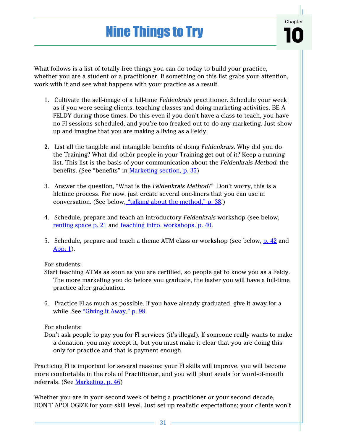## **Nine Things to Try**



<span id="page-30-0"></span>What follows is a list of totally free things you can do today to build your practice, whether you are a student or a practitioner. If something on this list grabs your attention, work with it and see what happens with your practice as a result.

- 1. Cultivate the self-image of a full-time Feldenkrais practitioner. Schedule your week as if you were seeing clients, teaching classes and doing marketing activities. BE A FELDY during those times. Do this even if you don't have a class to teach, you have no FI sessions scheduled, and you're too freaked out to do any marketing. Just show up and imagine that you are making a living as a Feldy.
- 2. List all the tangible and intangible benefits of doing Feldenkrais. Why did you do the Training? What did othõr people in your Training get out of it? Keep a running list. This list is the basis of your communication about the Feldenkrais Method: the benefits. (See "benefits" in [Marketing section, p. 35\)](#page-34-0)
- 3. Answer the question, "What is the Feldenkrais Method?" Don't worry, this is a lifetime process. For now, just create several one-liners that you can use in conversation. (See below[, "talking about the method," p. 38.](#page-37-0))
- 4. Schedule, prepare and teach an introductory Feldenkrais workshop (see below, [renting space p. 21](#page-21-0) and [teaching intro. workshops. p. 40.](#page-39-0)
- 5. Schedule, prepare and teach a theme ATM class or workshop (see below, [p. 42](#page-41-0) and [App. 1](#page-114-0)).

#### For students:

- Start teaching ATMs as soon as you are certified, so people get to know you as a Feldy. The more marketing you do before you graduate, the faster you will have a full-time practice after graduation.
- 6. Practice FI as much as possible. If you have already graduated, give it away for a while. See ["Giving it Away," p. 98](#page-97-0).

#### For students:

Don't ask people to pay you for FI services (it's illegal). If someone really wants to make a donation, you may accept it, but you must make it clear that you are doing this only for practice and that is payment enough.

Practicing FI is important for several reasons: your FI skills will improve, you will become more comfortable in the role of Practitioner, and you will plant seeds for word-of-mouth referrals. (See [Marketing, p. 46\)](#page-45-0)

Whether you are in your second week of being a practitioner or your second decade, DON'T APOLOGIZE for your skill level. Just set up realistic expectations; your clients won't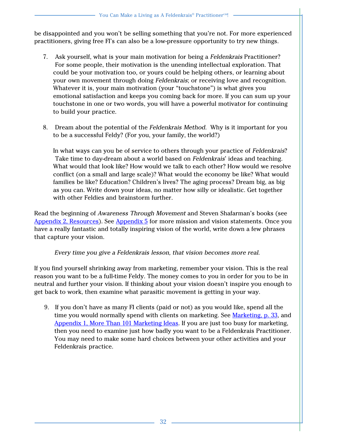be disappointed and you won't be selling something that you're not. For more experienced practitioners, giving free FI's can also be a low-pressure opportunity to try new things.

- 7. Ask yourself, what is your main motivation for being a Feldenkrais Practitioner? For some people, their motivation is the unending intellectual exploration. That could be your motivation too, or yours could be helping others, or learning about your own movement through doing Feldenkrais; or receiving love and recognition. Whatever it is, your main motivation (your "touchstone") is what gives you emotional satisfaction and keeps you coming back for more. If you can sum up your touchstone in one or two words, you will have a powerful motivator for continuing to build your practice.
- 8. Dream about the potential of the Feldenkrais Method. Why is it important for you to be a successful Feldy? (For you, your family, the world?)

In what ways can you be of service to others through your practice of Feldenkrais? Take time to day-dream about a world based on Feldenkrais' ideas and teaching. What would that look like? How would we talk to each other? How would we resolve conflict (on a small and large scale)? What would the economy be like? What would families be like? Education? Children's lives? The aging process? Dream big, as big as you can. Write down your ideas, no matter how silly or idealistic. Get together with other Feldies and brainstorm further.

Read the beginning of Awareness Through Movement and Steven Shafarman's books (see [Appendix 2, Resources\)](#page-119-0). See [Appendix 5](#page-132-0) for more mission and vision statements. Once you have a really fantastic and totally inspiring vision of the world, write down a few phrases that capture your vision.

#### Every time you give a Feldenkrais lesson, that vision becomes more real.

If you find yourself shrinking away from marketing, remember your vision. This is the real reason you want to be a full-time Feldy. The money comes to you in order for you to be in neutral and further your vision. If thinking about your vision doesn't inspire you enough to get back to work, then examine what parasitic movement is getting in your way.

9. If you don't have as many FI clients (paid or not) as you would like, spend all the time you would normally spend with clients on marketing. See [Marketing, p. 33](#page-32-0), and [Appendix 1, More Than 101 Marketing Ideas.](#page-114-0) If you are just too busy for marketing, then you need to examine just how badly you want to be a Feldenkrais Practitioner. You may need to make some hard choices between your other activities and your Feldenkrais practice.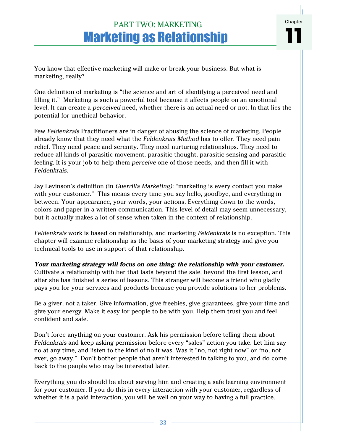### PART TWO: MARKETING **Marketing as Relationship**

<span id="page-32-0"></span>You know that effective marketing will make or break your business. But what is marketing, really?

One definition of marketing is "the science and art of identifying a perceived need and filling it." Marketing is such a powerful tool because it affects people on an emotional level. It can create a perceived need, whether there is an actual need or not. In that lies the potential for unethical behavior.

Few Feldenkrais Practitioners are in danger of abusing the science of marketing. People already know that they need what the Feldenkrais Method has to offer. They need pain relief. They need peace and serenity. They need nurturing relationships. They need to reduce all kinds of parasitic movement, parasitic thought, parasitic sensing and parasitic feeling. It is your job to help them perceive one of those needs, and then fill it with Feldenkrais.

Jay Levinson's definition (in Guerrilla Marketing): "marketing is every contact you make with your customer." This means every time you say hello, goodbye, and everything in between. Your appearance, your words, your actions. Everything down to the words, colors and paper in a written communication. This level of detail may seem unnecessary, but it actually makes a lot of sense when taken in the context of relationship.

Feldenkrais work is based on relationship, and marketing Feldenkrais is no exception. This chapter will examine relationship as the basis of your marketing strategy and give you technical tools to use in support of that relationship.

Your marketing strategy will focus on one thing: the relationship with your customer. Cultivate a relationship with her that lasts beyond the sale, beyond the first lesson, and after she has finished a series of lessons. This stranger will become a friend who gladly pays you for your services and products because you provide solutions to her problems.

Be a giver, not a taker. Give information, give freebies, give guarantees, give your time and give your energy. Make it easy for people to be with you. Help them trust you and feel confident and safe.

Don't force anything on your customer. Ask his permission before telling them about Feldenkrais and keep asking permission before every "sales" action you take. Let him say no at any time, and listen to the kind of no it was. Was it "no, not right now" or "no, not ever, go away." Don't bother people that aren't interested in talking to you, and do come back to the people who may be interested later.

Everything you do should be about serving him and creating a safe learning environment for your customer. If you do this in every interaction with your customer, regardless of whether it is a paid interaction, you will be well on your way to having a full practice.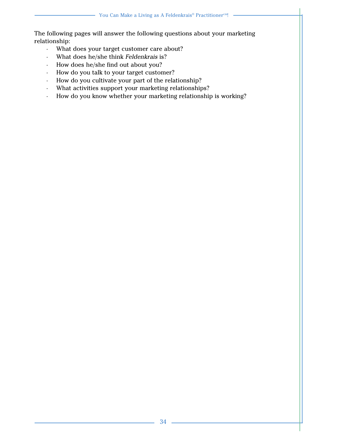The following pages will answer the following questions about your marketing relationship:

- What does your target customer care about?<br>• What does he/she think *Feldenkrais* is?
- What does he/she think Feldenkrais is?
- · How does he/she find out about you?
- · How do you talk to your target customer?
- · How do you cultivate your part of the relationship?
- · What activities support your marketing relationships?
- · How do you know whether your marketing relationship is working?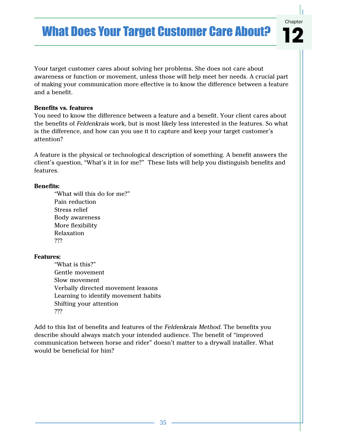## <span id="page-34-0"></span>**12** What Does Your Target Customer Care About?



Your target customer cares about solving her problems. She does not care about awareness or function or movement, unless those will help meet her needs. A crucial part of making your communication more effective is to know the difference between a feature and a benefit.

#### Benefits vs. features

You need to know the difference between a feature and a benefit. Your client cares about the benefits of Feldenkrais work, but is most likely less interested in the features. So what is the difference, and how can you use it to capture and keep your target customer's attention?

A feature is the physical or technological description of something. A benefit answers the client's question, "What's it in for me?" These lists will help you distinguish benefits and features.

#### Benefits:

"What will this do for me?" Pain reduction Stress relief Body awareness More flexibility Relaxation ???

#### Features:

"What is this?" Gentle movement Slow movement Verbally directed movement lessons Learning to identify movement habits Shifting your attention ???

Add to this list of benefits and features of the Feldenkrais Method. The benefits you describe should always match your intended audience. The benefit of "improved communication between horse and rider" doesn't matter to a drywall installer. What would be beneficial for him?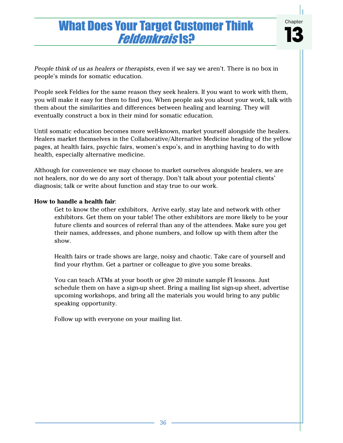### <span id="page-35-0"></span>**13** What Does Your Target Customer Think Feldenkrais Is?



People think of us as healers or therapists, even if we say we aren't. There is no box in people's minds for somatic education.

People seek Feldies for the same reason they seek healers. If you want to work with them, you will make it easy for them to find you. When people ask you about your work, talk with them about the similarities and differences between healing and learning. They will eventually construct a box in their mind for somatic education.

Until somatic education becomes more well-known, market yourself alongside the healers. Healers market themselves in the Collaborative/Alternative Medicine heading of the yellow pages, at health fairs, psychic fairs, women's expo's, and in anything having to do with health, especially alternative medicine.

Although for convenience we may choose to market ourselves alongside healers, we are not healers, nor do we do any sort of therapy. Don't talk about your potential clients' diagnosis; talk or write about function and stay true to our work.

#### How to handle a health fair:

Get to know the other exhibitors, Arrive early, stay late and network with other exhibitors. Get them on your table! The other exhibitors are more likely to be your future clients and sources of referral than any of the attendees. Make sure you get their names, addresses, and phone numbers, and follow up with them after the show.

Health fairs or trade shows are large, noisy and chaotic. Take care of yourself and find your rhythm. Get a partner or colleague to give you some breaks.

You can teach ATMs at your booth or give 20 minute sample FI lessons. Just schedule them on have a sign-up sheet. Bring a mailing list sign-up sheet, advertise upcoming workshops, and bring all the materials you would bring to any public speaking opportunity.

Follow up with everyone on your mailing list.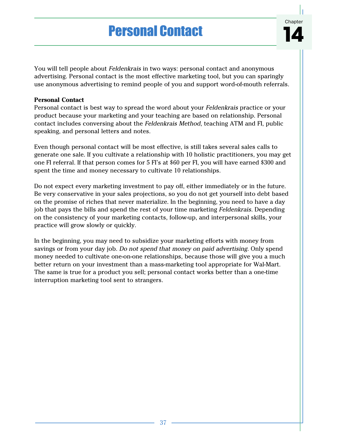## **Personal Contact**



You will tell people about Feldenkrais in two ways: personal contact and anonymous advertising. Personal contact is the most effective marketing tool, but you can sparingly use anonymous advertising to remind people of you and support word-of-mouth referrals.

### Personal Contact

Personal contact is best way to spread the word about your Feldenkrais practice or your product because your marketing and your teaching are based on relationship. Personal contact includes conversing about the Feldenkrais Method, teaching ATM and FI, public speaking, and personal letters and notes.

Even though personal contact will be most effective, is still takes several sales calls to generate one sale. If you cultivate a relationship with 10 holistic practitioners, you may get one FI referral. If that person comes for 5 FI's at \$60 per FI, you will have earned \$300 and spent the time and money necessary to cultivate 10 relationships.

Do not expect every marketing investment to pay off, either immediately or in the future. Be very conservative in your sales projections, so you do not get yourself into debt based on the promise of riches that never materialize. In the beginning, you need to have a day job that pays the bills and spend the rest of your time marketing Feldenkrais. Depending on the consistency of your marketing contacts, follow-up, and interpersonal skills, your practice will grow slowly or quickly.

In the beginning, you may need to subsidize your marketing efforts with money from savings or from your day job. Do not spend that money on paid advertising. Only spend money needed to cultivate one-on-one relationships, because those will give you a much better return on your investment than a mass-marketing tool appropriate for Wal-Mart. The same is true for a product you sell; personal contact works better than a one-time interruption marketing tool sent to strangers.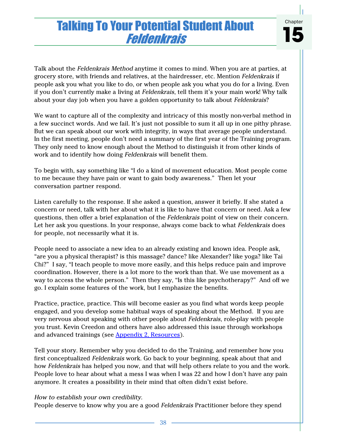### **15** Talking To Your Potential Student About Feldenkrais

Talk about the Feldenkrais Method anytime it comes to mind. When you are at parties, at grocery store, with friends and relatives, at the hairdresser, etc. Mention Feldenkrais if people ask you what you like to do, or when people ask you what you do for a living. Even if you don't currently make a living at Feldenkrais, tell them it's your main work! Why talk about your day job when you have a golden opportunity to talk about Feldenkrais?

We want to capture all of the complexity and intricacy of this mostly non-verbal method in a few succinct words. And we fail. It's just not possible to sum it all up in one pithy phrase. But we can speak about our work with integrity, in ways that average people understand. In the first meeting, people don't need a summary of the first year of the Training program. They only need to know enough about the Method to distinguish it from other kinds of work and to identify how doing Feldenkrais will benefit them.

To begin with, say something like "I do a kind of movement education. Most people come to me because they have pain or want to gain body awareness." Then let your conversation partner respond.

Listen carefully to the response. If she asked a question, answer it briefly. If she stated a concern or need, talk with her about what it is like to have that concern or need. Ask a few questions, then offer a brief explanation of the Feldenkrais point of view on their concern. Let her ask you questions. In your response, always come back to what Feldenkrais does for people, not necessarily what it is.

People need to associate a new idea to an already existing and known idea. People ask, "are you a physical therapist? is this massage? dance? like Alexander? like yoga? like Tai Chi?" I say, "I teach people to move more easily, and this helps reduce pain and improve coordination. However, there is a lot more to the work than that. We use movement as a way to access the whole person." Then they say, "Is this like psychotherapy?" And off we go. I explain some features of the work, but I emphasize the benefits.

Practice, practice, practice. This will become easier as you find what words keep people engaged, and you develop some habitual ways of speaking about the Method. If you are very nervous about speaking with other people about Feldenkrais, role-play with people you trust. Kevin Creedon and others have also addressed this issue through workshops and advanced trainings (see **Appendix 2, Resources**).

Tell your story. Remember why you decided to do the Training, and remember how you first conceptualized Feldenkrais work. Go back to your beginning, speak about that and how Feldenkrais has helped you now, and that will help others relate to you and the work. People love to hear about what a mess I was when I was 22 and how I don't have any pain anymore. It creates a possibility in their mind that often didn't exist before.

How to establish your own credibility.

People deserve to know why you are a good Feldenkrais Practitioner before they spend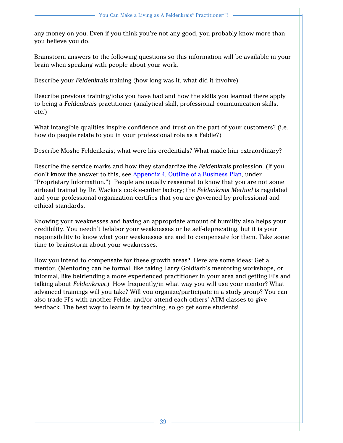any money on you. Even if you think you're not any good, you probably know more than you believe you do.

Brainstorm answers to the following questions so this information will be available in your brain when speaking with people about your work.

Describe your Feldenkrais training (how long was it, what did it involve)

Describe previous training/jobs you have had and how the skills you learned there apply to being a Feldenkrais practitioner (analytical skill, professional communication skills, etc.)

What intangible qualities inspire confidence and trust on the part of your customers? (i.e. how do people relate to you in your professional role as a Feldie?)

Describe Moshe Feldenkrais; what were his credentials? What made him extraordinary?

Describe the service marks and how they standardize the Feldenkrais profession. (If you don't know the answer to this, see [Appendix 4, Outline of a Business Plan,](#page-127-0) under "Proprietary Information.") People are usually reassured to know that you are not some airhead trained by Dr. Wacko's cookie-cutter factory; the Feldenkrais Method is regulated and your professional organization certifies that you are governed by professional and ethical standards.

Knowing your weaknesses and having an appropriate amount of humility also helps your credibility. You needn't belabor your weaknesses or be self-deprecating, but it is your responsibility to know what your weaknesses are and to compensate for them. Take some time to brainstorm about your weaknesses.

How you intend to compensate for these growth areas? Here are some ideas: Get a mentor. (Mentoring can be formal, like taking Larry Goldfarb's mentoring workshops, or informal, like befriending a more experienced practitioner in your area and getting FI's and talking about Feldenkrais.) How frequently/in what way you will use your mentor? What advanced trainings will you take? Will you organize/participate in a study group? You can also trade FI's with another Feldie, and/or attend each others' ATM classes to give feedback. The best way to learn is by teaching, so go get some students!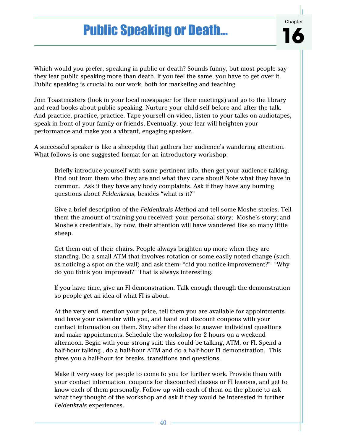## **Public Speaking or Death...**



Which would you prefer, speaking in public or death? Sounds funny, but most people say they fear public speaking more than death. If you feel the same, you have to get over it. Public speaking is crucial to our work, both for marketing and teaching.

Join Toastmasters (look in your local newspaper for their meetings) and go to the library and read books about public speaking. Nurture your child-self before and after the talk. And practice, practice, practice. Tape yourself on video, listen to your talks on audiotapes, speak in front of your family or friends. Eventually, your fear will heighten your performance and make you a vibrant, engaging speaker.

A successful speaker is like a sheepdog that gathers her audience's wandering attention. What follows is one suggested format for an introductory workshop:

Briefly introduce yourself with some pertinent info, then get your audience talking. Find out from them who they are and what they care about! Note what they have in common. Ask if they have any body complaints. Ask if they have any burning questions about Feldenkrais, besides "what is it?"

Give a brief description of the Feldenkrais Method and tell some Moshe stories. Tell them the amount of training you received; your personal story; Moshe's story; and Moshe's credentials. By now, their attention will have wandered like so many little sheep.

Get them out of their chairs. People always brighten up more when they are standing. Do a small ATM that involves rotation or some easily noted change (such as noticing a spot on the wall) and ask them: "did you notice improvement?" "Why do you think you improved?" That is always interesting.

If you have time, give an FI demonstration. Talk enough through the demonstration so people get an idea of what FI is about.

At the very end, mention your price, tell them you are available for appointments and have your calendar with you, and hand out discount coupons with your contact information on them. Stay after the class to answer individual questions and make appointments. Schedule the workshop for 2 hours on a weekend afternoon. Begin with your strong suit: this could be talking, ATM, or FI. Spend a half-hour talking , do a half-hour ATM and do a half-hour FI demonstration. This gives you a half-hour for breaks, transitions and questions.

Make it very easy for people to come to you for further work. Provide them with your contact information, coupons for discounted classes or FI lessons, and get to know each of them personally. Follow up with each of them on the phone to ask what they thought of the workshop and ask if they would be interested in further Feldenkrais experiences.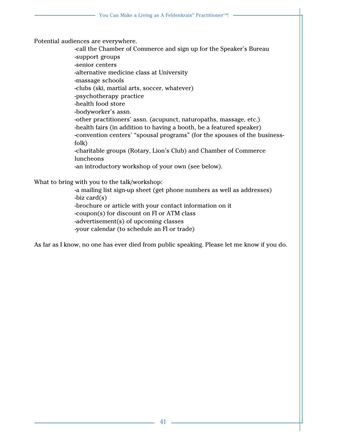Potential audiences are everywhere.

-call the Chamber of Commerce and sign up for the Speaker's Bureau -support groups -senior centers -alternative medicine class at University -massage schools -clubs (ski, martial arts, soccer, whatever) -psychotherapy practice -health food store -bodyworker's assn. -other practitioners' assn. (acupunct, naturopaths, massage, etc.) -health fairs (in addition to having a booth, be a featured speaker) -convention centers' "spousal programs" (for the spouses of the businessfolk) -charitable groups (Rotary, Lion's Club) and Chamber of Commerce luncheons -an introductory workshop of your own (see below).

What to bring with you to the talk/workshop:

-a mailing list sign-up sheet (get phone numbers as well as addresses) -biz card(s) -brochure or article with your contact information on it -coupon(s) for discount on FI or ATM class -advertisement(s) of upcoming classes -your calendar (to schedule an FI or trade)

As far as I know, no one has ever died from public speaking. Please let me know if you do.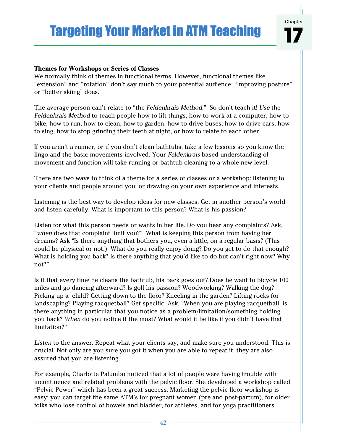# <span id="page-41-0"></span>**17** Targeting Your Market in ATM Teaching

### Themes for Workshops or Series of Classes

We normally think of themes in functional terms. However, functional themes like "extension" and "rotation" don't say much to your potential audience. "Improving posture" or "better skiing" does.

The average person can't relate to "the Feldenkrais Method." So don't teach it! Use the Feldenkrais Method to teach people how to lift things, how to work at a computer, how to bike, how to run, how to clean, how to garden, how to drive buses, how to drive cars, how to sing, how to stop grinding their teeth at night, or how to relate to each other.

If you aren't a runner, or if you don't clean bathtubs, take a few lessons so you know the lingo and the basic movements involved. Your Feldenkrais-based understanding of movement and function will take running or bathtub-cleaning to a whole new level.

There are two ways to think of a theme for a series of classes or a workshop: listening to your clients and people around you; or drawing on your own experience and interests.

Listening is the best way to develop ideas for new classes. Get in another person's world and listen carefully. What is important to this person? What is his passion?

Listen for what this person needs or wants in her life. Do you hear any complaints? Ask, "when does that complaint limit you?" What is keeping this person from having her dreams? Ask "Is there anything that bothers you, even a little, on a regular basis? (This could be physical or not.) What do you really enjoy doing? Do you get to do that enough? What is holding you back? Is there anything that you'd like to do but can't right now? Why not?"

Is it that every time he cleans the bathtub, his back goes out? Does he want to bicycle 100 miles and go dancing afterward? Is golf his passion? Woodworking? Walking the dog? Picking up a child? Getting down to the floor? Kneeling in the garden? Lifting rocks for landscaping? Playing racquetball? Get specific. Ask, "When you are playing racquetball, is there anything in particular that you notice as a problem/limitation/something holding you back? When do you notice it the most? What would it be like if you didn't have that limitation?"

Listen to the answer. Repeat what your clients say, and make sure you understood. This is crucial. Not only are you sure you got it when you are able to repeat it, they are also assured that you are listening.

For example, Charlotte Palumbo noticed that a lot of people were having trouble with incontinence and related problems with the pelvic floor. She developed a workshop called "Pelvic Power" which has been a great success. Marketing the pelvic floor workshop is easy: you can target the same ATM's for pregnant women (pre and post-partum), for older folks who lose control of bowels and bladder, for athletes, and for yoga practitioners.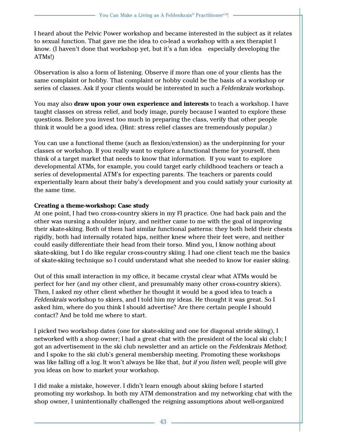I heard about the Pelvic Power workshop and became interested in the subject as it relates to sexual function. That gave me the idea to co-lead a workshop with a sex therapist I know. (I haven't done that workshop yet, but it's a fun idea especially developing the ATMs!)

Observation is also a form of listening. Observe if more than one of your clients has the same complaint or hobby. That complaint or hobby could be the basis of a workshop or series of classes. Ask if your clients would be interested in such a Feldenkrais workshop.

You may also **draw upon your own experience and interests** to teach a workshop. I have taught classes on stress relief, and body image, purely because I wanted to explore these questions. Before you invest too much in preparing the class, verify that other people think it would be a good idea. (Hint: stress relief classes are tremendously popular.)

You can use a functional theme (such as flexion/extension) as the underpinning for your classes or workshop. If you really want to explore a functional theme for yourself, then think of a target market that needs to know that information. If you want to explore developmental ATMs, for example, you could target early childhood teachers or teach a series of developmental ATM's for expecting parents. The teachers or parents could experientially learn about their baby's development and you could satisfy your curiosity at the same time.

### Creating a theme-workshop: Case study

At one point, I had two cross-country skiers in my FI practice. One had back pain and the other was nursing a shoulder injury, and neither came to me with the goal of improving their skate-skiing. Both of them had similar functional patterns: they both held their chests rigidly, both had internally rotated hips, neither knew where their feet were, and neither could easily differentiate their head from their torso. Mind you, I know nothing about skate-skiing, but I do like regular cross-country skiing. I had one client teach me the basics of skate-skiing technique so I could understand what she needed to know for easier skiing.

Out of this small interaction in my office, it became crystal clear what ATMs would be perfect for her (and my other client, and presumably many other cross-country skiers). Then, I asked my other client whether he thought it would be a good idea to teach a Feldenkrais workshop to skiers, and I told him my ideas. He thought it was great. So I asked him, where do you think I should advertise? Are there certain people I should contact? And he told me where to start.

I picked two workshop dates (one for skate-skiing and one for diagonal stride skiing), I networked with a shop owner; I had a great chat with the president of the local ski club; I got an advertisement in the ski club newsletter and an article on the Feldenkrais Method; and I spoke to the ski club's general membership meeting. Promoting these workshops was like falling off a log. It won't always be like that, but if you listen well, people will give you ideas on how to market your workshop.

I did make a mistake, however. I didn't learn enough about skiing before I started promoting my workshop. In both my ATM demonstration and my networking chat with the shop owner, I unintentionally challenged the reigning assumptions about well-organized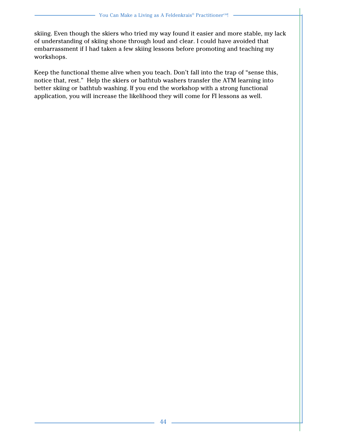skiing. Even though the skiers who tried my way found it easier and more stable, my lack of understanding of skiing shone through loud and clear. I could have avoided that embarrassment if I had taken a few skiing lessons before promoting and teaching my workshops.

Keep the functional theme alive when you teach. Don't fall into the trap of "sense this, notice that, rest." Help the skiers or bathtub washers transfer the ATM learning into better skiing or bathtub washing. If you end the workshop with a strong functional application, you will increase the likelihood they will come for FI lessons as well.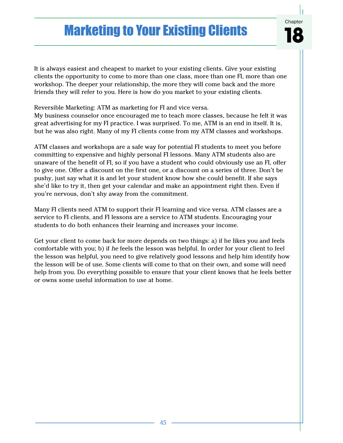# **Marketing to Your Existing Clients**

It is always easiest and cheapest to market to your existing clients. Give your existing clients the opportunity to come to more than one class, more than one FI, more than one workshop. The deeper your relationship, the more they will come back and the more friends they will refer to you. Here is how do you market to your existing clients.

Reversible Marketing: ATM as marketing for FI and vice versa.

My business counselor once encouraged me to teach more classes, because he felt it was great advertising for my FI practice. I was surprised. To me, ATM is an end in itself. It is, but he was also right. Many of my FI clients come from my ATM classes and workshops.

ATM classes and workshops are a safe way for potential FI students to meet you before committing to expensive and highly personal FI lessons. Many ATM students also are unaware of the benefit of FI, so if you have a student who could obviously use an FI, offer to give one. Offer a discount on the first one, or a discount on a series of three. Don't be pushy, just say what it is and let your student know how she could benefit. If she says she'd like to try it, then get your calendar and make an appointment right then. Even if you're nervous, don't shy away from the commitment.

Many FI clients need ATM to support their FI learning and vice versa. ATM classes are a service to FI clients, and FI lessons are a service to ATM students. Encouraging your students to do both enhances their learning and increases your income.

Get your client to come back for more depends on two things: a) if he likes you and feels comfortable with you; b) if he feels the lesson was helpful. In order for your client to feel the lesson was helpful, you need to give relatively good lessons and help him identify how the lesson will be of use. Some clients will come to that on their own, and some will need help from you. Do everything possible to ensure that your client knows that he feels better or owns some useful information to use at home.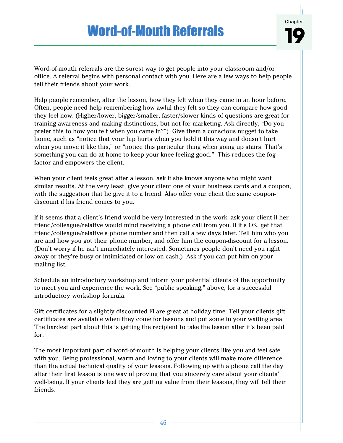# **Word-of-Mouth Referrals**

Word-of-mouth referrals are the surest way to get people into your classroom and/or office. A referral begins with personal contact with you. Here are a few ways to help people tell their friends about your work.

Help people remember, after the lesson, how they felt when they came in an hour before. Often, people need help remembering how awful they felt so they can compare how good they feel now. (Higher/lower, bigger/smaller, faster/slower kinds of questions are great for training awareness and making distinctions, but not for marketing. Ask directly, "Do you prefer this to how you felt when you came in?") Give them a conscious nugget to take home, such as "notice that your hip hurts when you hold it this way and doesn't hurt when you move it like this," or "notice this particular thing when going up stairs. That's something you can do at home to keep your knee feeling good." This reduces the fogfactor and empowers the client.

When your client feels great after a lesson, ask if she knows anyone who might want similar results. At the very least, give your client one of your business cards and a coupon, with the suggestion that he give it to a friend. Also offer your client the same coupondiscount if his friend comes to you.

If it seems that a client's friend would be very interested in the work, ask your client if her friend/colleague/relative would mind receiving a phone call from you. If it's OK, get that friend/colleague/relative's phone number and then call a few days later. Tell him who you are and how you got their phone number, and offer him the coupon-discount for a lesson. (Don't worry if he isn't immediately interested. Sometimes people don't need you right away or they're busy or intimidated or low on cash.) Ask if you can put him on your mailing list.

Schedule an introductory workshop and inform your potential clients of the opportunity to meet you and experience the work. See "public speaking," above, for a successful introductory workshop formula.

Gift certificates for a slightly discounted FI are great at holiday time. Tell your clients gift certificates are available when they come for lessons and put some in your waiting area. The hardest part about this is getting the recipient to take the lesson after it's been paid for.

The most important part of word-of-mouth is helping your clients like you and feel safe with you. Being professional, warm and loving to your clients will make more difference than the actual technical quality of your lessons. Following up with a phone call the day after their first lesson is one way of proving that you sincerely care about your clients' well-being. If your clients feel they are getting value from their lessons, they will tell their friends.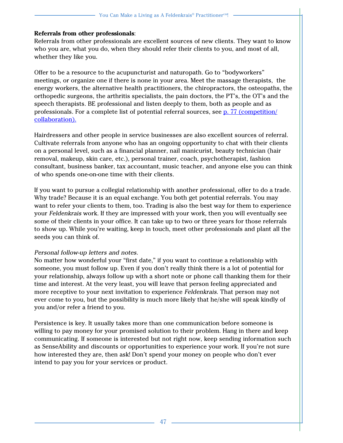### Referrals from other professionals:

Referrals from other professionals are excellent sources of new clients. They want to know who you are, what you do, when they should refer their clients to you, and most of all, whether they like you.

Offer to be a resource to the acupuncturist and naturopath. Go to "bodyworkers" meetings, or organize one if there is none in your area. Meet the massage therapists, the energy workers, the alternative health practitioners, the chiropractors, the osteopaths, the orthopedic surgeons, the arthritis specialists, the pain doctors, the PT's, the OT's and the speech therapists. BE professional and listen deeply to them, both as people and as professionals. For a complete list of potential referral sources, see [p. 77 \(competition/](#page-76-0) [collaboration\).](#page-76-0)

Hairdressers and other people in service businesses are also excellent sources of referral. Cultivate referrals from anyone who has an ongoing opportunity to chat with their clients on a personal level, such as a financial planner, nail manicurist, beauty technician (hair removal, makeup, skin care, etc.), personal trainer, coach, psychotherapist, fashion consultant, business banker, tax accountant, music teacher, and anyone else you can think of who spends one-on-one time with their clients.

If you want to pursue a collegial relationship with another professional, offer to do a trade. Why trade? Because it is an equal exchange. You both get potential referrals. You may want to refer your clients to them, too. Trading is also the best way for them to experience your Feldenkrais work. If they are impressed with your work, then you will eventually see some of their clients in your office. It can take up to two or three years for those referrals to show up. While you're waiting, keep in touch, meet other professionals and plant all the seeds you can think of.

#### Personal follow-up letters and notes.

No matter how wonderful your "first date," if you want to continue a relationship with someone, you must follow up. Even if you don't really think there is a lot of potential for your relationship, always follow up with a short note or phone call thanking them for their time and interest. At the very least, you will leave that person feeling appreciated and more receptive to your next invitation to experience Feldenkrais. That person may not ever come to you, but the possibility is much more likely that he/she will speak kindly of you and/or refer a friend to you.

Persistence is key. It usually takes more than one communication before someone is willing to pay money for your promised solution to their problem. Hang in there and keep communicating. If someone is interested but not right now, keep sending information such as SenseAbility and discounts or opportunities to experience your work. If you're not sure how interested they are, then ask! Don't spend your money on people who don't ever intend to pay you for your services or product.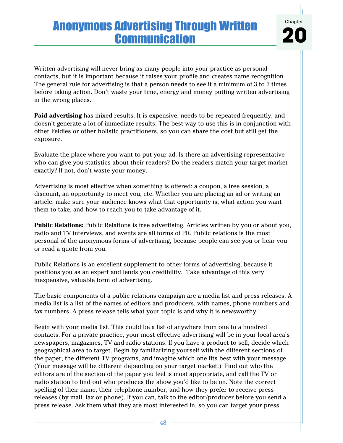## Anonymous Advertising Through Written Communication **20**

Written advertising will never bring as many people into your practice as personal contacts, but it is important because it raises your profile and creates name recognition. The general rule for advertising is that a person needs to see it a minimum of 3 to 7 times before taking action. Don't waste your time, energy and money putting written advertising in the wrong places.

Paid advertising has mixed results. It is expensive, needs to be repeated frequently, and doesn't generate a lot of immediate results. The best way to use this is in conjunction with other Feldies or other holistic practitioners, so you can share the cost but still get the exposure.

Evaluate the place where you want to put your ad. Is there an advertising representative who can give you statistics about their readers? Do the readers match your target market exactly? If not, don't waste your money.

Advertising is most effective when something is offered: a coupon, a free session, a discount, an opportunity to meet you, etc. Whether you are placing an ad or writing an article, make sure your audience knows what that opportunity is, what action you want them to take, and how to reach you to take advantage of it.

Public Relations: Public Relations is free advertising. Articles written by you or about you, radio and TV interviews, and events are all forms of PR. Public relations is the most personal of the anonymous forms of advertising, because people can see you or hear you or read a quote from you.

Public Relations is an excellent supplement to other forms of advertising, because it positions you as an expert and lends you credibility. Take advantage of this very inexpensive, valuable form of advertising.

The basic components of a public relations campaign are a media list and press releases. A media list is a list of the names of editors and producers, with names, phone numbers and fax numbers. A press release tells what your topic is and why it is newsworthy.

Begin with your media list. This could be a list of anywhere from one to a hundred contacts. For a private practice, your most effective advertising will be in your local area's newspapers, magazines, TV and radio stations. If you have a product to sell, decide which geographical area to target. Begin by familiarizing yourself with the different sections of the paper, the different TV programs, and imagine which one fits best with your message. (Your message will be different depending on your target market.) Find out who the editors are of the section of the paper you feel is most appropriate, and call the TV or radio station to find out who produces the show you'd like to be on. Note the correct spelling of their name, their telephone number, and how they prefer to receive press releases (by mail, fax or phone). If you can, talk to the editor/producer before you send a press release. Ask them what they are most interested in, so you can target your press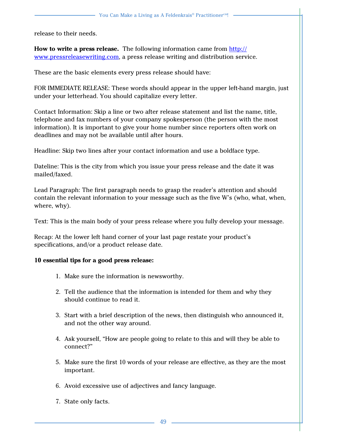release to their needs.

How to write a press release. The following information came from [http://](http://www.pressreleasewriting.com) [www.pressreleasewriting.com](http://www.pressreleasewriting.com), a press release writing and distribution service.

These are the basic elements every press release should have:

FOR IMMEDIATE RELEASE: These words should appear in the upper left-hand margin, just under your letterhead. You should capitalize every letter.

Contact Information: Skip a line or two after release statement and list the name, title, telephone and fax numbers of your company spokesperson (the person with the most information). It is important to give your home number since reporters often work on deadlines and may not be available until after hours.

Headline: Skip two lines after your contact information and use a boldface type.

Dateline: This is the city from which you issue your press release and the date it was mailed/faxed.

Lead Paragraph: The first paragraph needs to grasp the reader's attention and should contain the relevant information to your message such as the five W's (who, what, when, where, why).

Text: This is the main body of your press release where you fully develop your message.

Recap: At the lower left hand corner of your last page restate your product's specifications, and/or a product release date.

### 10 essential tips for a good press release:

- 1. Make sure the information is newsworthy.
- 2. Tell the audience that the information is intended for them and why they should continue to read it.
- 3. Start with a brief description of the news, then distinguish who announced it, and not the other way around.
- 4. Ask yourself, "How are people going to relate to this and will they be able to connect?"
- 5. Make sure the first 10 words of your release are effective, as they are the most important.
- 6. Avoid excessive use of adjectives and fancy language.
- 7. State only facts.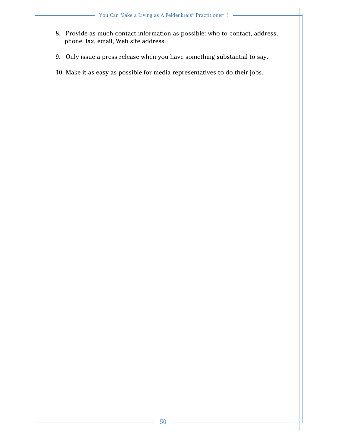- 8. Provide as much contact information as possible: who to contact, address, phone, fax, email, Web site address.
- 9. Only issue a press release when you have something substantial to say.
- 10. Make it as easy as possible for media representatives to do their jobs.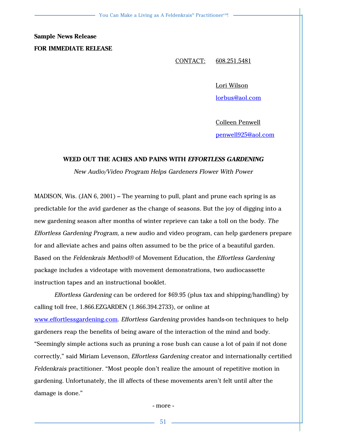### Sample News Release FOR IMMEDIATE RELEASE

CONTACT: 608.251.5481

Lori Wilson

lorbus@aol.com

Colleen Penwell

penwell925@aol.com

#### WEED OUT THE ACHES AND PAINS WITH EFFORTLESS GARDENING

New Audio/Video Program Helps Gardeners Flower With Power

MADISON, Wis. (JAN 6, 2001) – The yearning to pull, plant and prune each spring is as predictable for the avid gardener as the change of seasons. But the joy of digging into a new gardening season after months of winter reprieve can take a toll on the body. The Effortless Gardening Program, a new audio and video program, can help gardeners prepare for and alleviate aches and pains often assumed to be the price of a beautiful garden. Based on the Feldenkrais Method® of Movement Education, the Effortless Gardening package includes a videotape with movement demonstrations, two audiocassette instruction tapes and an instructional booklet.

Effortless Gardening can be ordered for \$69.95 (plus tax and shipping/handling) by calling toll free, 1.866.EZGARDEN (1.866.394.2733), or online at <www.effortlessgardening.com>. Effortless Gardening provides hands-on techniques to help gardeners reap the benefits of being aware of the interaction of the mind and body. "Seemingly simple actions such as pruning a rose bush can cause a lot of pain if not done correctly," said Miriam Levenson, Effortless Gardening creator and internationally certified Feldenkrais practitioner. "Most people don't realize the amount of repetitive motion in gardening. Unfortunately, the ill affects of these movements aren't felt until after the damage is done."

- more -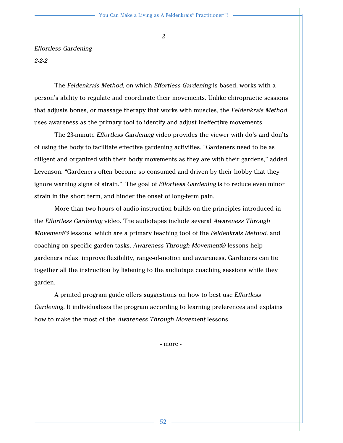2

### Effortless Gardening 2-2-2

The Feldenkrais Method, on which Effortless Gardening is based, works with a person's ability to regulate and coordinate their movements. Unlike chiropractic sessions that adjusts bones, or massage therapy that works with muscles, the Feldenkrais Method uses awareness as the primary tool to identify and adjust ineffective movements.

The 23-minute Effortless Gardening video provides the viewer with do's and don'ts of using the body to facilitate effective gardening activities. "Gardeners need to be as diligent and organized with their body movements as they are with their gardens," added Levenson. "Gardeners often become so consumed and driven by their hobby that they ignore warning signs of strain." The goal of Effortless Gardening is to reduce even minor strain in the short term, and hinder the onset of long-term pain.

More than two hours of audio instruction builds on the principles introduced in the Effortless Gardening video. The audiotapes include several Awareness Through Movement® lessons, which are a primary teaching tool of the Feldenkrais Method, and coaching on specific garden tasks. Awareness Through Movement® lessons help gardeners relax, improve flexibility, range-of-motion and awareness. Gardeners can tie together all the instruction by listening to the audiotape coaching sessions while they garden.

A printed program guide offers suggestions on how to best use Effortless Gardening. It individualizes the program according to learning preferences and explains how to make the most of the Awareness Through Movement lessons.

- more -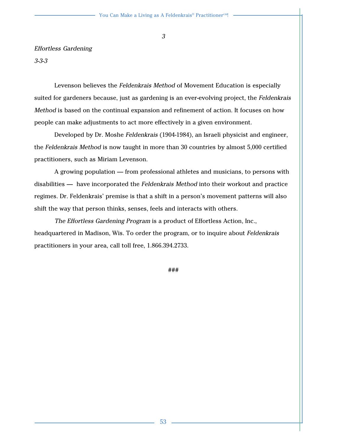3

### Effortless Gardening

3-3-3

Levenson believes the Feldenkrais Method of Movement Education is especially suited for gardeners because, just as gardening is an ever-evolving project, the Feldenkrais Method is based on the continual expansion and refinement of action. It focuses on how people can make adjustments to act more effectively in a given environment.

Developed by Dr. Moshe Feldenkrais (1904-1984), an Israeli physicist and engineer, the Feldenkrais Method is now taught in more than 30 countries by almost 5,000 certified practitioners, such as Miriam Levenson.

A growing population — from professional athletes and musicians, to persons with disabilities — have incorporated the Feldenkrais Method into their workout and practice regimes. Dr. Feldenkrais' premise is that a shift in a person's movement patterns will also shift the way that person thinks, senses, feels and interacts with others.

The Effortless Gardening Program is a product of Effortless Action, Inc., headquartered in Madison, Wis. To order the program, or to inquire about Feldenkrais practitioners in your area, call toll free, 1.866.394.2733.

###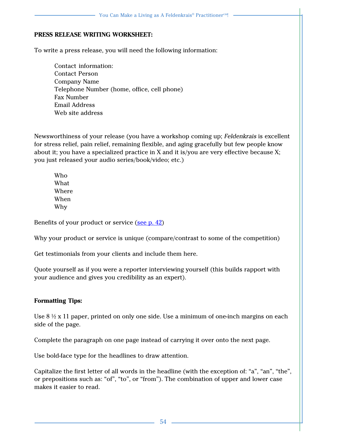### PRESS RELEASE WRITING WORKSHEET:

To write a press release, you will need the following information:

Contact information: Contact Person Company Name Telephone Number (home, office, cell phone) Fax Number Email Address Web site address

Newsworthiness of your release (you have a workshop coming up; Feldenkrais is excellent for stress relief, pain relief, remaining flexible, and aging gracefully but few people know about it; you have a specialized practice in X and it is/you are very effective because X; you just released your audio series/book/video; etc.)

Who What Where When Why

Benefits of your product or service [\(see p. 42\)](#page-41-0)

Why your product or service is unique (compare/contrast to some of the competition)

Get testimonials from your clients and include them here.

Quote yourself as if you were a reporter interviewing yourself (this builds rapport with your audience and gives you credibility as an expert).

### Formatting Tips:

Use  $8 \frac{1}{2}$  x 11 paper, printed on only one side. Use a minimum of one-inch margins on each side of the page.

Complete the paragraph on one page instead of carrying it over onto the next page.

Use bold-face type for the headlines to draw attention.

Capitalize the first letter of all words in the headline (with the exception of: "a", "an", "the", or prepositions such as: "of", "to", or "from"). The combination of upper and lower case makes it easier to read.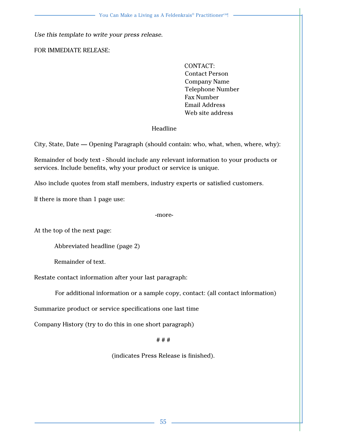Use this template to write your press release.

### FOR IMMEDIATE RELEASE:

 CONTACT: Contact Person Company Name Telephone Number Fax Number Email Address Web site address

#### Headline

City, State, Date — Opening Paragraph (should contain: who, what, when, where, why):

Remainder of body text - Should include any relevant information to your products or services. Include benefits, why your product or service is unique.

Also include quotes from staff members, industry experts or satisfied customers.

If there is more than 1 page use:

#### -more-

At the top of the next page:

Abbreviated headline (page 2)

Remainder of text.

Restate contact information after your last paragraph:

For additional information or a sample copy, contact: (all contact information)

Summarize product or service specifications one last time

Company History (try to do this in one short paragraph)

# # #

(indicates Press Release is finished).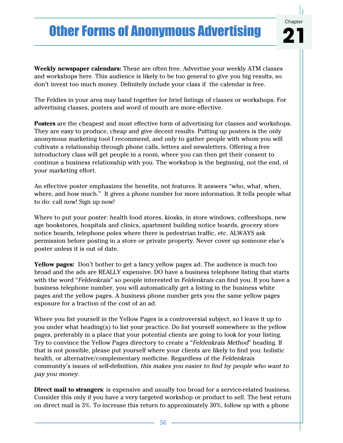# Other Forms of Anonymous Advertising **21**

Weekly newspaper calendars: These are often free. Advertise your weekly ATM classes and workshops here. This audience is likely to be too general to give you big results, so don't invest too much money. Definitely include your class if the calendar is free.

The Feldies in your area may band together for brief listings of classes or workshops. For advertising classes, posters and word of mouth are more effective.

**Posters** are the cheapest and most effective form of advertising for classes and workshops. They are easy to produce, cheap and give decent results. Putting up posters is the only anonymous marketing tool I recommend, and only to gather people with whom you will cultivate a relationship through phone calls, letters and newsletters. Offering a free introductory class will get people in a room, where you can then get their consent to continue a business relationship with you. The workshop is the beginning, not the end, of your marketing effort.

An effective poster emphasizes the benefits, not features. It answers "who, what, when, where, and how much." It gives a phone number for more information. It tells people what to do: call now! Sign up now!

Where to put your poster: health food stores, kiosks, in store windows, coffeeshops, new age bookstores, hospitals and clinics, apartment building notice boards, grocery store notice boards, telephone poles where there is pedestrian traffic, etc. ALWAYS ask permission before posting in a store or private property. Never cover up someone else's poster unless it is out of date.

Yellow pages: Don't bother to get a fancy yellow pages ad. The audience is much too broad and the ads are REALLY expensive. DO have a business telephone listing that starts with the word "Feldenkrais" so people interested in Feldenkrais can find you. If you have a business telephone number, you will automatically get a listing in the business white pages and the yellow pages. A business phone number gets you the same yellow pages exposure for a fraction of the cost of an ad.

Where you list yourself in the Yellow Pages is a controversial subject, so I leave it up to you under what heading(s) to list your practice. Do list yourself somewhere in the yellow pages, preferably in a place that your potential clients are going to look for your listing. Try to convince the Yellow Pages directory to create a "Feldenkrais Method" heading. If that is not possible, please put yourself where your clients are likely to find you: holistic health, or alternative/complementary medicine. Regardless of the Feldenkrais community's issues of self-definition, this makes you easier to find by people who want to pay you money.

Direct mail to strangers: is expensive and usually too broad for a service-related business. Consider this only if you have a very targeted workshop or product to sell. The best return on direct mail is 3%. To increase this return to approximately 30%, follow up with a phone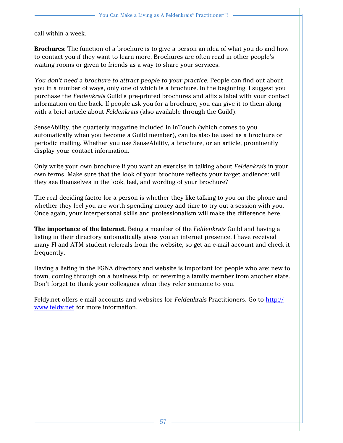call within a week.

Brochures: The function of a brochure is to give a person an idea of what you do and how to contact you if they want to learn more. Brochures are often read in other people's waiting rooms or given to friends as a way to share your services.

You don't need a brochure to attract people to your practice. People can find out about you in a number of ways, only one of which is a brochure. In the beginning, I suggest you purchase the Feldenkrais Guild's pre-printed brochures and affix a label with your contact information on the back. If people ask you for a brochure, you can give it to them along with a brief article about *Feldenkrais* (also available through the Guild).

SenseAbility, the quarterly magazine included in InTouch (which comes to you automatically when you become a Guild member), can be also be used as a brochure or periodic mailing. Whether you use SenseAbility, a brochure, or an article, prominently display your contact information.

Only write your own brochure if you want an exercise in talking about Feldenkrais in your own terms. Make sure that the look of your brochure reflects your target audience: will they see themselves in the look, feel, and wording of your brochure?

The real deciding factor for a person is whether they like talking to you on the phone and whether they feel you are worth spending money and time to try out a session with you. Once again, your interpersonal skills and professionalism will make the difference here.

The importance of the Internet. Being a member of the Feldenkrais Guild and having a listing in their directory automatically gives you an internet presence. I have received many FI and ATM student referrals from the website, so get an e-mail account and check it frequently.

Having a listing in the FGNA directory and website is important for people who are: new to town, coming through on a business trip, or referring a family member from another state. Don't forget to thank your colleagues when they refer someone to you.

Feldy.net offers e-mail accounts and websites for Feldenkrais Practitioners. Go to [http://](http://www.feldy.net) [www.feldy.net](http://www.feldy.net) for more information.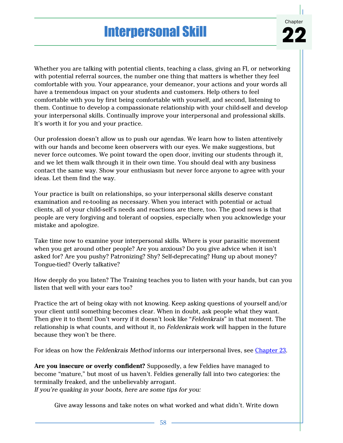## Interpersonal Skill **22**

Whether you are talking with potential clients, teaching a class, giving an FI, or networking with potential referral sources, the number one thing that matters is whether they feel comfortable with you. Your appearance, your demeanor, your actions and your words all have a tremendous impact on your students and customers. Help others to feel comfortable with you by first being comfortable with yourself, and second, listening to them. Continue to develop a compassionate relationship with your child-self and develop your interpersonal skills. Continually improve your interpersonal and professional skills. It's worth it for you and your practice.

Our profession doesn't allow us to push our agendas. We learn how to listen attentively with our hands and become keen observers with our eyes. We make suggestions, but never force outcomes. We point toward the open door, inviting our students through it, and we let them walk through it in their own time. You should deal with any business contact the same way. Show your enthusiasm but never force anyone to agree with your ideas. Let them find the way.

Your practice is built on relationships, so your interpersonal skills deserve constant examination and re-tooling as necessary. When you interact with potential or actual clients, all of your child-self's needs and reactions are there, too. The good news is that people are very forgiving and tolerant of oopsies, especially when you acknowledge your mistake and apologize.

Take time now to examine your interpersonal skills. Where is your parasitic movement when you get around other people? Are you anxious? Do you give advice when it isn't asked for? Are you pushy? Patronizing? Shy? Self-deprecating? Hung up about money? Tongue-tied? Overly talkative?

How deeply do you listen? The Training teaches you to listen with your hands, but can you listen that well with your ears too?

Practice the art of being okay with not knowing. Keep asking questions of yourself and/or your client until something becomes clear. When in doubt, ask people what they want. Then give it to them! Don't worry if it doesn't look like "Feldenkrais" in that moment. The relationship is what counts, and without it, no Feldenkrais work will happen in the future because they won't be there.

For ideas on how the Feldenkrais Method informs our interpersonal lives, see [Chapter 23.](#page-59-0)

Are you insecure or overly confident? Supposedly, a few Feldies have managed to become "mature," but most of us haven't. Feldies generally fall into two categories: the terminally freaked, and the unbelievably arrogant.

If you're quaking in your boots, here are some tips for you:

Give away lessons and take notes on what worked and what didn't. Write down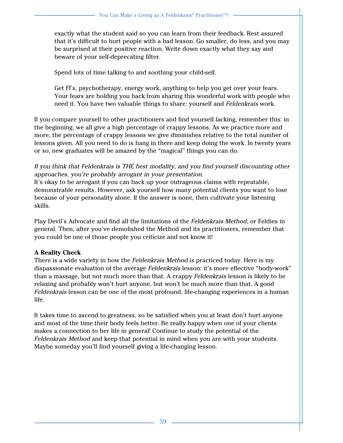exactly what the student said so you can learn from their feedback. Rest assured that it's difficult to hurt people with a bad lesson. Go smaller, do less, and you may be surprised at their positive reaction. Write down exactly what they say and beware of your self-deprecating filter.

Spend lots of time talking to and soothing your child-self.

Get FI's, psychotherapy, energy work, anything to help you get over your fears. Your fears are holding you back from sharing this wonderful work with people who need it. You have two valuable things to share: yourself and Feldenkrais work.

If you compare yourself to other practitioners and find yourself lacking, remember this: in the beginning, we all give a high percentage of crappy lessons. As we practice more and more, the percentage of crappy lessons we give diminishes relative to the total number of lessons given. All you need to do is hang in there and keep doing the work. In twenty years or so, new graduates will be amazed by the "magical" things you can do.

If you think that Feldenkrais is THE best modality, and you find yourself discounting other approaches, you're probably arrogant in your presentation.

It's okay to be arrogant if you can back up your outrageous claims with repeatable, demonstrable results. However, ask yourself how many potential clients you want to lose because of your personality alone. If the answer is none, then cultivate your listening skills.

Play Devil's Advocate and find all the limitations of the Feldenkrais Method, or Feldies in general. Then, after you've demolished the Method and its practitioners, remember that you could be one of those people you criticize and not know it!

### A Reality Check

There is a wide variety in how the Feldenkrais Method is practiced today. Here is my dispassionate evaluation of the average Feldenkrais lesson: it's more effective "body-work" than a massage, but not much more than that. A crappy Feldenkrais lesson is likely to be relaxing and probably won't hurt anyone, but won't be much more than that. A good Feldenkrais lesson can be one of the most profound, life-changing experiences in a human life.

It takes time to ascend to greatness, so be satisfied when you at least don't hurt anyone and most of the time their body feels better. Be really happy when one of your clients makes a connection to her life in general! Continue to study the potential of the Feldenkrais Method and keep that potential in mind when you are with your students. Maybe someday you'll find yourself giving a life-changing lesson.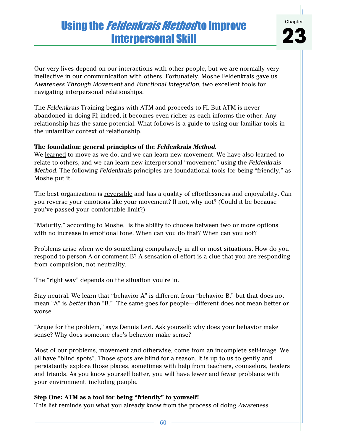### <span id="page-59-0"></span>Using the *Feldenkrais Method* to Improve Interpersonal Skill **23**

Our very lives depend on our interactions with other people, but we are normally very ineffective in our communication with others. Fortunately, Moshe Feldenkrais gave us Awareness Through Movement and Functional Integration, two excellent tools for navigating interpersonal relationships.

The Feldenkrais Training begins with ATM and proceeds to FI. But ATM is never abandoned in doing FI; indeed, it becomes even richer as each informs the other. Any relationship has the same potential. What follows is a guide to using our familiar tools in the unfamiliar context of relationship.

### The foundation: general principles of the Feldenkrais Method.

We learned to move as we do, and we can learn new movement. We have also learned to relate to others, and we can learn new interpersonal "movement" using the Feldenkrais Method. The following Feldenkrais principles are foundational tools for being "friendly," as Moshe put it.

The best organization is reversible and has a quality of effortlessness and enjoyability. Can you reverse your emotions like your movement? If not, why not? (Could it be because you've passed your comfortable limit?)

"Maturity," according to Moshe, is the ability to choose between two or more options with no increase in emotional tone. When can you do that? When can you not?

Problems arise when we do something compulsively in all or most situations. How do you respond to person A or comment B? A sensation of effort is a clue that you are responding from compulsion, not neutrality.

The "right way" depends on the situation you're in.

Stay neutral. We learn that "behavior A" is different from "behavior B," but that does not mean "A" is better than "B." The same goes for people—different does not mean better or worse.

"Argue for the problem," says Dennis Leri. Ask yourself: why does your behavior make sense? Why does someone else's behavior make sense?

Most of our problems, movement and otherwise, come from an incomplete self-image. We all have "blind spots". Those spots are blind for a reason. It is up to us to gently and persistently explore those places, sometimes with help from teachers, counselors, healers and friends. As you know yourself better, you will have fewer and fewer problems with your environment, including people.

### Step One: ATM as a tool for being "friendly" to yourself!

This list reminds you what you already know from the process of doing Awareness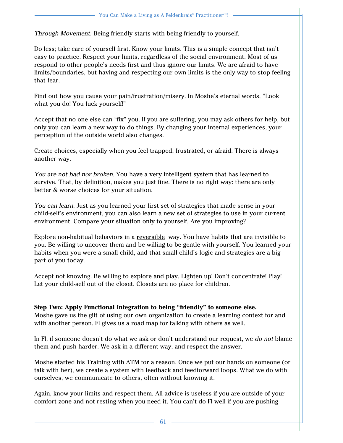Through Movement. Being friendly starts with being friendly to yourself.

Do less; take care of yourself first. Know your limits. This is a simple concept that isn't easy to practice. Respect your limits, regardless of the social environment. Most of us respond to other people's needs first and thus ignore our limits. We are afraid to have limits/boundaries, but having and respecting our own limits is the only way to stop feeling that fear.

Find out how you cause your pain/frustration/misery. In Moshe's eternal words, "Look what you do! You fuck yourself!"

Accept that no one else can "fix" you. If you are suffering, you may ask others for help, but only you can learn a new way to do things. By changing your internal experiences, your perception of the outside world also changes.

Create choices, especially when you feel trapped, frustrated, or afraid. There is always another way.

You are not bad nor broken. You have a very intelligent system that has learned to survive. That, by definition, makes you just fine. There is no right way: there are only better & worse choices for your situation.

You can learn. Just as you learned your first set of strategies that made sense in your child-self's environment, you can also learn a new set of strategies to use in your current environment. Compare your situation only to yourself. Are you improving?

Explore non-habitual behaviors in a reversible way. You have habits that are invisible to you. Be willing to uncover them and be willing to be gentle with yourself. You learned your habits when you were a small child, and that small child's logic and strategies are a big part of you today.

Accept not knowing. Be willing to explore and play. Lighten up! Don't concentrate! Play! Let your child-self out of the closet. Closets are no place for children.

Step Two: Apply Functional Integration to being "friendly" to someone else. Moshe gave us the gift of using our own organization to create a learning context for and with another person. FI gives us a road map for talking with others as well.

In FI, if someone doesn't do what we ask or don't understand our request, we do not blame them and push harder. We ask in a different way, and respect the answer.

Moshe started his Training with ATM for a reason. Once we put our hands on someone (or talk with her), we create a system with feedback and feedforward loops. What we do with ourselves, we communicate to others, often without knowing it.

Again, know your limits and respect them. All advice is useless if you are outside of your comfort zone and not resting when you need it. You can't do FI well if you are pushing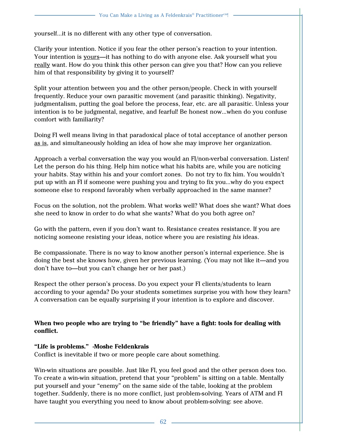yourself...it is no different with any other type of conversation.

Clarify your intention. Notice if you fear the other person's reaction to your intention. Your intention is yours—it has nothing to do with anyone else. Ask yourself what you really want. How do you think this other person can give you that? How can you relieve him of that responsibility by giving it to yourself?

Split your attention between you and the other person/people. Check in with yourself frequently. Reduce your own parasitic movement (and parasitic thinking). Negativity, judgmentalism, putting the goal before the process, fear, etc. are all parasitic. Unless your intention is to be judgmental, negative, and fearful! Be honest now...when do you confuse comfort with familiarity?

Doing FI well means living in that paradoxical place of total acceptance of another person as is, and simultaneously holding an idea of how she may improve her organization.

Approach a verbal conversation the way you would an FI/non-verbal conversation. Listen! Let the person do his thing. Help him notice what his habits are, while you are noticing your habits. Stay within his and your comfort zones. Do not try to fix him. You wouldn't put up with an FI if someone were pushing you and trying to fix you...why do you expect someone else to respond favorably when verbally approached in the same manner?

Focus on the solution, not the problem. What works well? What does she want? What does she need to know in order to do what she wants? What do you both agree on?

Go with the pattern, even if you don't want to. Resistance creates resistance. If you are noticing someone resisting your ideas, notice where you are resisting his ideas.

Be compassionate. There is no way to know another person's internal experience. She is doing the best she knows how, given her previous learning. (You may not like it—and you don't have to—but you can't change her or her past.)

Respect the other person's process. Do you expect your FI clients/students to learn according to your agenda? Do your students sometimes surprise you with how they learn? A conversation can be equally surprising if your intention is to explore and discover.

### When two people who are trying to "be friendly" have a fight: tools for dealing with conflict.

### "Life is problems." -Moshe Feldenkrais

Conflict is inevitable if two or more people care about something.

Win-win situations are possible. Just like FI, you feel good and the other person does too. To create a win-win situation, pretend that your "problem" is sitting on a table. Mentally put yourself and your "enemy" on the same side of the table, looking at the problem together. Suddenly, there is no more conflict, just problem-solving. Years of ATM and FI have taught you everything you need to know about problem-solving: see above.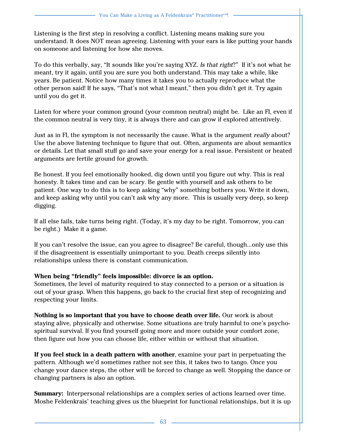Listening is the first step in resolving a conflict. Listening means making sure you understand. It does NOT mean agreeing. Listening with your ears is like putting your hands on someone and listening for how she moves.

To do this verbally, say, "It sounds like you're saying XYZ. Is that right?" If it's not what he meant, try it again, until you are sure you both understand. This may take a while, like years. Be patient. Notice how many times it takes you to actually reproduce what the other person said! If he says, "That's not what I meant," then you didn't get it. Try again until you do get it.

Listen for where your common ground (your common neutral) might be. Like an FI, even if the common neutral is very tiny, it is always there and can grow if explored attentively.

Just as in FI, the symptom is not necessarily the cause. What is the argument really about? Use the above listening technique to figure that out. Often, arguments are about semantics or details. Let that small stuff go and save your energy for a real issue. Persistent or heated arguments are fertile ground for growth.

Be honest. If you feel emotionally hooked, dig down until you figure out why. This is real honesty. It takes time and can be scary. Be gentle with yourself and ask others to be patient. One way to do this is to keep asking "why" something bothers you. Write it down, and keep asking why until you can't ask why any more. This is usually very deep, so keep digging.

If all else fails, take turns being right. (Today, it's my day to be right. Tomorrow, you can be right.) Make it a game.

If you can't resolve the issue, can you agree to disagree? Be careful, though...only use this if the disagreement is essentially unimportant to you. Death creeps silently into relationships unless there is constant communication.

### When being "friendly" feels impossible: divorce is an option.

Sometimes, the level of maturity required to stay connected to a person or a situation is out of your grasp. When this happens, go back to the crucial first step of recognizing and respecting your limits.

Nothing is so important that you have to choose death over life. Our work is about staying alive, physically and otherwise. Some situations are truly harmful to one's psychospiritual survival. If you find yourself going more and more outside your comfort zone, then figure out how you can choose life, either within or without that situation.

If you feel stuck in a death pattern with another, examine your part in perpetuating the pattern. Although we'd sometimes rather not see this, it takes two to tango. Once you change your dance steps, the other will be forced to change as well. Stopping the dance or changing partners is also an option.

Summary: Interpersonal relationships are a complex series of actions learned over time. Moshe Feldenkrais' teaching gives us the blueprint for functional relationships, but it is up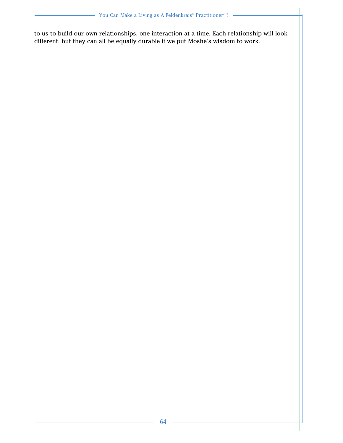to us to build our own relationships, one interaction at a time. Each relationship will look different, but they can all be equally durable if we put Moshe's wisdom to work.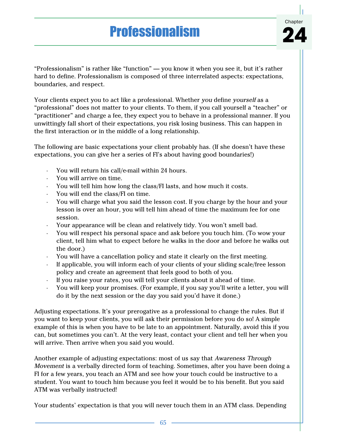# Professionalism **24**

"Professionalism" is rather like "function" — you know it when you see it, but it's rather hard to define. Professionalism is composed of three interrelated aspects: expectations, boundaries, and respect.

Your clients expect you to act like a professional. Whether you define yourself as a "professional" does not matter to your clients. To them, if you call yourself a "teacher" or "practitioner" and charge a fee, they expect you to behave in a professional manner. If you unwittingly fall short of their expectations, you risk losing business. This can happen in the first interaction or in the middle of a long relationship.

The following are basic expectations your client probably has. (If she doesn't have these expectations, you can give her a series of FI's about having good boundaries!)

- You will return his call/e-mail within 24 hours.
- · You will arrive on time.
- You will tell him how long the class/FI lasts, and how much it costs.
- You will end the class/FI on time.
- · You will charge what you said the lesson cost. If you charge by the hour and your lesson is over an hour, you will tell him ahead of time the maximum fee for one session.
- Your appearance will be clean and relatively tidy. You won't smell bad.
- · You will respect his personal space and ask before you touch him. (To wow your client, tell him what to expect before he walks in the door and before he walks out the door.)
- · You will have a cancellation policy and state it clearly on the first meeting.
- If applicable, you will inform each of your clients of your sliding scale/free lesson policy and create an agreement that feels good to both of you.
- If you raise your rates, you will tell your clients about it ahead of time.
- You will keep your promises. (For example, if you say you'll write a letter, you will do it by the next session or the day you said you'd have it done.)

Adjusting expectations. It's your prerogative as a professional to change the rules. But if you want to keep your clients, you will ask their permission before you do so! A simple example of this is when you have to be late to an appointment. Naturally, avoid this if you can, but sometimes you can't. At the very least, contact your client and tell her when you will arrive. Then arrive when you said you would.

Another example of adjusting expectations: most of us say that Awareness Through Movement is a verbally directed form of teaching. Sometimes, after you have been doing a FI for a few years, you teach an ATM and see how your touch could be instructive to a student. You want to touch him because you feel it would be to his benefit. But you said ATM was verbally instructed!

Your students' expectation is that you will never touch them in an ATM class. Depending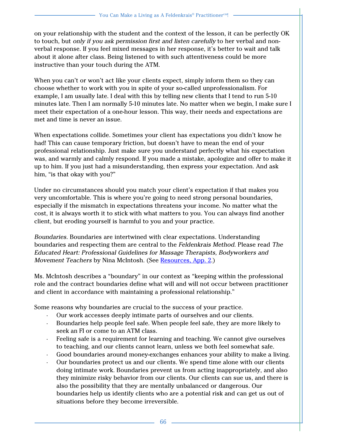on your relationship with the student and the context of the lesson, it can be perfectly OK to touch, but only if you ask permission first and listen carefully to her verbal and nonverbal response. If you feel mixed messages in her response, it's better to wait and talk about it alone after class. Being listened to with such attentiveness could be more instructive than your touch during the ATM.

When you can't or won't act like your clients expect, simply inform them so they can choose whether to work with you in spite of your so-called unprofessionalism. For example, I am usually late. I deal with this by telling new clients that I tend to run 5-10 minutes late. Then I am normally 5-10 minutes late. No matter when we begin, I make sure I meet their expectation of a one-hour lesson. This way, their needs and expectations are met and time is never an issue.

When expectations collide. Sometimes your client has expectations you didn't know he had! This can cause temporary friction, but doesn't have to mean the end of your professional relationship. Just make sure you understand perfectly what his expectation was, and warmly and calmly respond. If you made a mistake, apologize and offer to make it up to him. If you just had a misunderstanding, then express your expectation. And ask him, "is that okay with you?"

Under no circumstances should you match your client's expectation if that makes you very uncomfortable. This is where you're going to need strong personal boundaries, especially if the mismatch in expectations threatens your income. No matter what the cost, it is always worth it to stick with what matters to you. You can always find another client, but eroding yourself is harmful to you and your practice.

Boundaries. Boundaries are intertwined with clear expectations. Understanding boundaries and respecting them are central to the Feldenkrais Method. Please read The Educated Heart: Professional Guidelines for Massage Therapists, Bodyworkers and Movement Teachers by Nina McIntosh. (See [Resources, App. 2.](#page-119-0))

Ms. McIntosh describes a "boundary" in our context as "keeping within the professional role and the contract boundaries define what will and will not occur between practitioner and client in accordance with maintaining a professional relationship."

Some reasons why boundaries are crucial to the success of your practice.

- Our work accesses deeply intimate parts of ourselves and our clients.
- · Boundaries help people feel safe. When people feel safe, they are more likely to seek an FI or come to an ATM class.
- Feeling safe is a requirement for learning and teaching. We cannot give ourselves to teaching, and our clients cannot learn, unless we both feel somewhat safe.
- Good boundaries around money-exchanges enhances your ability to make a living.
- · Our boundaries protect us and our clients. We spend time alone with our clients doing intimate work. Boundaries prevent us from acting inappropriately, and also they minimize risky behavior from our clients. Our clients can sue us, and there is also the possibility that they are mentally unbalanced or dangerous. Our boundaries help us identify clients who are a potential risk and can get us out of situations before they become irreversible.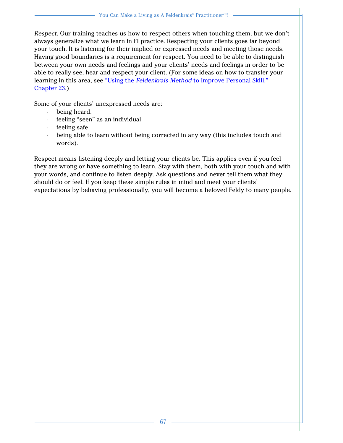Respect. Our training teaches us how to respect others when touching them, but we don't always generalize what we learn in FI practice. Respecting your clients goes far beyond your touch. It is listening for their implied or expressed needs and meeting those needs. Having good boundaries is a requirement for respect. You need to be able to distinguish between your own needs and feelings and your clients' needs and feelings in order to be able to really see, hear and respect your client. (For some ideas on how to transfer your learning in this area, see "Using the Feldenkrais Method [to Improve Personal Skill,"](#page-59-0) [Chapter 23.](#page-59-0))

Some of your clients' unexpressed needs are:

- being heard.
- · feeling "seen" as an individual
- · feeling safe
- being able to learn without being corrected in any way (this includes touch and words).

Respect means listening deeply and letting your clients be. This applies even if you feel they are wrong or have something to learn. Stay with them, both with your touch and with your words, and continue to listen deeply. Ask questions and never tell them what they should do or feel. If you keep these simple rules in mind and meet your clients' expectations by behaving professionally, you will become a beloved Feldy to many people.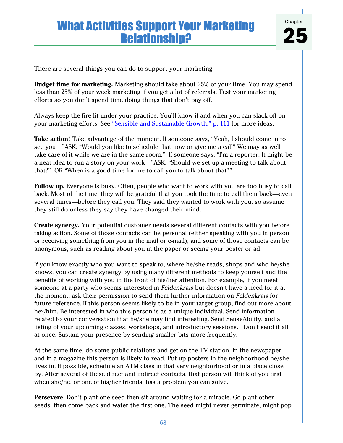## What Activities Support Your Marketing Relationship? **25**

There are several things you can do to support your marketing

**Budget time for marketing.** Marketing should take about 25% of your time. You may spend less than 25% of your week marketing if you get a lot of referrals. Test your marketing efforts so you don't spend time doing things that don't pay off.

Always keep the fire lit under your practice. You'll know if and when you can slack off on your marketing efforts. See ["Sensible and Sustainable Growth," p. 111](#page-110-0) for more ideas.

Take action! Take advantage of the moment. If someone says, "Yeah, I should come in to see you…"ASK: "Would you like to schedule that now or give me a call? We may as well take care of it while we are in the same room." If someone says, "I'm a reporter. It might be a neat idea to run a story on your work…"ASK: "Should we set up a meeting to talk about that?" OR "When is a good time for me to call you to talk about that?"

Follow up. Everyone is busy. Often, people who want to work with you are too busy to call back. Most of the time, they will be grateful that you took the time to call them back—even several times—before they call you. They said they wanted to work with you, so assume they still do unless they say they have changed their mind.

Create synergy. Your potential customer needs several different contacts with you before taking action. Some of those contacts can be personal (either speaking with you in person or receiving something from you in the mail or e-mail), and some of those contacts can be anonymous, such as reading about you in the paper or seeing your poster or ad.

If you know exactly who you want to speak to, where he/she reads, shops and who he/she knows, you can create synergy by using many different methods to keep yourself and the benefits of working with you in the front of his/her attention. For example, if you meet someone at a party who seems interested in Feldenkrais but doesn't have a need for it at the moment, ask their permission to send them further information on Feldenkrais for future reference. If this person seems likely to be in your target group, find out more about her/him. Be interested in who this person is as a unique individual. Send information related to your conversation that he/she may find interesting. Send SenseAbility, and a listing of your upcoming classes, workshops, and introductory sessions. Don't send it all at once. Sustain your presence by sending smaller bits more frequently.

At the same time, do some public relations and get on the TV station, in the newspaper and in a magazine this person is likely to read. Put up posters in the neighborhood he/she lives in. If possible, schedule an ATM class in that very neighborhood or in a place close by. After several of these direct and indirect contacts, that person will think of you first when she/he, or one of his/her friends, has a problem you can solve.

**Persevere.** Don't plant one seed then sit around waiting for a miracle. Go plant other seeds, then come back and water the first one. The seed might never germinate, might pop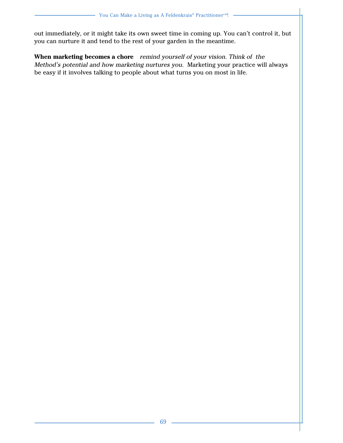out immediately, or it might take its own sweet time in coming up. You can't control it, but you can nurture it and tend to the rest of your garden in the meantime.

When marketing becomes a chore remind yourself of your vision. Think of the Method's potential and how marketing nurtures you. Marketing your practice will always be easy if it involves talking to people about what turns you on most in life.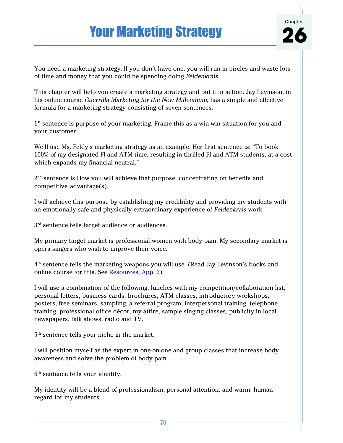# **Your Marketing Strategy**



You need a marketing strategy. If you don't have one, you will run in circles and waste lots of time and money that you could be spending doing Feldenkrais.

This chapter will help you create a marketing strategy and put it in action. Jay Levinson, in his online course Guerrilla Marketing for the New Millennium, has a simple and effective formula for a marketing strategy consisting of seven sentences.

1st sentence is purpose of your marketing. Frame this as a win-win situation for you and your customer.

We'll use Ms. Feldy's marketing strategy as an example. Her first sentence is: "To book 100% of my designated FI and ATM time, resulting in thrilled FI and ATM students, at a cost which expands my financial neutral."

 $2<sup>nd</sup>$  sentence is How you will achieve that purpose, concentrating on benefits and competitive advantage(s).

I will achieve this purpose by establishing my credibility and providing my students with an emotionally safe and physically extraordinary experience of Feldenkrais work.

 $3<sup>rd</sup>$  sentence tells target audience or audiences.

My primary target market is professional women with body pain. My secondary market is opera singers who wish to improve their voice.

4th sentence tells the marketing weapons you will use. (Read Jay Levinson's books and online course for this. Se[e Resources, App. 2\)](#page-119-0)

I will use a combination of the following: lunches with my competition/collaboration list, personal letters, business cards, brochures, ATM classes, introductory workshops, posters, free seminars, sampling, a referral program, interpersonal training, telephone training, professional office décor, my attire, sample singing classes, publicity in local newspapers, talk shows, radio and TV.

5th sentence tells your niche in the market.

I will position myself as the expert in one-on-one and group classes that increase body awareness and solve the problem of body pain.

6th sentence tells your identity.

My identity will be a blend of professionalism, personal attention, and warm, human regard for my students.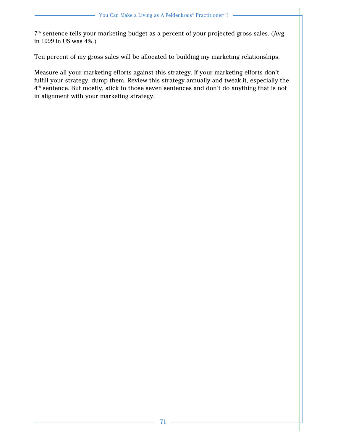7th sentence tells your marketing budget as a percent of your projected gross sales. (Avg. in 1999 in US was 4%.)

Ten percent of my gross sales will be allocated to building my marketing relationships.

Measure all your marketing efforts against this strategy. If your marketing efforts don't fulfill your strategy, dump them. Review this strategy annually and tweak it, especially the 4th sentence. But mostly, stick to those seven sentences and don't do anything that is not in alignment with your marketing strategy.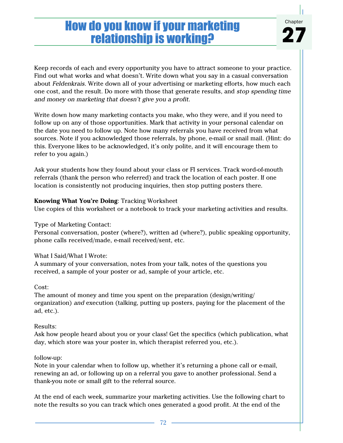## How do you know if your marketing relationship is working? **27**

Keep records of each and every opportunity you have to attract someone to your practice. Find out what works and what doesn't. Write down what you say in a casual conversation about Feldenkrais. Write down all of your advertising or marketing efforts, how much each one cost, and the result. Do more with those that generate results, and stop spending time and money on marketing that doesn't give you a profit.

Write down how many marketing contacts you make, who they were, and if you need to follow up on any of those opportunities. Mark that activity in your personal calendar on the date you need to follow up. Note how many referrals you have received from what sources. Note if you acknowledged those referrals, by phone, e-mail or snail mail. (Hint: do this. Everyone likes to be acknowledged, it's only polite, and it will encourage them to refer to you again.)

Ask your students how they found about your class or FI services. Track word-of-mouth referrals (thank the person who referred) and track the location of each poster. If one location is consistently not producing inquiries, then stop putting posters there.

### Knowing What You're Doing: Tracking Worksheet

Use copies of this worksheet or a notebook to track your marketing activities and results.

### Type of Marketing Contact:

Personal conversation, poster (where?), written ad (where?), public speaking opportunity, phone calls received/made, e-mail received/sent, etc.

### What I Said/What I Wrote:

A summary of your conversation, notes from your talk, notes of the questions you received, a sample of your poster or ad, sample of your article, etc.

### Cost:

The amount of money and time you spent on the preparation (design/writing/ organization) and execution (talking, putting up posters, paying for the placement of the ad, etc.).

### Results:

Ask how people heard about you or your class! Get the specifics (which publication, what day, which store was your poster in, which therapist referred you, etc.).

### follow-up:

Note in your calendar when to follow up, whether it's returning a phone call or e-mail, renewing an ad, or following up on a referral you gave to another professional. Send a thank-you note or small gift to the referral source.

At the end of each week, summarize your marketing activities. Use the following chart to note the results so you can track which ones generated a good profit. At the end of the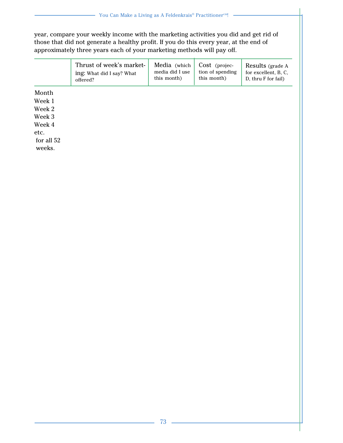year, compare your weekly income with the marketing activities you did and get rid of those that did not generate a healthy profit. If you do this every year, at the end of approximately three years each of your marketing methods will pay off.

|                              | Thrust of week's market-<br>ing: What did I say? What<br>offered? | Media (which<br>media did I use<br>this month) | Cost (projec-<br>tion of spending<br>this month) | Results (grade A<br>for excellent, B, C,<br>D, thru F for fail) |
|------------------------------|-------------------------------------------------------------------|------------------------------------------------|--------------------------------------------------|-----------------------------------------------------------------|
| Month                        |                                                                   |                                                |                                                  |                                                                 |
| Week 1                       |                                                                   |                                                |                                                  |                                                                 |
| Week 2                       |                                                                   |                                                |                                                  |                                                                 |
| Week 3                       |                                                                   |                                                |                                                  |                                                                 |
| Week 4                       |                                                                   |                                                |                                                  |                                                                 |
| etc.<br>for all 52<br>weeks. |                                                                   |                                                |                                                  |                                                                 |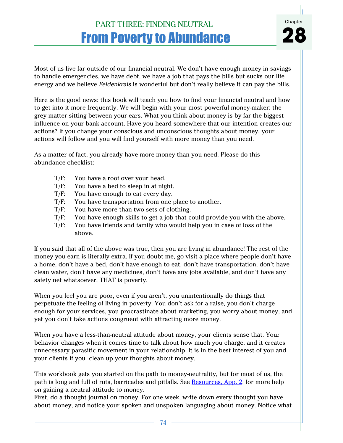### PART THREE: FINDING NEUTRAL **From Poverty to Abundance**

Most of us live far outside of our financial neutral. We don't have enough money in savings to handle emergencies, we have debt, we have a job that pays the bills but sucks our life energy and we believe *Feldenkrais* is wonderful but don't really believe it can pay the bills.

Here is the good news: this book will teach you how to find your financial neutral and how to get into it more frequently. We will begin with your most powerful money-maker: the grey matter sitting between your ears. What you think about money is by far the biggest influence on your bank account. Have you heard somewhere that our intention creates our actions? If you change your conscious and unconscious thoughts about money, your actions will follow and you will find yourself with more money than you need.

As a matter of fact, you already have more money than you need. Please do this abundance-checklist:

- T/F: You have a roof over your head.
- T/F: You have a bed to sleep in at night.
- T/F: You have enough to eat every day.
- T/F: You have transportation from one place to another.
- T/F: You have more than two sets of clothing.
- T/F: You have enough skills to get a job that could provide you with the above.
- T/F: You have friends and family who would help you in case of loss of the above.

If you said that all of the above was true, then you are living in abundance! The rest of the money you earn is literally extra. If you doubt me, go visit a place where people don't have a home, don't have a bed, don't have enough to eat, don't have transportation, don't have clean water, don't have any medicines, don't have any jobs available, and don't have any safety net whatsoever. THAT is poverty.

When you feel you are poor, even if you aren't, you unintentionally do things that perpetuate the feeling of living in poverty. You don't ask for a raise, you don't charge enough for your services, you procrastinate about marketing, you worry about money, and yet you don't take actions congruent with attracting more money.

When you have a less-than-neutral attitude about money, your clients sense that. Your behavior changes when it comes time to talk about how much you charge, and it creates unnecessary parasitic movement in your relationship. It is in the best interest of you and your clients if you clean up your thoughts about money.

This workbook gets you started on the path to money-neutrality, but for most of us, the path is long and full of ruts, barricades and pitfalls. See [Resources, App. 2,](#page-119-0) for more help on gaining a neutral attitude to money.

First, do a thought journal on money. For one week, write down every thought you have about money, and notice your spoken and unspoken languaging about money. Notice what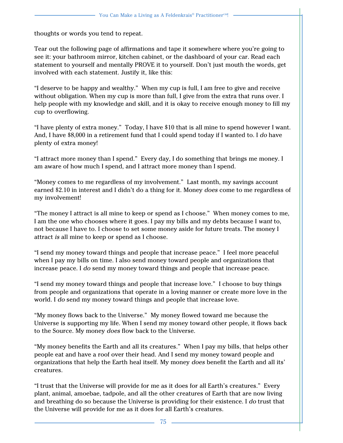thoughts or words you tend to repeat.

Tear out the following page of affirmations and tape it somewhere where you're going to see it: your bathroom mirror, kitchen cabinet, or the dashboard of your car. Read each statement to yourself and mentally PROVE it to yourself. Don't just mouth the words, get involved with each statement. Justify it, like this:

"I deserve to be happy and wealthy." When my cup is full, I am free to give and receive without obligation. When my cup is more than full, I give from the extra that runs over. I help people with my knowledge and skill, and it is okay to receive enough money to fill my cup to overflowing.

"I have plenty of extra money." Today, I have \$10 that is all mine to spend however I want. And, I have \$8,000 in a retirement fund that I could spend today if I wanted to. I do have plenty of extra money!

"I attract more money than I spend." Every day, I do something that brings me money. I am aware of how much I spend, and I attract more money than I spend.

"Money comes to me regardless of my involvement." Last month, my savings account earned \$2.10 in interest and I didn't do a thing for it. Money does come to me regardless of my involvement!

"The money I attract is all mine to keep or spend as I choose." When money comes to me, I am the one who chooses where it goes. I pay my bills and my debts because I want to, not because I have to. I choose to set some money aside for future treats. The money I attract is all mine to keep or spend as I choose.

"I send my money toward things and people that increase peace." I feel more peaceful when I pay my bills on time. I also send money toward people and organizations that increase peace. I do send my money toward things and people that increase peace.

"I send my money toward things and people that increase love." I choose to buy things from people and organizations that operate in a loving manner or create more love in the world. I do send my money toward things and people that increase love.

"My money flows back to the Universe." My money flowed toward me because the Universe is supporting my life. When I send my money toward other people, it flows back to the Source. My money does flow back to the Universe.

"My money benefits the Earth and all its creatures." When I pay my bills, that helps other people eat and have a roof over their head. And I send my money toward people and organizations that help the Earth heal itself. My money does benefit the Earth and all its' creatures.

"I trust that the Universe will provide for me as it does for all Earth's creatures." Every plant, animal, amoebae, tadpole, and all the other creatures of Earth that are now living and breathing do so because the Universe is providing for their existence. I do trust that the Universe will provide for me as it does for all Earth's creatures.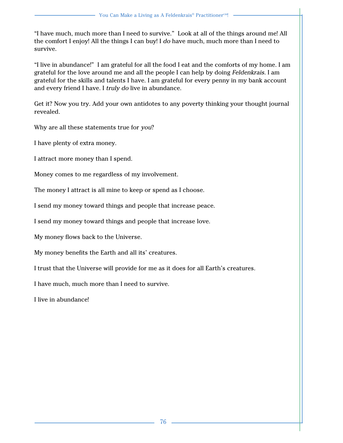"I have much, much more than I need to survive." Look at all of the things around me! All the comfort I enjoy! All the things I can buy! I do have much, much more than I need to survive.

"I live in abundance!" I am grateful for all the food I eat and the comforts of my home. I am grateful for the love around me and all the people I can help by doing Feldenkrais. I am grateful for the skills and talents I have. I am grateful for every penny in my bank account and every friend I have. I truly do live in abundance.

Get it? Now you try. Add your own antidotes to any poverty thinking your thought journal revealed.

Why are all these statements true for you?

I have plenty of extra money.

I attract more money than I spend.

Money comes to me regardless of my involvement.

The money I attract is all mine to keep or spend as I choose.

I send my money toward things and people that increase peace.

I send my money toward things and people that increase love.

My money flows back to the Universe.

My money benefits the Earth and all its' creatures.

I trust that the Universe will provide for me as it does for all Earth's creatures.

I have much, much more than I need to survive.

I live in abundance!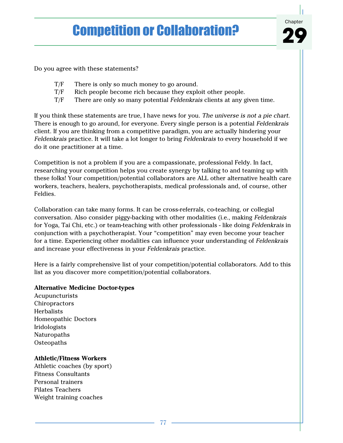### Competition or Collaboration? **29**

**Chapter** 

#### Do you agree with these statements?

- T/F There is only so much money to go around.
- T/F Rich people become rich because they exploit other people.
- $T/F$  There are only so many potential Feldenkrais clients at any given time.

If you think these statements are true, I have news for you. The universe is not a pie chart. There is enough to go around, for everyone. Every single person is a potential Feldenkrais client. If you are thinking from a competitive paradigm, you are actually hindering your Feldenkrais practice. It will take a lot longer to bring Feldenkrais to every household if we do it one practitioner at a time.

Competition is not a problem if you are a compassionate, professional Feldy. In fact, researching your competition helps you create synergy by talking to and teaming up with these folks! Your competition/potential collaborators are ALL other alternative health care workers, teachers, healers, psychotherapists, medical professionals and, of course, other Feldies.

Collaboration can take many forms. It can be cross-referrals, co-teaching, or collegial conversation. Also consider piggy-backing with other modalities (i.e., making Feldenkrais for Yoga, Tai Chi, etc.) or team-teaching with other professionals - like doing Feldenkrais in conjunction with a psychotherapist. Your "competition" may even become your teacher for a time. Experiencing other modalities can influence your understanding of Feldenkrais and increase your effectiveness in your Feldenkrais practice.

Here is a fairly comprehensive list of your competition/potential collaborators. Add to this list as you discover more competition/potential collaborators.

#### Alternative Medicine Doctor-types

Acupuncturists **Chiropractors** Herbalists Homeopathic Doctors Iridologists Naturopaths **Osteopaths** 

#### Athletic/Fitness Workers

Athletic coaches (by sport) Fitness Consultants Personal trainers Pilates Teachers Weight training coaches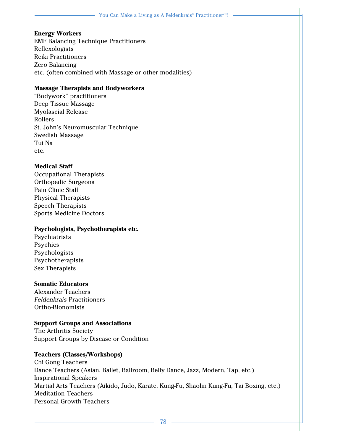#### Energy Workers

EMF Balancing Technique Practitioners Reflexologists Reiki Practitioners Zero Balancing etc. (often combined with Massage or other modalities)

#### Massage Therapists and Bodyworkers

"Bodywork" practitioners Deep Tissue Massage Myofascial Release Rolfers St. John's Neuromuscular Technique Swedish Massage Tui Na etc.

#### Medical Staff

Occupational Therapists Orthopedic Surgeons Pain Clinic Staff Physical Therapists Speech Therapists Sports Medicine Doctors

#### Psychologists, Psychotherapists etc.

Psychiatrists Psychics Psychologists Psychotherapists Sex Therapists

#### Somatic Educators

Alexander Teachers Feldenkrais Practitioners Ortho-Bionomists

#### Support Groups and Associations

The Arthritis Society Support Groups by Disease or Condition

#### Teachers (Classes/Workshops)

Chi Gong Teachers Dance Teachers (Asian, Ballet, Ballroom, Belly Dance, Jazz, Modern, Tap, etc.) Inspirational Speakers Martial Arts Teachers (Aikido, Judo, Karate, Kung-Fu, Shaolin Kung-Fu, Tai Boxing, etc.) Meditation Teachers Personal Growth Teachers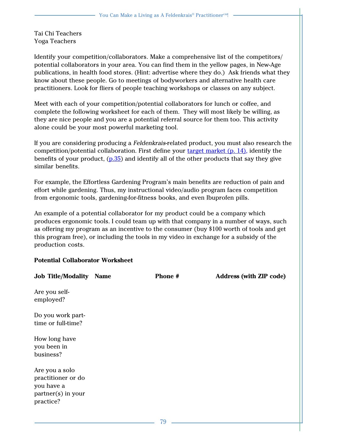Tai Chi Teachers Yoga Teachers

Identify your competition/collaborators. Make a comprehensive list of the competitors/ potential collaborators in your area. You can find them in the yellow pages, in New-Age publications, in health food stores. (Hint: advertise where they do.) Ask friends what they know about these people. Go to meetings of bodyworkers and alternative health care practitioners. Look for fliers of people teaching workshops or classes on any subject.

Meet with each of your competition/potential collaborators for lunch or coffee, and complete the following worksheet for each of them. They will most likely be willing, as they are nice people and you are a potential referral source for them too. This activity alone could be your most powerful marketing tool.

If you are considering producing a Feldenkrais-related product, you must also research the competition/potential collaboration. First define your [target market \(p. 14\),](#page-13-0) identify the benefits of your product,  $(p.35)$  $(p.35)$  and identify all of the other products that say they give similar benefits.

For example, the Effortless Gardening Program's main benefits are reduction of pain and effort while gardening. Thus, my instructional video/audio program faces competition from ergonomic tools, gardening-for-fitness books, and even Ibuprofen pills.

An example of a potential collaborator for my product could be a company which produces ergonomic tools. I could team up with that company in a number of ways, such as offering my program as an incentive to the consumer (buy \$100 worth of tools and get this program free), or including the tools in my video in exchange for a subsidy of the production costs.

#### Potential Collaborator Worksheet

| <b>Job Title/Modality Name</b>                                                        | <b>Phone</b> # | <b>Address (with ZIP code)</b> |
|---------------------------------------------------------------------------------------|----------------|--------------------------------|
| Are you self-<br>employed?                                                            |                |                                |
| Do you work part-<br>time or full-time?                                               |                |                                |
| How long have<br>you been in<br>business?                                             |                |                                |
| Are you a solo<br>practitioner or do<br>you have a<br>partner(s) in your<br>practice? |                |                                |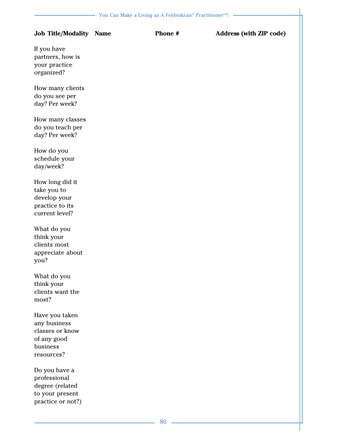#### Job Title/Modality Name Phone # Address (with ZIP code)

| If you have<br>partners, how is<br>your practice<br>organized?                             |
|--------------------------------------------------------------------------------------------|
| How many clients<br>do you see per<br>day? Per week?                                       |
| How many classes<br>do you teach per<br>day? Per week?                                     |
| How do you<br>schedule your<br>day/week?                                                   |
| How long did it<br>take you to<br>develop your<br>practice to its<br>current level?        |
| What do you<br>think your<br>clients most<br>appreciate about<br>you?                      |
| What do you<br>think your<br>clients want the<br>most?                                     |
| Have you taken<br>any business<br>classes or know<br>of any good<br>business<br>resources? |
| Do you have a<br>professional<br>degree (related<br>to your present<br>practice or not?)   |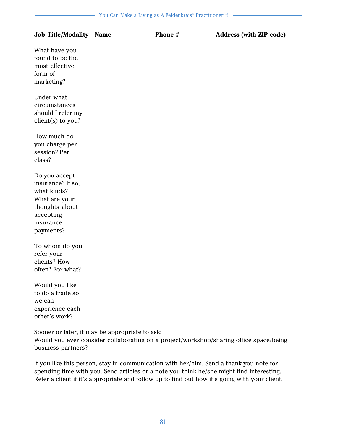|  | <b>Job Title/Modality</b> | <b>Name</b> |
|--|---------------------------|-------------|
|--|---------------------------|-------------|

Phone # Address (with ZIP code)

What have you found to be the most effective form of marketing? Under what circumstances should I refer my client(s) to you? How much do

you charge per session? Per class?

Do you accept insurance? If so, what kinds? What are your thoughts about accepting insurance payments?

To whom do you refer your clients? How often? For what?

Would you like to do a trade so we can experience each other's work?

Sooner or later, it may be appropriate to ask: Would you ever consider collaborating on a project/workshop/sharing office space/being business partners?

If you like this person, stay in communication with her/him. Send a thank-you note for spending time with you. Send articles or a note you think he/she might find interesting. Refer a client if it's appropriate and follow up to find out how it's going with your client.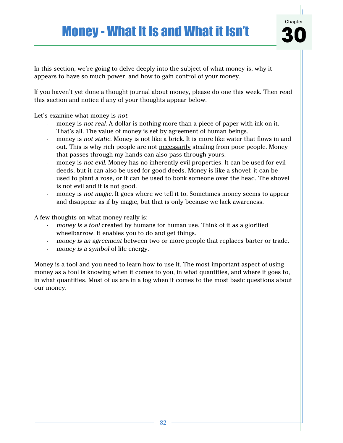## Money - What It Is and What it Isn't **30**

In this section, we're going to delve deeply into the subject of what money is, why it appears to have so much power, and how to gain control of your money.

If you haven't yet done a thought journal about money, please do one this week. Then read this section and notice if any of your thoughts appear below.

Let's examine what money is not.

- money is not real. A dollar is nothing more than a piece of paper with ink on it. That's all. The value of money is set by agreement of human beings.
- money is not static. Money is not like a brick. It is more like water that flows in and out. This is why rich people are not necessarily stealing from poor people. Money that passes through my hands can also pass through yours.
- money is not evil. Money has no inherently evil properties. It can be used for evil deeds, but it can also be used for good deeds. Money is like a shovel: it can be used to plant a rose, or it can be used to bonk someone over the head. The shovel is not evil and it is not good.
- money is not magic. It goes where we tell it to. Sometimes money seems to appear and disappear as if by magic, but that is only because we lack awareness.

A few thoughts on what money really is:

- · money is a tool created by humans for human use. Think of it as a glorified wheelbarrow. It enables you to do and get things.
- money is an agreement between two or more people that replaces barter or trade.
- money is a symbol of life energy.

Money is a tool and you need to learn how to use it. The most important aspect of using money as a tool is knowing when it comes to you, in what quantities, and where it goes to, in what quantities. Most of us are in a fog when it comes to the most basic questions about our money.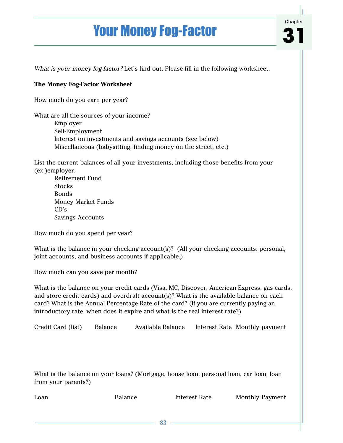### **Your Money Fog-Factor**

What is your money fog-factor? Let's find out. Please fill in the following worksheet.

#### The Money Fog-Factor Worksheet

How much do you earn per year?

What are all the sources of your income? Employer Self-Employment Interest on investments and savings accounts (see below) Miscellaneous (babysitting, finding money on the street, etc.)

List the current balances of all your investments, including those benefits from your (ex-)employer.

Retirement Fund **Stocks** Bonds Money Market Funds CD's Savings Accounts

How much do you spend per year?

What is the balance in your checking account(s)? (All your checking accounts: personal, joint accounts, and business accounts if applicable.)

How much can you save per month?

What is the balance on your credit cards (Visa, MC, Discover, American Express, gas cards, and store credit cards) and overdraft account(s)? What is the available balance on each card? What is the Annual Percentage Rate of the card? (If you are currently paying an introductory rate, when does it expire and what is the real interest rate?)

Credit Card (list) Balance Available Balance Interest Rate Monthly payment

What is the balance on your loans? (Mortgage, house loan, personal loan, car loan, loan from your parents?)

| Loan | Balance | Interest Rate | <b>Monthly Payment</b> |
|------|---------|---------------|------------------------|
|      |         |               |                        |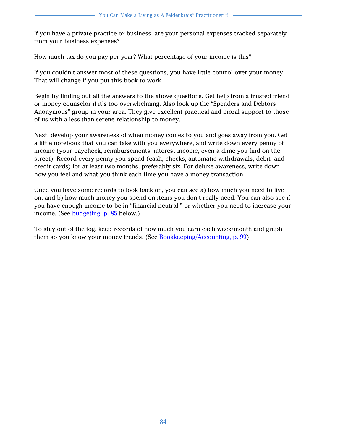If you have a private practice or business, are your personal expenses tracked separately from your business expenses?

How much tax do you pay per year? What percentage of your income is this?

If you couldn't answer most of these questions, you have little control over your money. That will change if you put this book to work.

Begin by finding out all the answers to the above questions. Get help from a trusted friend or money counselor if it's too overwhelming. Also look up the "Spenders and Debtors Anonymous" group in your area. They give excellent practical and moral support to those of us with a less-than-serene relationship to money.

Next, develop your awareness of when money comes to you and goes away from you. Get a little notebook that you can take with you everywhere, and write down every penny of income (your paycheck, reimbursements, interest income, even a dime you find on the street). Record every penny you spend (cash, checks, automatic withdrawals, debit- and credit cards) for at least two months, preferably six. For deluxe awareness, write down how you feel and what you think each time you have a money transaction.

Once you have some records to look back on, you can see a) how much you need to live on, and b) how much money you spend on items you don't really need. You can also see if you have enough income to be in "financial neutral," or whether you need to increase your income. (See [budgeting, p. 85](#page-84-0) below.)

To stay out of the fog, keep records of how much you earn each week/month and graph them so you know your money trends. (See [Bookkeeping/Accounting, p. 99\)](#page-98-0)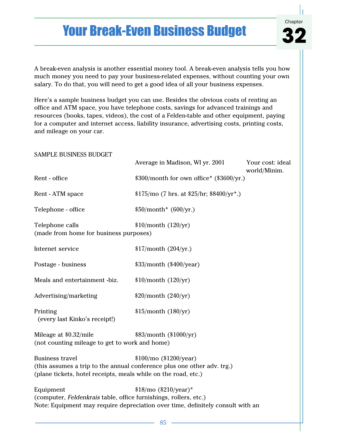# <span id="page-84-0"></span>Your Break-Even Business Budget **32**

A break-even analysis is another essential money tool. A break-even analysis tells you how much money you need to pay your business-related expenses, without counting your own salary. To do that, you will need to get a good idea of all your business expenses.

Here's a sample business budget you can use. Besides the obvious costs of renting an office and ATM space, you have telephone costs, savings for advanced trainings and resources (books, tapes, videos), the cost of a Felden-table and other equipment, paying for a computer and internet access, liability insurance, advertising costs, printing costs, and mileage on your car.

| <b>SAMPLE BUSINESS BUDGET</b>                                                            |                                                                                                          |                                  |
|------------------------------------------------------------------------------------------|----------------------------------------------------------------------------------------------------------|----------------------------------|
|                                                                                          | Average in Madison, WI yr. 2001                                                                          | Your cost: ideal<br>world/Minim. |
| Rent - office                                                                            | $$300/m$ onth for own office* (\$3600/yr.)                                                               |                                  |
| Rent - ATM space                                                                         | $$175/mo$ (7 hrs. at $$25/hr$ ; $$8400/yr*$ .)                                                           |                                  |
| Telephone - office                                                                       | $$50/month*(600/yr.)$                                                                                    |                                  |
| Telephone calls<br>(made from home for business purposes)                                | \$10/month (120/yr)                                                                                      |                                  |
| Internet service                                                                         | \$17/month (204/yr.)                                                                                     |                                  |
| Postage - business                                                                       | \$33/month (\$400/year)                                                                                  |                                  |
| Meals and entertainment -biz.                                                            | \$10/month (120/yr)                                                                                      |                                  |
| Advertising/marketing                                                                    | \$20/month (240/yr)                                                                                      |                                  |
| Printing<br>(every last Kinko's receipt!)                                                | \$15/month (180/yr)                                                                                      |                                  |
| Mileage at $$0.32$ /mile<br>(not counting mileage to get to work and home)               | \$83/month (\$1000/yr)                                                                                   |                                  |
| <b>Business travel</b><br>(plane tickets, hotel receipts, meals while on the road, etc.) | $$100/mol$ (\$1200/year)<br>(this assumes a trip to the annual conference plus one other adv. trg.)      |                                  |
| Equipment<br>(computer, Feldenkrais table, office furnishings, rollers, etc.)            | $$18/mol ($210/year)*$<br>Note: Equipment may require depreciation over time, definitely consult with an |                                  |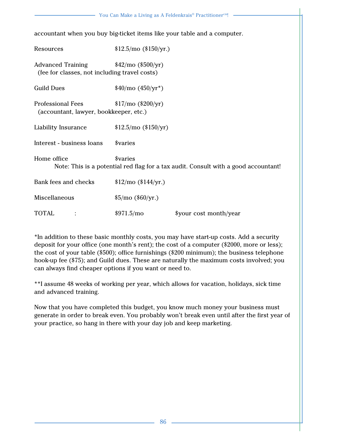accountant when you buy big-ticket items like your table and a computer.

| Resources                                                                 | $$12.5/mol$ (\$150/yr.) |                                                                                     |
|---------------------------------------------------------------------------|-------------------------|-------------------------------------------------------------------------------------|
| <b>Advanced Training</b><br>(fee for classes, not including travel costs) | \$42/mo (\$500/yr)      |                                                                                     |
| <b>Guild Dues</b>                                                         | $$40/mo (450/yr*)$      |                                                                                     |
| <b>Professional Fees</b><br>(accountant, lawyer, bookkeeper, etc.)        | $$17/mol$ (\$200/yr)    |                                                                                     |
| Liability Insurance                                                       | $$12.5/mol$ (\$150/yr)  |                                                                                     |
| Interest - business loans                                                 | <i><b>\$varies</b></i>  |                                                                                     |
| Home office                                                               | <i><b>\$varies</b></i>  | Note: This is a potential red flag for a tax audit. Consult with a good accountant! |
| Bank fees and checks                                                      | \$12/mol (\$144/yr.)    |                                                                                     |
| Miscellaneous                                                             | \$5/mo (\$60/yr.)       |                                                                                     |
| <b>TOTAL</b>                                                              | \$971.5/mo              | \$your cost month/year                                                              |

\*In addition to these basic monthly costs, you may have start-up costs. Add a security deposit for your office (one month's rent); the cost of a computer (\$2000, more or less); the cost of your table (\$500); office furnishings (\$200 minimum); the business telephone hook-up fee (\$75); and Guild dues. These are naturally the maximum costs involved; you can always find cheaper options if you want or need to.

\*\*I assume 48 weeks of working per year, which allows for vacation, holidays, sick time and advanced training.

Now that you have completed this budget, you know much money your business must generate in order to break even. You probably won't break even until after the first year of your practice, so hang in there with your day job and keep marketing.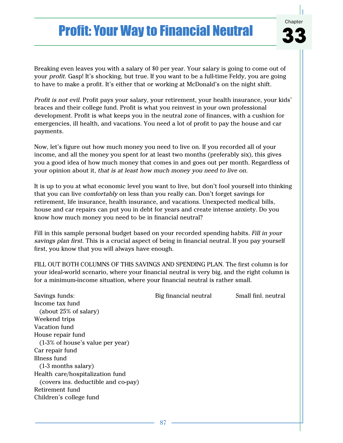### Profit: Your Way to Financial Neutral **33**

Breaking even leaves you with a salary of \$0 per year. Your salary is going to come out of your *profit*. Gasp! It's shocking, but true. If you want to be a full-time Feldy, you are going to have to make a profit. It's either that or working at McDonald's on the night shift.

Profit is not evil. Profit pays your salary, your retirement, your health insurance, your kids' braces and their college fund. Profit is what you reinvest in your own professional development. Profit is what keeps you in the neutral zone of finances, with a cushion for emergencies, ill health, and vacations. You need a lot of profit to pay the house and car payments.

Now, let's figure out how much money you need to live on. If you recorded all of your income, and all the money you spent for at least two months (preferably six), this gives you a good idea of how much money that comes in and goes out per month. Regardless of your opinion about it, that is at least how much money you need to live on.

It is up to you at what economic level you want to live, but don't fool yourself into thinking that you can live comfortably on less than you really can. Don't forget savings for retirement, life insurance, health insurance, and vacations. Unexpected medical bills, house and car repairs can put you in debt for years and create intense anxiety. Do you know how much money you need to be in financial neutral?

Fill in this sample personal budget based on your recorded spending habits. Fill in your savings plan first. This is a crucial aspect of being in financial neutral. If you pay yourself first, you know that you will always have enough.

FILL OUT BOTH COLUMNS OF THIS SAVINGS AND SPENDING PLAN. The first column is for your ideal-world scenario, where your financial neutral is very big, and the right column is for a minimum-income situation, where your financial neutral is rather small.

Savings funds: Big financial neutral Small finl. neutral

Income tax fund (about 25% of salary) Weekend trips Vacation fund House repair fund (1-3% of house's value per year) Car repair fund Illness fund (1-3 months salary) Health care/hospitalization fund (covers ins. deductible and co-pay) Retirement fund Children's college fund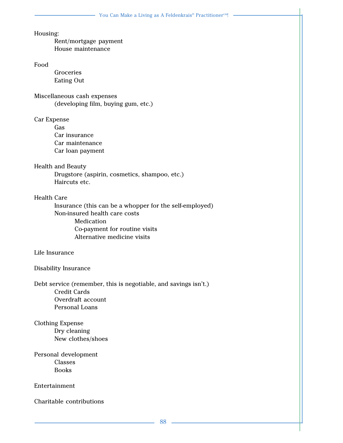Housing:

Rent/mortgage payment House maintenance

#### Food

Groceries Eating Out

Miscellaneous cash expenses (developing film, buying gum, etc.)

#### Car Expense

Gas Car insurance Car maintenance Car loan payment

Health and Beauty

Drugstore (aspirin, cosmetics, shampoo, etc.) Haircuts etc.

#### Health Care

Insurance (this can be a whopper for the self-employed) Non-insured health care costs Medication Co-payment for routine visits Alternative medicine visits

Life Insurance

Disability Insurance

Debt service (remember, this is negotiable, and savings isn't.) Credit Cards Overdraft account Personal Loans

#### Clothing Expense Dry cleaning New clothes/shoes

#### Personal development Classes Books

#### Entertainment

Charitable contributions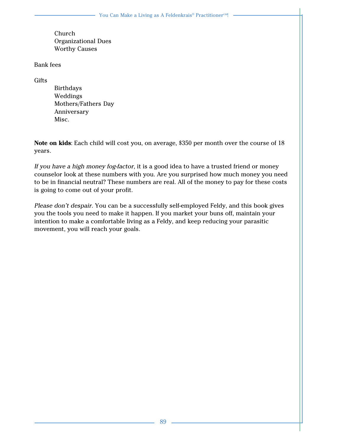Church Organizational Dues Worthy Causes

Bank fees

**Gifts** 

Birthdays Weddings Mothers/Fathers Day Anniversary Misc.

Note on kids: Each child will cost you, on average, \$350 per month over the course of 18 years.

If you have a high money fog-factor, it is a good idea to have a trusted friend or money counselor look at these numbers with you. Are you surprised how much money you need to be in financial neutral? These numbers are real. All of the money to pay for these costs is going to come out of your profit.

Please don't despair. You can be a successfully self-employed Feldy, and this book gives you the tools you need to make it happen. If you market your buns off, maintain your intention to make a comfortable living as a Feldy, and keep reducing your parasitic movement, you will reach your goals.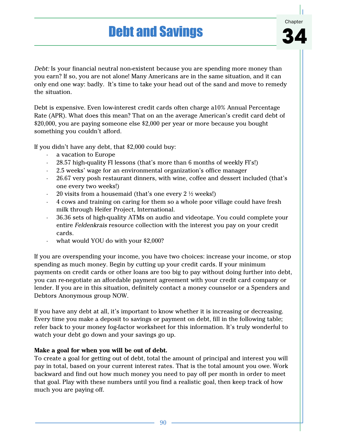### **Debt and Savings**

Debt: Is your financial neutral non-existent because you are spending more money than you earn? If so, you are not alone! Many Americans are in the same situation, and it can only end one way: badly. It's time to take your head out of the sand and move to remedy the situation.

Debt is expensive. Even low-interest credit cards often charge a10% Annual Percentage Rate (APR). What does this mean? That on an the average American's credit card debt of \$20,000, you are paying someone else \$2,000 per year or more because you bought something you couldn't afford.

If you didn't have any debt, that \$2,000 could buy:

- a vacation to Europe
- · 28.57 high-quality FI lessons (that's more than 6 months of weekly FI's!)
- · 2.5 weeks' wage for an environmental organization's office manager
- 26.67 very posh restaurant dinners, with wine, coffee and dessert included (that's one every two weeks!)
- 20 visits from a housemaid (that's one every  $2 \frac{1}{2}$  weeks!)
- · 4 cows and training on caring for them so a whole poor village could have fresh milk through Heifer Project, International.
- · 36.36 sets of high-quality ATMs on audio and videotape. You could complete your entire Feldenkrais resource collection with the interest you pay on your credit cards.
- what would YOU do with your \$2,000?

If you are overspending your income, you have two choices: increase your income, or stop spending as much money. Begin by cutting up your credit cards. If your minimum payments on credit cards or other loans are too big to pay without doing further into debt, you can re-negotiate an affordable payment agreement with your credit card company or lender. If you are in this situation, definitely contact a money counselor or a Spenders and Debtors Anonymous group NOW.

If you have any debt at all, it's important to know whether it is increasing or decreasing. Every time you make a deposit to savings or payment on debt, fill in the following table; refer back to your money fog-factor worksheet for this information. It's truly wonderful to watch your debt go down and your savings go up.

#### Make a goal for when you will be out of debt.

To create a goal for getting out of debt, total the amount of principal and interest you will pay in total, based on your current interest rates. That is the total amount you owe. Work backward and find out how much money you need to pay off per month in order to meet that goal. Play with these numbers until you find a realistic goal, then keep track of how much you are paying off.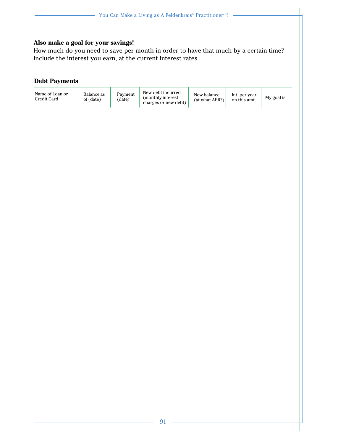#### Also make a goal for your savings!

How much do you need to save per month in order to have that much by a certain time? Include the interest you earn, at the current interest rates.

#### Debt Payments

| Name of Loan or<br>Payment<br>Balance as<br>New balance<br>Int. per year<br>My goal is<br>(monthly interest)<br>Credit Card<br>of (date)<br>(date)<br>(at what APR?)<br>on this amt.<br>charges or new debt) |
|--------------------------------------------------------------------------------------------------------------------------------------------------------------------------------------------------------------|
|--------------------------------------------------------------------------------------------------------------------------------------------------------------------------------------------------------------|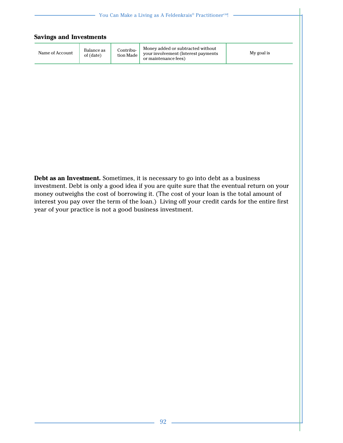#### Savings and Investments

|--|

Debt as an Investment. Sometimes, it is necessary to go into debt as a business investment. Debt is only a good idea if you are quite sure that the eventual return on your money outweighs the cost of borrowing it. (The cost of your loan is the total amount of interest you pay over the term of the loan.) Living off your credit cards for the entire first year of your practice is not a good business investment.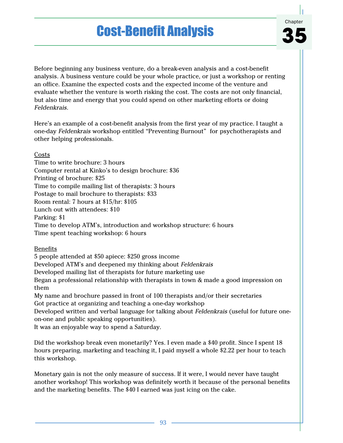### Cost-Benefit Analysis **35**

Before beginning any business venture, do a break-even analysis and a cost-benefit analysis. A business venture could be your whole practice, or just a workshop or renting an office. Examine the expected costs and the expected income of the venture and evaluate whether the venture is worth risking the cost. The costs are not only financial, but also time and energy that you could spend on other marketing efforts or doing Feldenkrais.

Here's an example of a cost-benefit analysis from the first year of my practice. I taught a one-day Feldenkrais workshop entitled "Preventing Burnout" for psychotherapists and other helping professionals.

Costs

Time to write brochure: 3 hours Computer rental at Kinko's to design brochure: \$36 Printing of brochure: \$25 Time to compile mailing list of therapists: 3 hours Postage to mail brochure to therapists: \$33 Room rental: 7 hours at \$15/hr: \$105 Lunch out with attendees: \$10 Parking: \$1 Time to develop ATM's, introduction and workshop structure: 6 hours Time spent teaching workshop: 6 hours

Benefits

5 people attended at \$50 apiece: \$250 gross income

Developed ATM's and deepened my thinking about Feldenkrais

Developed mailing list of therapists for future marketing use

Began a professional relationship with therapists in town & made a good impression on them

My name and brochure passed in front of 100 therapists and/or their secretaries Got practice at organizing and teaching a one-day workshop

Developed written and verbal language for talking about Feldenkrais (useful for future oneon-one and public speaking opportunities).

It was an enjoyable way to spend a Saturday.

Did the workshop break even monetarily? Yes. I even made a \$40 profit. Since I spent 18 hours preparing, marketing and teaching it, I paid myself a whole \$2.22 per hour to teach this workshop.

Monetary gain is not the only measure of success. If it were, I would never have taught another workshop! This workshop was definitely worth it because of the personal benefits and the marketing benefits. The \$40 I earned was just icing on the cake.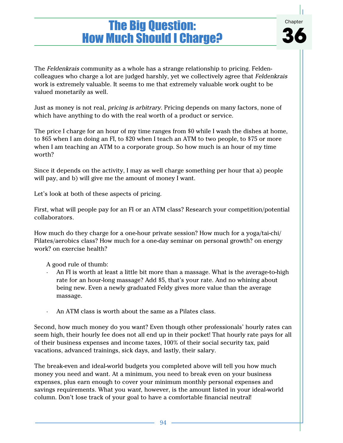### The Big Question: **How Much Should I Charge?**

The Feldenkrais community as a whole has a strange relationship to pricing. Feldencolleagues who charge a lot are judged harshly, yet we collectively agree that Feldenkrais work is extremely valuable. It seems to me that extremely valuable work ought to be valued monetarily as well.

Just as money is not real, pricing is arbitrary. Pricing depends on many factors, none of which have anything to do with the real worth of a product or service.

The price I charge for an hour of my time ranges from \$0 while I wash the dishes at home, to \$65 when I am doing an FI, to \$20 when I teach an ATM to two people, to \$75 or more when I am teaching an ATM to a corporate group. So how much is an hour of my time worth?

Since it depends on the activity, I may as well charge something per hour that a) people will pay, and b) will give me the amount of money I want.

Let's look at both of these aspects of pricing.

First, what will people pay for an FI or an ATM class? Research your competition/potential collaborators.

How much do they charge for a one-hour private session? How much for a yoga/tai-chi/ Pilates/aerobics class? How much for a one-day seminar on personal growth? on energy work? on exercise health?

A good rule of thumb:

- An FI is worth at least a little bit more than a massage. What is the average-to-high rate for an hour-long massage? Add \$5, that's your rate. And no whining about being new. Even a newly graduated Feldy gives more value than the average massage.
- An ATM class is worth about the same as a Pilates class.

Second, how much money do you want? Even though other professionals' hourly rates can seem high, their hourly fee does not all end up in their pocket! That hourly rate pays for all of their business expenses and income taxes, 100% of their social security tax, paid vacations, advanced trainings, sick days, and lastly, their salary.

The break-even and ideal-world budgets you completed above will tell you how much money you need and want. At a minimum, you need to break even on your business expenses, plus earn enough to cover your minimum monthly personal expenses and savings requirements. What you want, however, is the amount listed in your ideal-world column. Don't lose track of your goal to have a comfortable financial neutral!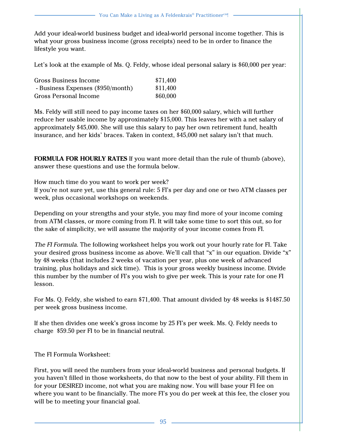Add your ideal-world business budget and ideal-world personal income together. This is what your gross business income (gross receipts) need to be in order to finance the lifestyle you want.

Let's look at the example of Ms. Q. Feldy, whose ideal personal salary is \$60,000 per year:

| Gross Business Income             | \$71,400 |
|-----------------------------------|----------|
| - Business Expenses (\$950/month) | \$11,400 |
| Gross Personal Income             | \$60,000 |

Ms. Feldy will still need to pay income taxes on her \$60,000 salary, which will further reduce her usable income by approximately \$15,000. This leaves her with a net salary of approximately \$45,000. She will use this salary to pay her own retirement fund, health insurance, and her kids' braces. Taken in context, \$45,000 net salary isn't that much.

FORMULA FOR HOURLY RATES If you want more detail than the rule of thumb (above), answer these questions and use the formula below.

How much time do you want to work per week?

If you're not sure yet, use this general rule: 5 FI's per day and one or two ATM classes per week, plus occasional workshops on weekends.

Depending on your strengths and your style, you may find more of your income coming from ATM classes, or more coming from FI. It will take some time to sort this out, so for the sake of simplicity, we will assume the majority of your income comes from FI.

The FI Formula. The following worksheet helps you work out your hourly rate for FI. Take your desired gross business income as above. We'll call that "x" in our equation. Divide "x" by 48 weeks (that includes 2 weeks of vacation per year, plus one week of advanced training, plus holidays and sick time). This is your gross weekly business income. Divide this number by the number of FI's you wish to give per week. This is your rate for one FI lesson.

For Ms. Q. Feldy, she wished to earn \$71,400. That amount divided by 48 weeks is \$1487.50 per week gross business income.

If she then divides one week's gross income by 25 FI's per week. Ms. Q. Feldy needs to charge \$59.50 per FI to be in financial neutral.

The FI Formula Worksheet:

First, you will need the numbers from your ideal-world business and personal budgets. If you haven't filled in those worksheets, do that now to the best of your ability. Fill them in for your DESIRED income, not what you are making now. You will base your FI fee on where you want to be financially. The more FI's you do per week at this fee, the closer you will be to meeting your financial goal.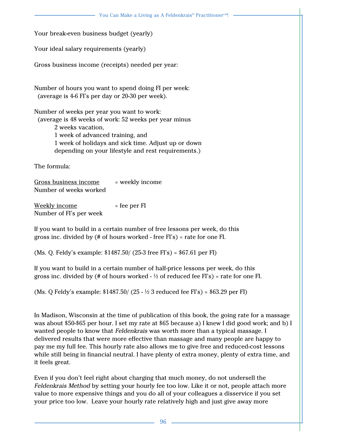Your break-even business budget (yearly) Your ideal salary requirements (yearly) Gross business income (receipts) needed per year: Number of hours you want to spend doing FI per week: (average is 4-6 FI's per day or 20-30 per week). Number of weeks per year you want to work: (average is 48 weeks of work: 52 weeks per year minus 2 weeks vacation, 1 week of advanced training, and 1 week of holidays and sick time. Adjust up or down depending on your lifestyle and rest requirements.) The formula: Gross business income = weekly income Number of weeks worked  $\frac{Weekly income}{.}$  = fee per FI Number of FI's per week If you want to build in a certain number of free lessons per week, do this… gross inc. divided by (# of hours worked - free FI's) = rate for one FI.

(Ms. Q. Feldy's example: \$1487.50/ (25-3 free FI's) = \$67.61 per FI)

If you want to build in a certain number of half-price lessons per week, do this… gross inc. divided by (# of hours worked -  $\frac{1}{2}$  of reduced fee FI's) = rate for one FI.

(Ms. Q Feldy's example: \$1487.50/ (25 - ½ 3 reduced fee FI's) = \$63.29 per FI)

In Madison, Wisconsin at the time of publication of this book, the going rate for a massage was about \$50-\$65 per hour. I set my rate at \$65 because a) I knew I did good work; and b) I wanted people to know that Feldenkrais was worth more than a typical massage. I delivered results that were more effective than massage and many people are happy to pay me my full fee. This hourly rate also allows me to give free and reduced-cost lessons while still being in financial neutral. I have plenty of extra money, plenty of extra time, and it feels great.

Even if you don't feel right about charging that much money, do not undersell the Feldenkrais Method by setting your hourly fee too low. Like it or not, people attach more value to more expensive things and you do all of your colleagues a disservice if you set your price too low. Leave your hourly rate relatively high and just give away more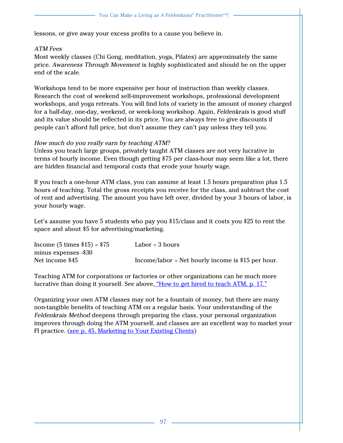lessons, or give away your excess profits to a cause you believe in.

#### ATM Fees

Most weekly classes (Chi Gong, meditation, yoga, Pilates) are approximately the same price. Awareness Through Movement is highly sophisticated and should be on the upper end of the scale.

Workshops tend to be more expensive per hour of instruction than weekly classes. Research the cost of weekend self-improvement workshops, professional development workshops, and yoga retreats. You will find lots of variety in the amount of money charged for a half-day, one-day, weekend, or week-long workshop. Again, Feldenkrais is good stuff and its value should be reflected in its price. You are always free to give discounts if people can't afford full price, but don't assume they can't pay unless they tell you.

#### How much do you really earn by teaching ATM?

Unless you teach large groups, privately taught ATM classes are not very lucrative in terms of hourly income. Even though getting \$75 per class-hour may seem like a lot, there are hidden financial and temporal costs that erode your hourly wage.

If you teach a one-hour ATM class, you can assume at least 1.5 hours preparation plus 1.5 hours of teaching. Total the gross receipts you receive for the class, and subtract the cost of rent and advertising. The amount you have left over, divided by your 3 hours of labor, is your hourly wage.

Let's assume you have 5 students who pay you \$15/class and it costs you \$25 to rent the space and about \$5 for advertising/marketing.

| Income $(5 \times \$15) = \$75$ | Labor = $3$ hours                                  |
|---------------------------------|----------------------------------------------------|
| minus expenses -\$30            |                                                    |
| Net income \$45                 | Income/labor = Net hourly income is \$15 per hour. |

Teaching ATM for corporations or factories or other organizations can be much more lucrative than doing it yourself. See above[, "How to get hired to teach ATM, p. 17."](#page-16-0)

Organizing your own ATM classes may not be a fountain of money, but there are many non-tangible benefits of teaching ATM on a regular basis. Your understanding of the Feldenkrais Method deepens through preparing the class, your personal organization improves through doing the ATM yourself, and classes are an excellent way to market your FI practice. ([see p. 45, Marketing to Your Existing Clients\)](#page-44-0)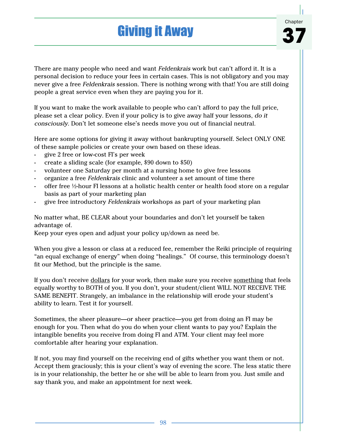## **Giving it Away**

There are many people who need and want Feldenkrais work but can't afford it. It is a personal decision to reduce your fees in certain cases. This is not obligatory and you may never give a free Feldenkrais session. There is nothing wrong with that! You are still doing people a great service even when they are paying you for it.

If you want to make the work available to people who can't afford to pay the full price, please set a clear policy. Even if your policy is to give away half your lessons, do it consciously. Don't let someone else's needs move you out of financial neutral.

Here are some options for giving it away without bankrupting yourself. Select ONLY ONE of these sample policies or create your own based on these ideas.

- give 2 free or low-cost FI's per week
- create a sliding scale (for example, \$90 down to \$50)
- volunteer one Saturday per month at a nursing home to give free lessons
- organize a free Feldenkrais clinic and volunteer a set amount of time there
- offer free ½-hour FI lessons at a holistic health center or health food store on a regular basis as part of your marketing plan
- give free introductory Feldenkrais workshops as part of your marketing plan

No matter what, BE CLEAR about your boundaries and don't let yourself be taken advantage of.

Keep your eyes open and adjust your policy up/down as need be.

When you give a lesson or class at a reduced fee, remember the Reiki principle of requiring "an equal exchange of energy" when doing "healings." Of course, this terminology doesn't fit our Method, but the principle is the same.

If you don't receive dollars for your work, then make sure you receive something that feels equally worthy to BOTH of you. If you don't, your student/client WILL NOT RECEIVE THE SAME BENEFIT. Strangely, an imbalance in the relationship will erode your student's ability to learn. Test it for yourself.

Sometimes, the sheer pleasure—or sheer practice—you get from doing an FI may be enough for you. Then what do you do when your client wants to pay you? Explain the intangible benefits you receive from doing FI and ATM. Your client may feel more comfortable after hearing your explanation.

If not, you may find yourself on the receiving end of gifts whether you want them or not. Accept them graciously; this is your client's way of evening the score. The less static there is in your relationship, the better he or she will be able to learn from you. Just smile and say thank you, and make an appointment for next week.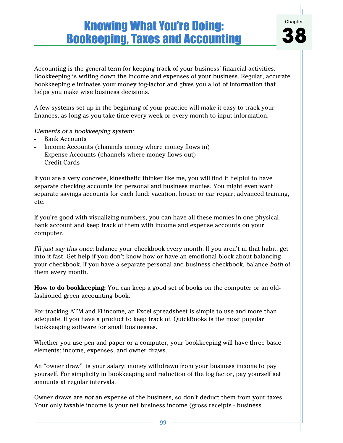### <span id="page-98-0"></span>Knowing What You're Doing: Bookeeping, Taxes and Accounting **38**

**Chapter** 

Accounting is the general term for keeping track of your business' financial activities. Bookkeeping is writing down the income and expenses of your business. Regular, accurate bookkeeping eliminates your money fog-factor and gives you a lot of information that helps you make wise business decisions.

A few systems set up in the beginning of your practice will make it easy to track your finances, as long as you take time every week or every month to input information.

Elements of a bookkeeping system:

- Bank Accounts
- Income Accounts (channels money where money flows in)
- Expense Accounts (channels where money flows out)
- Credit Cards

If you are a very concrete, kinesthetic thinker like me, you will find it helpful to have separate checking accounts for personal and business monies. You might even want separate savings accounts for each fund: vacation, house or car repair, advanced training, etc.

If you're good with visualizing numbers, you can have all these monies in one physical bank account and keep track of them with income and expense accounts on your computer.

I'll just say this once: balance your checkbook every month. If you aren't in that habit, get into it fast. Get help if you don't know how or have an emotional block about balancing your checkbook. If you have a separate personal and business checkbook, balance both of them every month.

How to do bookkeeping: You can keep a good set of books on the computer or an oldfashioned green accounting book.

For tracking ATM and FI income, an Excel spreadsheet is simple to use and more than adequate. If you have a product to keep track of, QuickBooks is the most popular bookkeeping software for small businesses.

Whether you use pen and paper or a computer, your bookkeeping will have three basic elements: income, expenses, and owner draws.

An "owner draw" is your salary; money withdrawn from your business income to pay yourself. For simplicity in bookkeeping and reduction of the fog factor, pay yourself set amounts at regular intervals.

Owner draws are not an expense of the business, so don't deduct them from your taxes. Your only taxable income is your net business income (gross receipts - business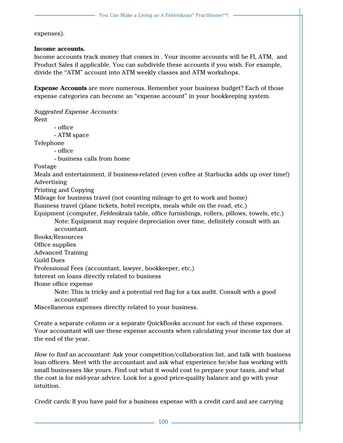expenses).

#### Income accounts.

Income accounts track money that comes in . Your income accounts will be FI, ATM, and Product Sales if applicable. You can subdivide these accounts if you wish. For example, divide the "ATM" account into ATM weekly classes and ATM workshops.

Expense Accounts are more numerous. Remember your business budget? Each of those expense categories can become an "expense account" in your bookkeeping system.

Suggested Expense Accounts: Rent - office - ATM space Telephone - office - business calls from home Postage Meals and entertainment, if business-related (even coffee at Starbucks adds up over time!) Advertising Printing and Copying Mileage for business travel (not counting mileage to get to work and home) Business travel (plane tickets, hotel receipts, meals while on the road, etc.) Equipment (computer, Feldenkrais table, office furnishings, rollers, pillows, towels, etc.) Note: Equipment may require depreciation over time, definitely consult with an accountant. Books/Resources Office supplies Advanced Training Guild Dues Professional Fees (accountant, lawyer, bookkeeper, etc.) Interest on loans directly related to business Home office expense Note: This is tricky and a potential red flag for a tax audit. Consult with a good accountant!

Miscellaneous expenses directly related to your business.

Create a separate column or a separate QuickBooks account for each of these expenses. Your accountant will use these expense accounts when calculating your income tax due at the end of the year.

How to find an accountant: Ask your competition/collaboration list, and talk with business loan officers. Meet with the accountant and ask what experience he/she has working with small businesses like yours. Find out what it would cost to prepare your taxes, and what the cost is for mid-year advice. Look for a good price-quality balance and go with your intuition.

Credit cards: If you have paid for a business expense with a credit card and are carrying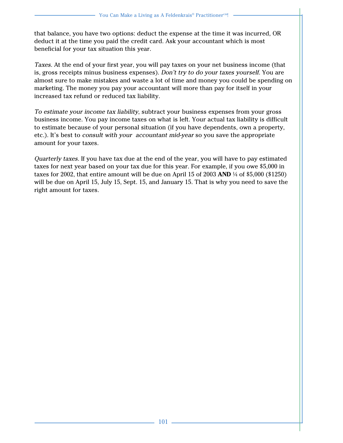that balance, you have two options: deduct the expense at the time it was incurred, OR deduct it at the time you paid the credit card. Ask your accountant which is most beneficial for your tax situation this year.

Taxes. At the end of your first year, you will pay taxes on your net business income (that is, gross receipts minus business expenses). Don't try to do your taxes yourself. You are almost sure to make mistakes and waste a lot of time and money you could be spending on marketing. The money you pay your accountant will more than pay for itself in your increased tax refund or reduced tax liability.

To estimate your income tax liability, subtract your business expenses from your gross business income. You pay income taxes on what is left. Your actual tax liability is difficult to estimate because of your personal situation (if you have dependents, own a property, etc.). It's best to consult with your accountant mid-year so you save the appropriate amount for your taxes.

Quarterly taxes. If you have tax due at the end of the year, you will have to pay estimated taxes for next year based on your tax due for this year. For example, if you owe \$5,000 in taxes for 2002, that entire amount will be due on April 15 of 2003 AND  $\frac{1}{4}$  of \$5,000 (\$1250) will be due on April 15, July 15, Sept. 15, and January 15. That is why you need to save the right amount for taxes.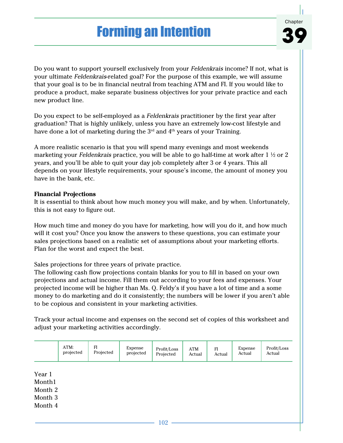## Forming an Intention

Do you want to support yourself exclusively from your Feldenkrais income? If not, what is your ultimate Feldenkrais-related goal? For the purpose of this example, we will assume that your goal is to be in financial neutral from teaching ATM and FI. If you would like to produce a product, make separate business objectives for your private practice and each new product line.

Do you expect to be self-employed as a Feldenkrais practitioner by the first year after graduation? That is highly unlikely, unless you have an extremely low-cost lifestyle and have done a lot of marketing during the 3<sup>rd</sup> and 4<sup>th</sup> years of your Training.

A more realistic scenario is that you will spend many evenings and most weekends marketing your Feldenkrais practice, you will be able to go half-time at work after  $1 \frac{1}{2}$  or 2 years, and you'll be able to quit your day job completely after 3 or 4 years. This all depends on your lifestyle requirements, your spouse's income, the amount of money you have in the bank, etc.

#### Financial Projections

It is essential to think about how much money you will make, and by when. Unfortunately, this is not easy to figure out.

How much time and money do you have for marketing, how will you do it, and how much will it cost you? Once you know the answers to these questions, you can estimate your sales projections based on a realistic set of assumptions about your marketing efforts. Plan for the worst and expect the best.

Sales projections for three years of private practice.

The following cash flow projections contain blanks for you to fill in based on your own projections and actual income. Fill them out according to your fees and expenses. Your projected income will be higher than Ms. Q. Feldy's if you have a lot of time and a some money to do marketing and do it consistently; the numbers will be lower if you aren't able to be copious and consistent in your marketing activities.

Track your actual income and expenses on the second set of copies of this worksheet and adjust your marketing activities accordingly.

|                             | ATM:<br>projected | FI<br>Projected | Expense<br>projected | Profit/Loss<br>Projected | ATM<br>Actual | FI<br>Actual | Expense<br>Actual | Profit/Loss<br>Actual |
|-----------------------------|-------------------|-----------------|----------------------|--------------------------|---------------|--------------|-------------------|-----------------------|
| Year 1<br>Month1<br>Month 2 |                   |                 |                      |                          |               |              |                   |                       |
| Month 3<br>Month 4          |                   |                 |                      |                          |               |              |                   |                       |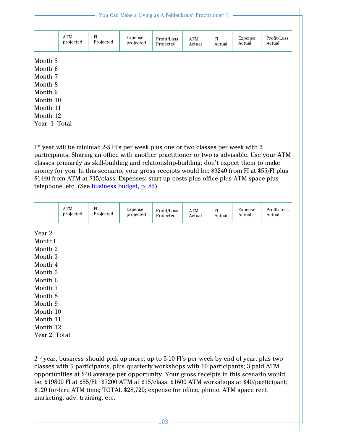| You Can Make a Living as A Feldenkrais <sup>®</sup> Practitioner <sup>cm</sup> ! |                   |                 |                      |                          |               |              |                   |                       |  |
|----------------------------------------------------------------------------------|-------------------|-----------------|----------------------|--------------------------|---------------|--------------|-------------------|-----------------------|--|
|                                                                                  | ATM:<br>projected | FI<br>Projected | Expense<br>projected | Profit/Loss<br>Projected | ATM<br>Actual | FI<br>Actual | Expense<br>Actual | Profit/Loss<br>Actual |  |
| Month 5                                                                          |                   |                 |                      |                          |               |              |                   |                       |  |
| Month 6                                                                          |                   |                 |                      |                          |               |              |                   |                       |  |
| Month 7                                                                          |                   |                 |                      |                          |               |              |                   |                       |  |
| Month 8                                                                          |                   |                 |                      |                          |               |              |                   |                       |  |
| Month 9                                                                          |                   |                 |                      |                          |               |              |                   |                       |  |
| Month 10                                                                         |                   |                 |                      |                          |               |              |                   |                       |  |
| Month 11                                                                         |                   |                 |                      |                          |               |              |                   |                       |  |
| Month 12                                                                         |                   |                 |                      |                          |               |              |                   |                       |  |
| Year 1 Total                                                                     |                   |                 |                      |                          |               |              |                   |                       |  |

1st year will be minimal; 2-5 FI's per week plus one or two classes per week with 3 participants. Sharing an office with another practitioner or two is advisable. Use your ATM classes primarily as skill-building and relationship-building; don't expect them to make money for you. In this scenario, your gross receipts would be: \$9240 from FI at \$55/FI plus \$1440 from ATM at \$15/class. Expenses: start-up costs plus office plus ATM space plus telephone, etc. (See [business budget, p. 85\)](#page-84-0)

|              | ATM:<br>projected | FI<br>Projected | Expense<br>projected | Profit/Loss<br>Projected | ATM<br>Actual | F1<br>Actual | Expense<br>Actual | Profit/Loss<br>Actual |
|--------------|-------------------|-----------------|----------------------|--------------------------|---------------|--------------|-------------------|-----------------------|
| Year 2       |                   |                 |                      |                          |               |              |                   |                       |
| Month1       |                   |                 |                      |                          |               |              |                   |                       |
| Month 2      |                   |                 |                      |                          |               |              |                   |                       |
| Month 3      |                   |                 |                      |                          |               |              |                   |                       |
| Month 4      |                   |                 |                      |                          |               |              |                   |                       |
| Month 5      |                   |                 |                      |                          |               |              |                   |                       |
| Month 6      |                   |                 |                      |                          |               |              |                   |                       |
| Month 7      |                   |                 |                      |                          |               |              |                   |                       |
| Month 8      |                   |                 |                      |                          |               |              |                   |                       |
| Month 9      |                   |                 |                      |                          |               |              |                   |                       |
| Month 10     |                   |                 |                      |                          |               |              |                   |                       |
| Month 11     |                   |                 |                      |                          |               |              |                   |                       |
| Month 12     |                   |                 |                      |                          |               |              |                   |                       |
| Year 2 Total |                   |                 |                      |                          |               |              |                   |                       |
|              |                   |                 |                      |                          |               |              |                   |                       |

 $2<sup>nd</sup>$  year, business should pick up more; up to 5-10 FI's per week by end of year, plus two classes with 5 participants, plus quarterly workshops with 10 participants; 3 paid ATM opportunities at \$40 average per opportunity. Your gross receipts in this scenario would be: \$19800 FI at \$55/FI; \$7200 ATM at \$15/class; \$1600 ATM workshops at \$40/participant; \$120 for-hire ATM time; TOTAL \$28,720; expense for office, phone, ATM space rent, marketing, adv. training, etc.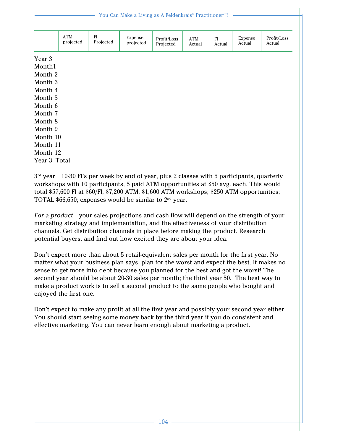|              | ATM:<br>projected | FI<br>Projected | Expense<br>projected | Profit/Loss<br>Projected | <b>ATM</b><br>Actual | FI<br>Actual | Expense<br>Actual | Profit/Loss |
|--------------|-------------------|-----------------|----------------------|--------------------------|----------------------|--------------|-------------------|-------------|
|              |                   |                 |                      |                          |                      |              |                   |             |
|              |                   |                 |                      |                          |                      |              |                   | Actual      |
| Year 3       |                   |                 |                      |                          |                      |              |                   |             |
| Month1       |                   |                 |                      |                          |                      |              |                   |             |
| Month 2      |                   |                 |                      |                          |                      |              |                   |             |
| Month 3      |                   |                 |                      |                          |                      |              |                   |             |
| Month 4      |                   |                 |                      |                          |                      |              |                   |             |
| Month 5      |                   |                 |                      |                          |                      |              |                   |             |
| Month 6      |                   |                 |                      |                          |                      |              |                   |             |
| Month 7      |                   |                 |                      |                          |                      |              |                   |             |
| Month 8      |                   |                 |                      |                          |                      |              |                   |             |
| Month 9      |                   |                 |                      |                          |                      |              |                   |             |
| Month 10     |                   |                 |                      |                          |                      |              |                   |             |
| Month 11     |                   |                 |                      |                          |                      |              |                   |             |
| Month 12     |                   |                 |                      |                          |                      |              |                   |             |
| Year 3 Total |                   |                 |                      |                          |                      |              |                   |             |

 $3<sup>rd</sup>$  year 10-30 FI's per week by end of year, plus 2 classes with 5 participants, quarterly workshops with 10 participants, 5 paid ATM opportunities at \$50 avg. each. This would total \$57,600 FI at \$60/FI; \$7,200 ATM; \$1,600 ATM workshops; \$250 ATM opportunities; TOTAL  $$66,650$ ; expenses would be similar to  $2<sup>nd</sup>$  year.

For a product your sales projections and cash flow will depend on the strength of your marketing strategy and implementation, and the effectiveness of your distribution channels. Get distribution channels in place before making the product. Research potential buyers, and find out how excited they are about your idea.

Don't expect more than about 5 retail-equivalent sales per month for the first year. No matter what your business plan says, plan for the worst and expect the best. It makes no sense to get more into debt because you planned for the best and got the worst! The second year should be about 20-30 sales per month; the third year 50. The best way to make a product work is to sell a second product to the same people who bought and enjoyed the first one.

Don't expect to make any profit at all the first year and possibly your second year either. You should start seeing some money back by the third year if you do consistent and effective marketing. You can never learn enough about marketing a product.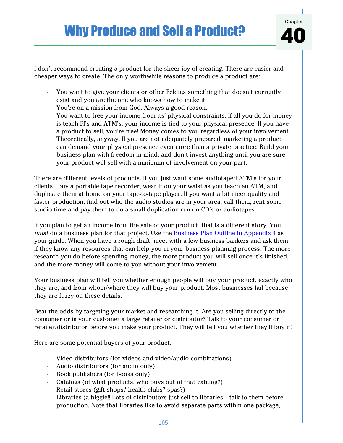I don't recommend creating a product for the sheer joy of creating. There are easier and cheaper ways to create. The only worthwhile reasons to produce a product are:

- You want to give your clients or other Feldies something that doesn't currently exist and you are the one who knows how to make it.
- You're on a mission from God. Always a good reason.
- · You want to free your income from its' physical constraints. If all you do for money is teach FI's and ATM's, your income is tied to your physical presence. If you have a product to sell, you're free! Money comes to you regardless of your involvement. Theoretically, anyway. If you are not adequately prepared, marketing a product can demand your physical presence even more than a private practice. Build your business plan with freedom in mind, and don't invest anything until you are sure your product will sell with a minimum of involvement on your part.

There are different levels of products. If you just want some audiotaped ATM's for your clients, buy a portable tape recorder, wear it on your waist as you teach an ATM, and duplicate them at home on your tape-to-tape player. If you want a bit nicer quality and faster production, find out who the audio studios are in your area, call them, rent some studio time and pay them to do a small duplication run on CD's or audiotapes.

If you plan to get an income from the sale of your product, that is a different story. You must do a business plan for that project. Use the [Business Plan Outline in Appendix 4](#page-127-0) as your guide. When you have a rough draft, meet with a few business bankers and ask them if they know any resources that can help you in your business planning process. The more research you do before spending money, the more product you will sell once it's finished, and the more money will come to you without your involvement.

Your business plan will tell you whether enough people will buy your product, exactly who they are, and from whom/where they will buy your product. Most businesses fail because they are fuzzy on these details.

Beat the odds by targeting your market and researching it. Are you selling directly to the consumer or is your customer a large retailer or distributor? Talk to your consumer or retailer/distributor before you make your product. They will tell you whether they'll buy it!

Here are some potential buyers of your product.

- · Video distributors (for videos and video/audio combinations)
- Audio distributors (for audio only)
- Book publishers (for books only)
- Catalogs (of what products, who buys out of that catalog?)
- Retail stores (gift shops? health clubs? spas?)
- Libraries (a biggie!! Lots of distributors just sell to libraries talk to them before production. Note that libraries like to avoid separate parts within one package,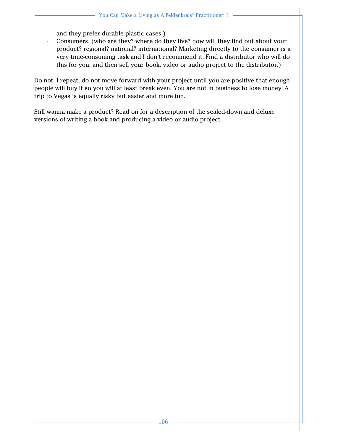and they prefer durable plastic cases.)

· Consumers. (who are they? where do they live? how will they find out about your product? regional? national? international? Marketing directly to the consumer is a very time-consuming task and I don't recommend it. Find a distributor who will do this for you, and then sell your book, video or audio project to the distributor.)

Do not, I repeat, do not move forward with your project until you are positive that enough people will buy it so you will at least break even. You are not in business to lose money! A trip to Vegas is equally risky but easier and more fun.

Still wanna make a product? Read on for a description of the scaled-down and deluxe versions of writing a book and producing a video or audio project.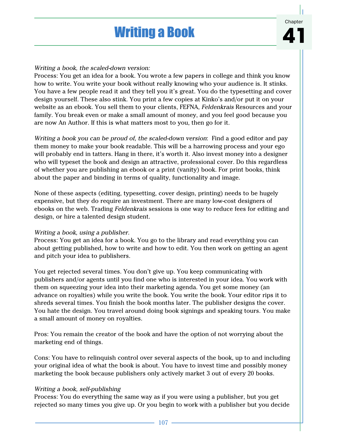## **Writing a Book**

#### Writing a book, the scaled-down version:

Process: You get an idea for a book. You wrote a few papers in college and think you know how to write. You write your book without really knowing who your audience is. It stinks. You have a few people read it and they tell you it's great. You do the typesetting and cover design yourself. These also stink. You print a few copies at Kinko's and/or put it on your website as an ebook. You sell them to your clients, FEFNA, Feldenkrais Resources and your family. You break even or make a small amount of money, and you feel good because you are now An Author. If this is what matters most to you, then go for it.

Writing a book you can be proud of, the scaled-down version: Find a good editor and pay them money to make your book readable. This will be a harrowing process and your ego will probably end in tatters. Hang in there, it's worth it. Also invest money into a designer who will typeset the book and design an attractive, professional cover. Do this regardless of whether you are publishing an ebook or a print (vanity) book. For print books, think about the paper and binding in terms of quality, functionality and image.

None of these aspects (editing, typesetting, cover design, printing) needs to be hugely expensive, but they do require an investment. There are many low-cost designers of ebooks on the web. Trading Feldenkrais sessions is one way to reduce fees for editing and design, or hire a talented design student.

#### Writing a book, using a publisher.

Process: You get an idea for a book. You go to the library and read everything you can about getting published, how to write and how to edit. You then work on getting an agent and pitch your idea to publishers.

You get rejected several times. You don't give up. You keep communicating with publishers and/or agents until you find one who is interested in your idea. You work with them on squeezing your idea into their marketing agenda. You get some money (an advance on royalties) while you write the book. You write the book. Your editor rips it to shreds several times. You finish the book months later. The publisher designs the cover. You hate the design. You travel around doing book signings and speaking tours. You make a small amount of money on royalties.

Pros: You remain the creator of the book and have the option of not worrying about the marketing end of things.

Cons: You have to relinquish control over several aspects of the book, up to and including your original idea of what the book is about. You have to invest time and possibly money marketing the book because publishers only actively market 3 out of every 20 books.

#### Writing a book, self-publishing

Process: You do everything the same way as if you were using a publisher, but you get rejected so many times you give up. Or you begin to work with a publisher but you decide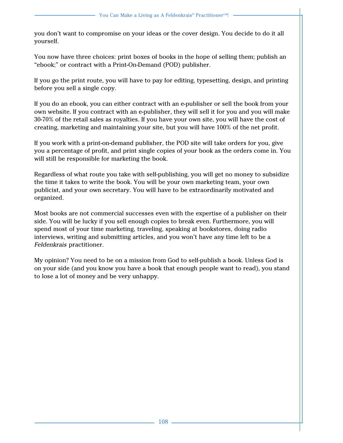you don't want to compromise on your ideas or the cover design. You decide to do it all yourself.

You now have three choices: print boxes of books in the hope of selling them; publish an "ebook;" or contract with a Print-On-Demand (POD) publisher.

If you go the print route, you will have to pay for editing, typesetting, design, and printing before you sell a single copy.

If you do an ebook, you can either contract with an e-publisher or sell the book from your own website. If you contract with an e-publisher, they will sell it for you and you will make 30-70% of the retail sales as royalties. If you have your own site, you will have the cost of creating, marketing and maintaining your site, but you will have 100% of the net profit.

If you work with a print-on-demand publisher, the POD site will take orders for you, give you a percentage of profit, and print single copies of your book as the orders come in. You will still be responsible for marketing the book.

Regardless of what route you take with self-publishing, you will get no money to subsidize the time it takes to write the book. You will be your own marketing team, your own publicist, and your own secretary. You will have to be extraordinarily motivated and organized.

Most books are not commercial successes even with the expertise of a publisher on their side. You will be lucky if you sell enough copies to break even. Furthermore, you will spend most of your time marketing, traveling, speaking at bookstores, doing radio interviews, writing and submitting articles, and you won't have any time left to be a Feldenkrais practitioner.

My opinion? You need to be on a mission from God to self-publish a book. Unless God is on your side (and you know you have a book that enough people want to read), you stand to lose a lot of money and be very unhappy.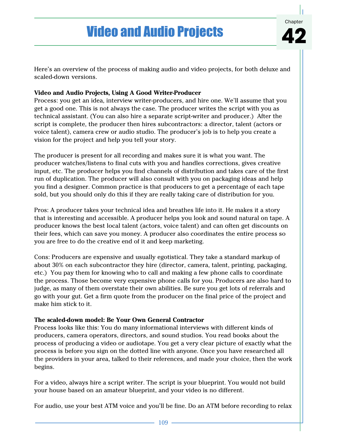Here's an overview of the process of making audio and video projects, for both deluxe and scaled-down versions.

## Video and Audio Projects, Using A Good Writer-Producer

Process: you get an idea, interview writer-producers, and hire one. We'll assume that you get a good one. This is not always the case. The producer writes the script with you as technical assistant. (You can also hire a separate script-writer and producer.) After the script is complete, the producer then hires subcontractors: a director, talent (actors or voice talent), camera crew or audio studio. The producer's job is to help you create a vision for the project and help you tell your story.

The producer is present for all recording and makes sure it is what you want. The producer watches/listens to final cuts with you and handles corrections, gives creative input, etc. The producer helps you find channels of distribution and takes care of the first run of duplication. The producer will also consult with you on packaging ideas and help you find a designer. Common practice is that producers to get a percentage of each tape sold, but you should only do this if they are really taking care of distribution for you.

Pros: A producer takes your technical idea and breathes life into it. He makes it a story that is interesting and accessible. A producer helps you look and sound natural on tape. A producer knows the best local talent (actors, voice talent) and can often get discounts on their fees, which can save you money. A producer also coordinates the entire process so you are free to do the creative end of it and keep marketing.

Cons: Producers are expensive and usually egotistical. They take a standard markup of about 30% on each subcontractor they hire (director, camera, talent, printing, packaging, etc.) You pay them for knowing who to call and making a few phone calls to coordinate the process. Those become very expensive phone calls for you. Producers are also hard to judge, as many of them overstate their own abilities. Be sure you get lots of referrals and go with your gut. Get a firm quote from the producer on the final price of the project and make him stick to it.

## The scaled-down model: Be Your Own General Contractor

Process looks like this: You do many informational interviews with different kinds of producers, camera operators, directors, and sound studios. You read books about the process of producing a video or audiotape. You get a very clear picture of exactly what the process is before you sign on the dotted line with anyone. Once you have researched all the providers in your area, talked to their references, and made your choice, then the work begins.

For a video, always hire a script writer. The script is your blueprint. You would not build your house based on an amateur blueprint, and your video is no different.

For audio, use your best ATM voice and you'll be fine. Do an ATM before recording to relax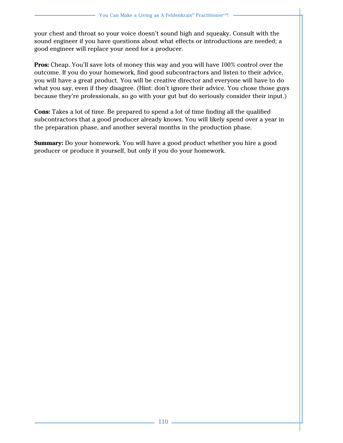your chest and throat so your voice doesn't sound high and squeaky. Consult with the sound engineer if you have questions about what effects or introductions are needed; a good engineer will replace your need for a producer.

Pros: Cheap. You'll save lots of money this way and you will have 100% control over the outcome. If you do your homework, find good subcontractors and listen to their advice, you will have a great product. You will be creative director and everyone will have to do what you say, even if they disagree. (Hint: don't ignore their advice. You chose those guys because they're professionals, so go with your gut but do seriously consider their input.)

Cons: Takes a lot of time. Be prepared to spend a lot of time finding all the qualified subcontractors that a good producer already knows. You will likely spend over a year in the preparation phase, and another several months in the production phase.

**Summary:** Do your homework. You will have a good product whether you hire a good producer or produce it yourself, but only if you do your homework.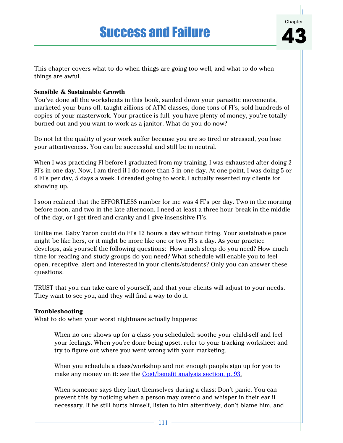# **Success and Failure**

This chapter covers what to do when things are going too well, and what to do when things are awful.

## Sensible & Sustainable Growth

You've done all the worksheets in this book, sanded down your parasitic movements, marketed your buns off, taught zillions of ATM classes, done tons of FI's, sold hundreds of copies of your masterwork. Your practice is full, you have plenty of money, you're totally burned out and you want to work as a janitor. What do you do now?

Do not let the quality of your work suffer because you are so tired or stressed, you lose your attentiveness. You can be successful and still be in neutral.

When I was practicing FI before I graduated from my training, I was exhausted after doing 2 FI's in one day. Now, I am tired if I do more than 5 in one day. At one point, I was doing 5 or 6 FI's per day, 5 days a week. I dreaded going to work. I actually resented my clients for showing up.

I soon realized that the EFFORTLESS number for me was 4 FI's per day. Two in the morning before noon, and two in the late afternoon. I need at least a three-hour break in the middle of the day, or I get tired and cranky and I give insensitive FI's.

Unlike me, Gaby Yaron could do FI's 12 hours a day without tiring. Your sustainable pace might be like hers, or it might be more like one or two FI's a day. As your practice develops, ask yourself the following questions: How much sleep do you need? How much time for reading and study groups do you need? What schedule will enable you to feel open, receptive, alert and interested in your clients/students? Only you can answer these questions.

TRUST that you can take care of yourself, and that your clients will adjust to your needs. They want to see you, and they will find a way to do it.

## Troubleshooting

What to do when your worst nightmare actually happens:

When no one shows up for a class you scheduled: soothe your child-self and feel your feelings. When you're done being upset, refer to your tracking worksheet and try to figure out where you went wrong with your marketing.

When you schedule a class/workshop and not enough people sign up for you to make any money on it: see th[e Cost/benefit analysis section, p. 93](#page-92-0).

When someone says they hurt themselves during a class: Don't panic. You can prevent this by noticing when a person may overdo and whisper in their ear if necessary. If he still hurts himself, listen to him attentively, don't blame him, and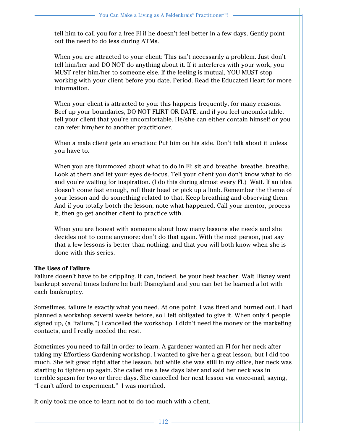tell him to call you for a free FI if he doesn't feel better in a few days. Gently point out the need to do less during ATMs.

When you are attracted to your client: This isn't necessarily a problem. Just don't tell him/her and DO NOT do anything about it. If it interferes with your work, you MUST refer him/her to someone else. If the feeling is mutual, YOU MUST stop working with your client before you date. Period. Read the Educated Heart for more information.

When your client is attracted to you: this happens frequently, for many reasons. Beef up your boundaries, DO NOT FLIRT OR DATE, and if you feel uncomfortable, tell your client that you're uncomfortable. He/she can either contain himself or you can refer him/her to another practitioner.

When a male client gets an erection: Put him on his side. Don't talk about it unless you have to.

When you are flummoxed about what to do in FI: sit and breathe. breathe. breathe. Look at them and let your eyes de-focus. Tell your client you don't know what to do and you're waiting for inspiration. (I do this during almost every FI.) Wait. If an idea doesn't come fast enough, roll their head or pick up a limb. Remember the theme of your lesson and do something related to that. Keep breathing and observing them. And if you totally botch the lesson, note what happened. Call your mentor, process it, then go get another client to practice with.

When you are honest with someone about how many lessons she needs and she decides not to come anymore: don't do that again. With the next person, just say that a few lessons is better than nothing, and that you will both know when she is done with this series.

## The Uses of Failure

Failure doesn't have to be crippling. It can, indeed, be your best teacher. Walt Disney went bankrupt several times before he built Disneyland and you can bet he learned a lot with each bankruptcy.

Sometimes, failure is exactly what you need. At one point, I was tired and burned out. I had planned a workshop several weeks before, so I felt obligated to give it. When only 4 people signed up, (a "failure,") I cancelled the workshop. I didn't need the money or the marketing contacts, and I really needed the rest.

Sometimes you need to fail in order to learn. A gardener wanted an FI for her neck after taking my Effortless Gardening workshop. I wanted to give her a great lesson, but I did too much. She felt great right after the lesson, but while she was still in my office, her neck was starting to tighten up again. She called me a few days later and said her neck was in terrible spasm for two or three days. She cancelled her next lesson via voice-mail, saying, "I can't afford to experiment." I was mortified.

It only took me once to learn not to do too much with a client.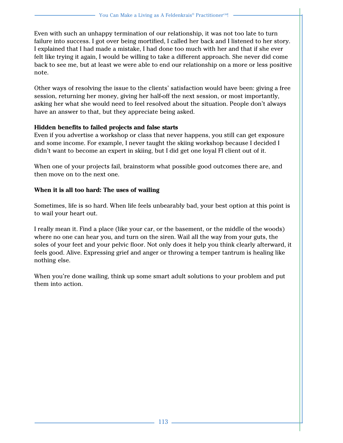Even with such an unhappy termination of our relationship, it was not too late to turn failure into success. I got over being mortified, I called her back and I listened to her story. I explained that I had made a mistake, I had done too much with her and that if she ever felt like trying it again, I would be willing to take a different approach. She never did come back to see me, but at least we were able to end our relationship on a more or less positive note.

Other ways of resolving the issue to the clients' satisfaction would have been: giving a free session, returning her money, giving her half-off the next session, or most importantly, asking her what she would need to feel resolved about the situation. People don't always have an answer to that, but they appreciate being asked.

## Hidden benefits to failed projects and false starts…

Even if you advertise a workshop or class that never happens, you still can get exposure and some income. For example, I never taught the skiing workshop because I decided I didn't want to become an expert in skiing, but I did get one loyal FI client out of it.

When one of your projects fail, brainstorm what possible good outcomes there are, and then move on to the next one.

## When it is all too hard: The uses of wailing

Sometimes, life is so hard. When life feels unbearably bad, your best option at this point is to wail your heart out.

I really mean it. Find a place (like your car, or the basement, or the middle of the woods) where no one can hear you, and turn on the siren. Wail all the way from your guts, the soles of your feet and your pelvic floor. Not only does it help you think clearly afterward, it feels good. Alive. Expressing grief and anger or throwing a temper tantrum is healing like nothing else.

When you're done wailing, think up some smart adult solutions to your problem and put them into action.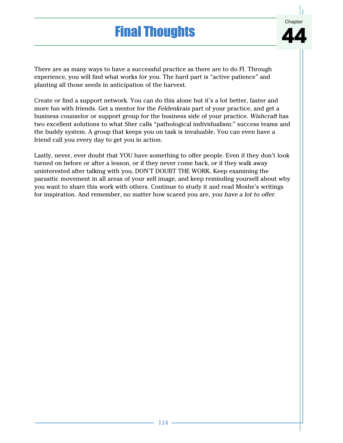# **Final Thoughts**



There are as many ways to have a successful practice as there are to do FI. Through experience, you will find what works for you. The hard part is "active patience" and planting all those seeds in anticipation of the harvest.

Create or find a support network. You can do this alone but it's a lot better, faster and more fun with friends. Get a mentor for the Feldenkrais part of your practice, and get a business counselor or support group for the business side of your practice. Wishcraft has two excellent solutions to what Sher calls "pathological individualism:" success teams and the buddy system. A group that keeps you on task is invaluable. You can even have a friend call you every day to get you in action.

Lastly, never, ever doubt that YOU have something to offer people. Even if they don't look turned on before or after a lesson, or if they never come back, or if they walk away uninterested after talking with you, DON'T DOUBT THE WORK. Keep examining the parasitic movement in all areas of your self image, and keep reminding yourself about why you want to share this work with others. Continue to study it and read Moshe's writings for inspiration. And remember, no matter how scared you are, you have a lot to offer.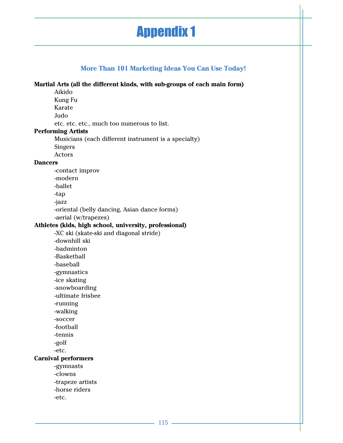# Appendix 1

## More Than 101 Marketing Ideas You Can Use Today!

## Martial Arts (all the different kinds, with sub-groups of each main form)

Aikido

Kung Fu

Karate

Judo

etc. etc. etc., much too numerous to list.

#### Performing Artists

Musicians (each different instrument is a specialty) Singers

Actors

## **Dancers**

-contact improv -modern -ballet -tap -jazz -oriental (belly dancing, Asian dance forms)

-aerial (w/trapezes)

## Athletes (kids, high school, university, professional)

-XC ski (skate-ski and diagonal stride) -downhill ski -badminton -Basketball -baseball -gymnastics -ice skating -snowboarding -ultimate frisbee -running -walking

-soccer

-football

-tennis

-golf

-etc.

## Carnival performers

-gymnasts -clowns -trapeze artists -horse riders

-etc.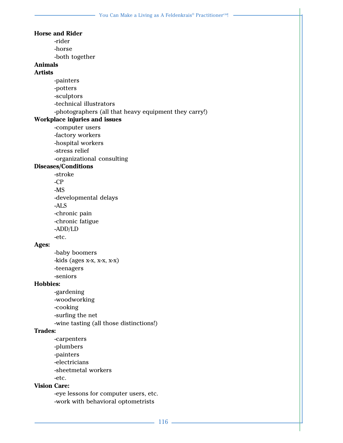Horse and Rider -rider -horse -both together Animals **Artists** -painters -potters -sculptors -technical illustrators -photographers (all that heavy equipment they carry!) Workplace injuries and issues -computer users -factory workers -hospital workers -stress relief -organizational consulting Diseases/Conditions -stroke -CP -MS -developmental delays -ALS -chronic pain -chronic fatigue -ADD/LD -etc. Ages: -baby boomers -kids (ages x-x, x-x, x-x) -teenagers -seniors Hobbies: -gardening -woodworking -cooking -surfing the net -wine tasting (all those distinctions!) Trades: -carpenters -plumbers -painters -electricians -sheetmetal workers -etc. Vision Care: -eye lessons for computer users, etc. -work with behavioral optometrists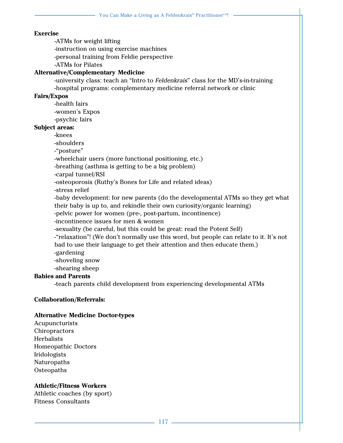#### Exercise

-ATMs for weight lifting -instruction on using exercise machines -personal training from Feldie perspective -ATMs for Pilates

## Alternative/Complementary Medicine

-university class: teach an "Intro to Feldenkrais" class for the MD's-in-training -hospital programs: complementary medicine referral network or clinic

#### Fairs/Expos

-health fairs

-women's Expos

-psychic fairs

#### Subject areas:

-knees

-shoulders

-"posture"

-wheelchair users (more functional positioning, etc.)

-breathing (asthma is getting to be a big problem)

-carpal tunnel/RSI

-osteoporosis (Ruthy's Bones for Life and related ideas)

-stress relief

-baby development: for new parents (do the developmental ATMs so they get what their baby is up to, and rekindle their own curiosity/organic learning)

-pelvic power for women (pre-, post-partum, incontinence)

-incontinence issues for men & women

-sexuality (be careful, but this could be great: read the Potent Self)

-"relaxation"! (We don't normally use this word, but people can relate to it. It's not bad to use their language to get their attention and then educate them.) -gardening

-shoveling snow -shearing sheep

Babies and Parents

-teach parents child development from experiencing developmental ATMs

## Collaboration/Referrals:

## Alternative Medicine Doctor-types

Acupuncturists **Chiropractors Herbalists** Homeopathic Doctors Iridologists Naturopaths **Osteopaths** 

## Athletic/Fitness Workers

Athletic coaches (by sport) Fitness Consultants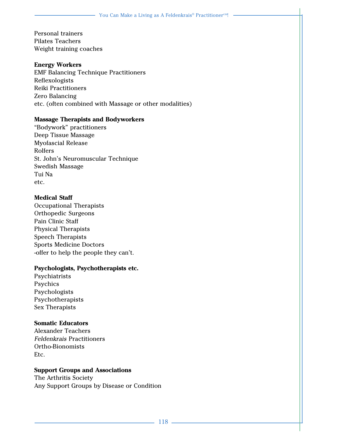Personal trainers Pilates Teachers Weight training coaches

#### Energy Workers

EMF Balancing Technique Practitioners Reflexologists Reiki Practitioners Zero Balancing etc. (often combined with Massage or other modalities)

#### Massage Therapists and Bodyworkers

"Bodywork" practitioners Deep Tissue Massage Myofascial Release Rolfers St. John's Neuromuscular Technique Swedish Massage Tui Na etc.

## Medical Staff

Occupational Therapists Orthopedic Surgeons Pain Clinic Staff Physical Therapists Speech Therapists Sports Medicine Doctors -offer to help the people they can't.

## Psychologists, Psychotherapists etc.

Psychiatrists Psychics Psychologists Psychotherapists Sex Therapists

## Somatic Educators

Alexander Teachers Feldenkrais Practitioners Ortho-Bionomists Etc.

## Support Groups and Associations

The Arthritis Society Any Support Groups by Disease or Condition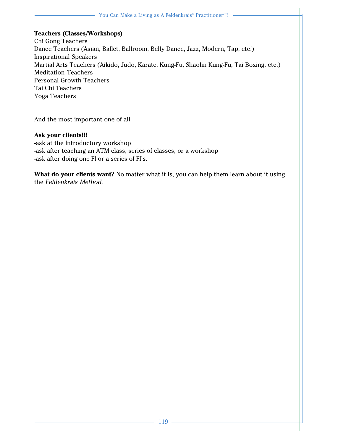## Teachers (Classes/Workshops)

Chi Gong Teachers Dance Teachers (Asian, Ballet, Ballroom, Belly Dance, Jazz, Modern, Tap, etc.) Inspirational Speakers Martial Arts Teachers (Aikido, Judo, Karate, Kung-Fu, Shaolin Kung-Fu, Tai Boxing, etc.) Meditation Teachers Personal Growth Teachers Tai Chi Teachers Yoga Teachers

And the most important one of all…

## Ask your clients!!!

-ask at the Introductory workshop -ask after teaching an ATM class, series of classes, or a workshop -ask after doing one FI or a series of FI's.

What do your clients want? No matter what it is, you can help them learn about it using the Feldenkrais Method.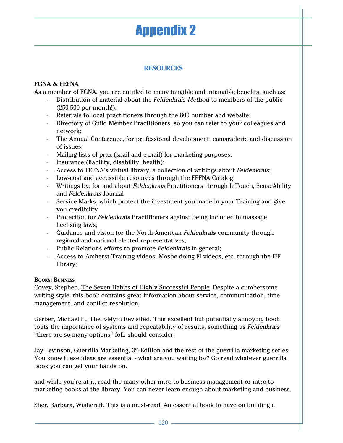# Appendix 2

# **RESOURCES**

## <span id="page-119-0"></span>FGNA & FEFNA

As a member of FGNA, you are entitled to many tangible and intangible benefits, such as:

- Distribution of material about the Feldenkrais Method to members of the public (250-500 per month!);
- · Referrals to local practitioners through the 800 number and website;
- · Directory of Guild Member Practitioners, so you can refer to your colleagues and network;
- · The Annual Conference, for professional development, camaraderie and discussion of issues;
- Mailing lists of prax (snail and e-mail) for marketing purposes;
- Insurance (liability, disability, health);
- Access to FEFNA's virtual library, a collection of writings about Feldenkrais;
- Low-cost and accessible resources through the FEFNA Catalog;
- Writings by, for and about *Feldenkrais* Practitioners through InTouch, SenseAbility and Feldenkrais Journal
- Service Marks, which protect the investment you made in your Training and give you credibility
- Protection for Feldenkrais Practitioners against being included in massage licensing laws;
- Guidance and vision for the North American *Feldenkrais* community through regional and national elected representatives;
- Public Relations efforts to promote Feldenkrais in general;
- · Access to Amherst Training videos, Moshe-doing-FI videos, etc. through the IFF library;

## BOOKS: BUSINESS

Covey, Stephen, The Seven Habits of Highly Successful People. Despite a cumbersome writing style, this book contains great information about service, communication, time management, and conflict resolution.

Gerber, Michael E., The E-Myth Revisited. This excellent but potentially annoying book touts the importance of systems and repeatability of results, something us Feldenkrais "there-are-so-many-options" folk should consider.

Jay Levinson, Guerrilla Marketing,  $3<sup>rd</sup>$  Edition and the rest of the guerrilla marketing series. You know these ideas are essential - what are you waiting for? Go read whatever guerrilla book you can get your hands on.

and while you're at it, read the many other intro-to-business-management or intro-tomarketing books at the library. You can never learn enough about marketing and business.

Sher, Barbara, Wishcraft. This is a must-read. An essential book to have on building a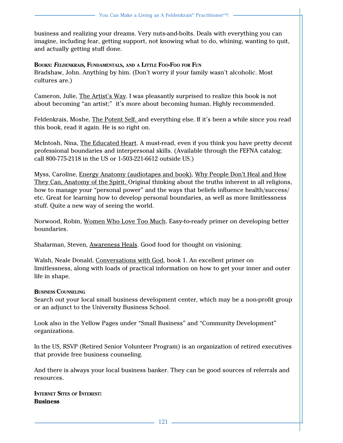business and realizing your dreams. Very nuts-and-bolts. Deals with everything you can imagine, including fear, getting support, not knowing what to do, whining, wanting to quit, and actually getting stuff done.

BOOKS: FELDENKRAIS, FUNDAMENTALS, AND <sup>A</sup> LITTLE FOO-FOO FOR FUN Bradshaw, John. Anything by him. (Don't worry if your family wasn't alcoholic. Most cultures are.)

Cameron, Julie, The Artist's Way. I was pleasantly surprised to realize this book is not about becoming "an artist;" it's more about becoming human. Highly recommended.

Feldenkrais, Moshe, The Potent Self. and everything else. If it's been a while since you read this book, read it again. He is so right on.

McIntosh, Nina, The Educated Heart. A must-read, even if you think you have pretty decent professional boundaries and interpersonal skills. (Available through the FEFNA catalog; call 800-775-2118 in the US or 1-503-221-6612 outside US.)

Myss, Caroline, Energy Anatomy (audiotapes and book), Why People Don't Heal and How They Can, Anatomy of the Spirit. Original thinking about the truths inherent in all religions, how to manage your "personal power" and the ways that beliefs influence health/success/ etc. Great for learning how to develop personal boundaries, as well as more limitlessness stuff. Quite a new way of seeing the world.

Norwood, Robin, Women Who Love Too Much. Easy-to-ready primer on developing better boundaries.

Shafarman, Steven, Awareness Heals. Good food for thought on visioning.

Walsh, Neale Donald, Conversations with God, book 1. An excellent primer on limitlessness, along with loads of practical information on how to get your inner and outer life in shape.

## BUSINESS COUNSELING

Search out your local small business development center, which may be a non-profit group or an adjunct to the University Business School.

Look also in the Yellow Pages under "Small Business" and "Community Development" organizations.

In the US, RSVP (Retired Senior Volunteer Program) is an organization of retired executives that provide free business counseling.

And there is always your local business banker. They can be good sources of referrals and resources.

INTERNET SITES OF INTEREST: Business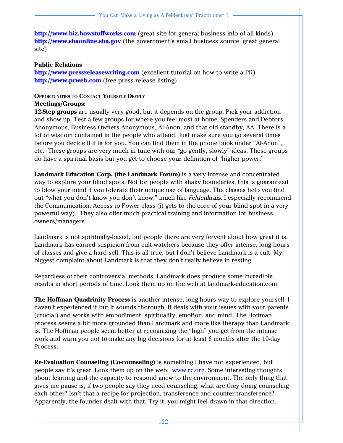<http://www.biz.howstuffworks.com> (great site for general business info of all kinds) <http://www.sbaonline.sba.gov> (the government's small business source, great general site)

#### Public Relations

<http://www.pressreleasewriting.com> (excellent tutorial on how to write a PR) <http://www.prweb.com> (free press release listing)

## OPPORTUNITIES TO CONTACT YOURSELF DEEPLY Meetings/Groups:

12-Step groups are usually very good, but it depends on the group. Pick your addiction and show up. Test a few groups for where you feel most at home. Spenders and Debtors Anonymous, Business Owners Anonymous, Al-Anon, and that old standby, AA. There is a lot of wisdom contained in the people who attend. Just make sure you go several times before you decide if it is for you. You can find them in the phone book under "Al-Anon", etc. These groups are very much in tune with our "go gently, slowly" ideas. These groups do have a spiritual basis but you get to choose your definition of "higher power."

Landmark Education Corp. (the Landmark Forum) is a very intense and concentrated way to explore your blind spots. Not for people with shaky boundaries, this is guaranteed to blow your mind if you tolerate their unique use of language. The classes help you find out "what you don't know you don't know," much like Feldenkrais. I especially recommend the Communication: Access to Power class (it gets to the core of your blind spot in a very powerful way). They also offer much practical training and information for business owners/managers.

Landmark is not spiritually-based, but people there are very fervent about how great it is. Landmark has earned suspicion from cult-watchers because they offer intense, long hours of classes and give a hard sell. This is all true, but I don't believe Landmark is a cult. My biggest complaint about Landmark is that they don't really believe in resting.

Regardless of their controversial methods, Landmark does produce some incredible results in short periods of time. Look them up on the web at landmark-education.com.

**The Hoffman Quadrinity Process** is another intense, long-hours way to explore yourself. I haven't experienced it but it sounds thorough. It deals with your issues with your parents (crucial) and works with embodiment, spirituality, emotion, and mind. The Hoffman process seems a bit more grounded than Landmark and more like therapy than Landmark is. The Hoffman people seem better at recognizing the "high" you get from the intense work and warn you not to make any big decisions for at least 6 months after the 10-day Process.

Re-Evaluation Counseling (Co-counseling) is something I have not experienced, but people say it's great. Look them up on the web, [www.rc.org](http://www.rc.org). Some interesting thoughts about learning and the capacity to respond anew to the environment. The only thing that gives me pause is, if two people say they need counseling, what are they doing counseling each other? Isn't that a recipe for projection, transference and counter-transference? Apparently, the founder dealt with that. Try it, you might feel drawn in that direction.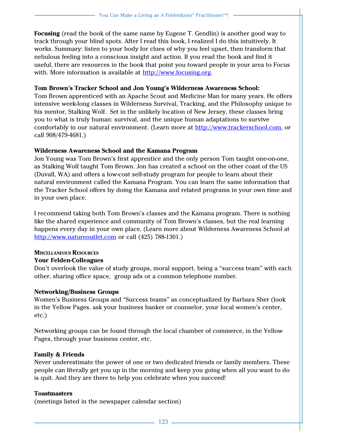Focusing (read the book of the same name by Eugene T. Gendlin) is another good way to track through your blind spots. After I read this book, I realized I do this intuitively. It works. Summary: listen to your body for clues of why you feel upset, then transform that nebulous feeling into a conscious insight and action. If you read the book and find it useful, there are resources in the book that point you toward people in your area to Focus with. More information is available at <http://www.focusing.org>.

#### Tom Brown's Tracker School and Jon Young's Wilderness Awareness School:

Tom Brown apprenticed with an Apache Scout and Medicine Man for many years. He offers intensive week-long classes in Wilderness Survival, Tracking, and the Philosophy unique to his mentor, Stalking Wolf. Set in the unlikely location of New Jersey, these classes bring you to what is truly human: survival, and the unique human adaptations to survive comfortably in our natural environment. (Learn more at [http://www.trackerschool.com,](http://www.trackerschool.com) or call 908/479-4681.)

## Wilderness Awareness School and the Kamana Program

Jon Young was Tom Brown's first apprentice and the only person Tom taught one-on-one, as Stalking Wolf taught Tom Brown. Jon has created a school on the other coast of the US (Duvall, WA) and offers a low-cost self-study program for people to learn about their natural environment called the Kamana Program. You can learn the same information that the Tracker School offers by doing the Kamana and related programs in your own time and in your own place.

I recommend taking both Tom Brown's classes and the Kamana program. There is nothing like the shared experience and community of Tom Brown's classes, but the real learning happens every day in your own place. (Learn more about Wilderness Awareness School at <http://www.natureoutlet.com> or call (425) 788-1301.)

## MISCELLANEOUS RESOURCES

## Your Felden-Colleagues

Don't overlook the value of study groups, moral support, being a "success team" with each other, sharing office space, group ads or a common telephone number.

## Networking/Business Groups

Women's Business Groups and "Success teams" as conceptualized by Barbara Sher (look in the Yellow Pages, ask your business banker or counselor, your local women's center, etc.)

Networking groups can be found through the local chamber of commerce, in the Yellow Pages, through your business center, etc.

#### Family & Friends

Never underestimate the power of one or two dedicated friends or family members. These people can literally get you up in the morning and keep you going when all you want to do is quit. And they are there to help you celebrate when you succeed!

## **Toastmasters**

(meetings listed in the newspaper calendar section)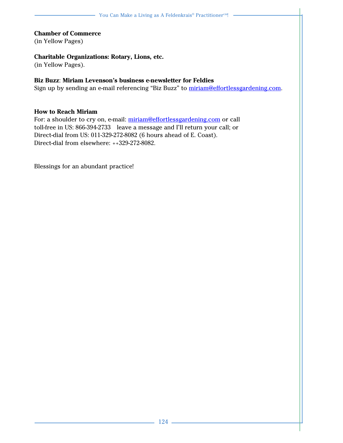# Chamber of Commerce

(in Yellow Pages)

## Charitable Organizations: Rotary, Lions, etc.

(in Yellow Pages).

## Biz Buzz: Miriam Levenson's business e-newsletter for Feldies

Sign up by sending an e-mail referencing "Biz Buzz" to [miriam@effortlessgardening.com.](mailto:miriam@effortlessgardening.com)

## How to Reach Miriam

For: a shoulder to cry on, e-mail: [miriam@effortlessgardening.com](mailto:miriam@effortlessgardening.com) or call toll-free in US: 866-394-2733…leave a message and I'll return your call; or Direct-dial from US: 011-329-272-8082 (6 hours ahead of E. Coast). Direct-dial from elsewhere: ++329-272-8082.

Blessings for an abundant practice!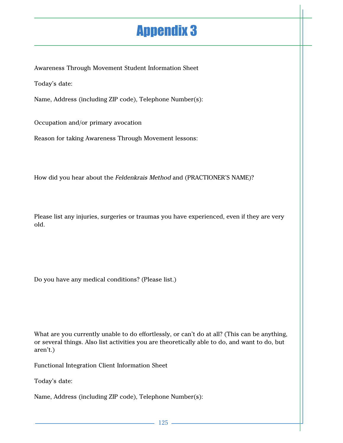# Appendix 3

Awareness Through Movement Student Information Sheet

Today's date:

Name, Address (including ZIP code), Telephone Number(s):

Occupation and/or primary avocation

Reason for taking Awareness Through Movement lessons:

How did you hear about the Feldenkrais Method and (PRACTIONER'S NAME)?

Please list any injuries, surgeries or traumas you have experienced, even if they are very old.

Do you have any medical conditions? (Please list.)

What are you currently unable to do effortlessly, or can't do at all? (This can be anything, or several things. Also list activities you are theoretically able to do, and want to do, but aren't.)

Functional Integration Client Information Sheet

Today's date:

Name, Address (including ZIP code), Telephone Number(s):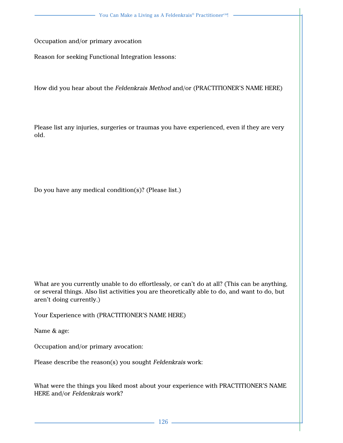Occupation and/or primary avocation

Reason for seeking Functional Integration lessons:

How did you hear about the Feldenkrais Method and/or (PRACTITIONER'S NAME HERE)

Please list any injuries, surgeries or traumas you have experienced, even if they are very old.

Do you have any medical condition(s)? (Please list.)

What are you currently unable to do effortlessly, or can't do at all? (This can be anything, or several things. Also list activities you are theoretically able to do, and want to do, but aren't doing currently.)

Your Experience with (PRACTITIONER'S NAME HERE)

Name & age:

Occupation and/or primary avocation:

Please describe the reason(s) you sought Feldenkrais work:

What were the things you liked most about your experience with PRACTITIONER'S NAME HERE and/or Feldenkrais work?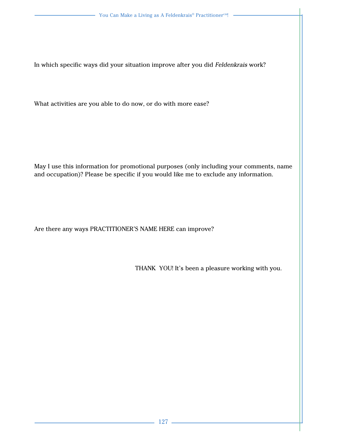In which specific ways did your situation improve after you did Feldenkrais work?

What activities are you able to do now, or do with more ease?

May I use this information for promotional purposes (only including your comments, name and occupation)? Please be specific if you would like me to exclude any information.

Are there any ways PRACTITIONER'S NAME HERE can improve?

THANK YOU! It's been a pleasure working with you.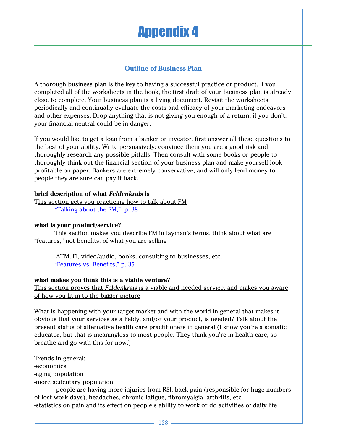# Appendix 4

# Outline of Business Plan

A thorough business plan is the key to having a successful practice or product. If you completed all of the worksheets in the book, the first draft of your business plan is already close to complete. Your business plan is a living document. Revisit the worksheets periodically and continually evaluate the costs and efficacy of your marketing endeavors and other expenses. Drop anything that is not giving you enough of a return: if you don't, your financial neutral could be in danger.

If you would like to get a loan from a banker or investor, first answer all these questions to the best of your ability. Write persuasively: convince them you are a good risk and thoroughly research any possible pitfalls. Then consult with some books or people to thoroughly think out the financial section of your business plan and make yourself look profitable on paper. Bankers are extremely conservative, and will only lend money to people they are sure can pay it back.

## brief description of what Feldenkrais is

This section gets you practicing how to talk about FM ["Talking about the FM," p. 38](#page-37-0)

## what is your product/service?

This section makes you describe FM in layman's terms, think about what are "features," not benefits, of what you are selling

-ATM, FI, video/audio, books, consulting to businesses, etc. ["Features vs. Benefits," p. 35](#page-34-0)

## what makes you think this is a viable venture?

This section proves that Feldenkrais is a viable and needed service, and makes you aware of how you fit in to the bigger picture

What is happening with your target market and with the world in general that makes it obvious that your services as a Feldy, and/or your product, is needed? Talk about the present status of alternative health care practitioners in general (I know you're a somatic educator, but that is meaningless to most people. They think you're in health care, so breathe and go with this for now.)

Trends in general; -economics -aging population -more sedentary population

-people are having more injuries from RSI, back pain (responsible for huge numbers of lost work days), headaches, chronic fatigue, fibromyalgia, arthritis, etc. -statistics on pain and its effect on people's ability to work or do activities of daily life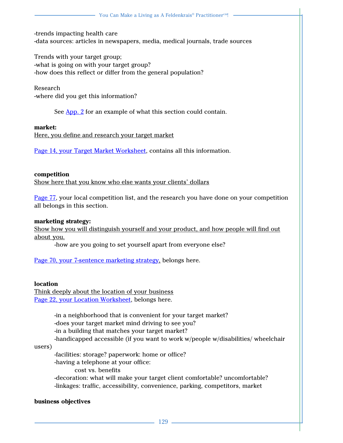-trends impacting health care -data sources: articles in newspapers, media, medical journals, trade sources

Trends with your target group; -what is going on with your target group? -how does this reflect or differ from the general population?

Research -where did you get this information?

See [App. 2](#page-119-0) for an example of what this section could contain.

## market:

Here, you define and research your target market

Page 14, your Target Market Worksheet, contains all this information.

## competition

Show here that you know who else wants your clients' dollars

[Page 77,](#page-76-0) your local competition list, and the research you have done on your competition all belongs in this section.

#### marketing strategy:

Show how you will distinguish yourself and your product, and how people will find out about you.

-how are you going to set yourself apart from everyone else?

[Page 70, your 7-sentence marketing strategy,](#page-69-0) belongs here.

## location

Think deeply about the location of your business [Page 22, your Location Worksheet,](#page-21-0) belongs here.

> -in a neighborhood that is convenient for your target market? -does your target market mind driving to see you? -in a building that matches your target market?

-handicapped accessible (if you want to work w/people w/disabilities/ wheelchair

#### users)

-facilities: storage? paperwork: home or office?

-having a telephone at your office:

cost vs. benefits

-decoration: what will make your target client comfortable? uncomfortable? -linkages: traffic, accessibility, convenience, parking, competitors, market

## business objectives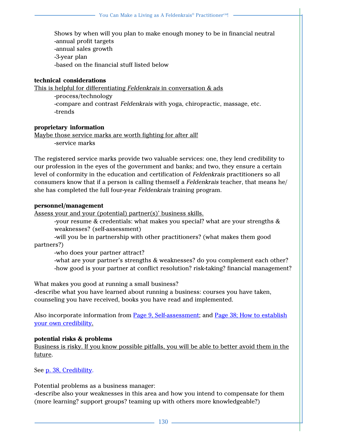Shows by when will you plan to make enough money to be in financial neutral -annual profit targets -annual sales growth -3-year plan -based on the financial stuff listed below

#### technical considerations

This is helpful for differentiating Feldenkrais in conversation & ads -process/technology -compare and contrast Feldenkrais with yoga, chiropractic, massage, etc. -trends

#### proprietary information

Maybe those service marks are worth fighting for after all! -service marks

The registered service marks provide two valuable services: one, they lend credibility to our profession in the eyes of the government and banks; and two, they ensure a certain level of conformity in the education and certification of Feldenkrais practitioners so all consumers know that if a person is calling themself a Feldenkrais teacher, that means he/ she has completed the full four-year Feldenkrais training program.

#### personnel/management

Assess your and your (potential) partner(s)' business skills.

-your resume & credentials: what makes you special? what are your strengths & weaknesses? (self-assessment)

-will you be in partnership with other practitioners? (what makes them good partners?)

-who does your partner attract?

-what are your partner's strengths & weaknesses? do you complement each other? -how good is your partner at conflict resolution? risk-taking? financial management?

What makes you good at running a small business?

-describe what you have learned about running a business: courses you have taken, counseling you have received, books you have read and implemented.

Also incorporate information from [Page 9, Self-assessment](#page-8-0); and [Page 38; How to establish](#page-37-0) [your own credibility.](#page-37-0)

#### potential risks & problems

Business is risky. If you know possible pitfalls, you will be able to better avoid them in the future.

See [p. 38, Credibility](#page-37-0).

Potential problems as a business manager:

-describe also your weaknesses in this area and how you intend to compensate for them (more learning? support groups? teaming up with others more knowledgeable?)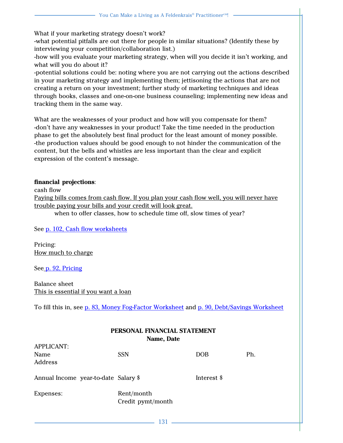What if your marketing strategy doesn't work?

-what potential pitfalls are out there for people in similar situations? (Identify these by interviewing your competition/collaboration list.)

-how will you evaluate your marketing strategy, when will you decide it isn't working, and what will you do about it?

-potential solutions could be: noting where you are not carrying out the actions described in your marketing strategy and implementing them; jettisoning the actions that are not creating a return on your investment; further study of marketing techniques and ideas through books, classes and one-on-one business counseling; implementing new ideas and tracking them in the same way.

What are the weaknesses of your product and how will you compensate for them? -don't have any weaknesses in your product! Take the time needed in the production phase to get the absolutely best final product for the least amount of money possible. -the production values should be good enough to not hinder the communication of the content, but the bells and whistles are less important than the clear and explicit expression of the content's message.

#### financial projections:

cash flow

Paying bills comes from cash flow. If you plan your cash flow well, you will never have trouble paying your bills and your credit will look great.

when to offer classes, how to schedule time off, slow times of year?

See [p. 102, Cash flow worksheets](#page-101-0)

Pricing: How much to charge

See [p. 92, Pricing](#page-93-0)

Balance sheet This is essential if you want a loan

To fill this in, see [p. 83, Money Fog-Factor Worksheet](#page-82-0) and [p. 90, Debt/Savings Worksheet](#page-89-0)

| PERSONAL FINANCIAL STATEMENT<br>Name, Date  |                                 |             |     |  |  |
|---------------------------------------------|---------------------------------|-------------|-----|--|--|
| <b>APPLICANT:</b><br><b>Name</b><br>Address | <b>SSN</b>                      | <b>DOB</b>  | Ph. |  |  |
| Annual Income year-to-date Salary \$        |                                 | Interest \$ |     |  |  |
| Expenses:                                   | Rent/month<br>Credit pymt/month |             |     |  |  |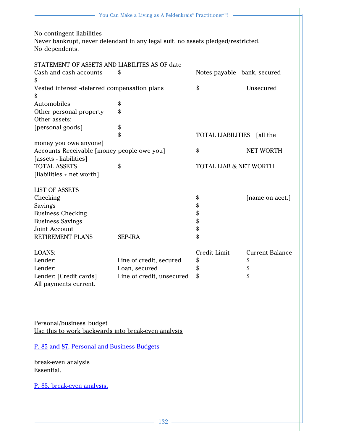| - You Can Make a Living as A Feldenkrais <sup>®</sup> Practitioner <sup>cm</sup> !                                              |                           |                                   |                        |  |  |
|---------------------------------------------------------------------------------------------------------------------------------|---------------------------|-----------------------------------|------------------------|--|--|
|                                                                                                                                 |                           |                                   |                        |  |  |
| No contingent liabilities<br>Never bankrupt, never defendant in any legal suit, no assets pledged/restricted.<br>No dependents. |                           |                                   |                        |  |  |
| STATEMENT OF ASSETS AND LIABILITES AS OF date                                                                                   |                           |                                   |                        |  |  |
| Cash and cash accounts<br>\$                                                                                                    | \$                        | Notes payable - bank, secured     |                        |  |  |
| Vested interest -deferred compensation plans<br>\$                                                                              |                           | \$                                | Unsecured              |  |  |
| Automobiles                                                                                                                     | \$                        |                                   |                        |  |  |
| Other personal property                                                                                                         | \$                        |                                   |                        |  |  |
| Other assets:                                                                                                                   |                           |                                   |                        |  |  |
| [personal goods]                                                                                                                | \$                        |                                   |                        |  |  |
|                                                                                                                                 | \$                        | TOTAL LIABILITIES [all the        |                        |  |  |
| money you owe anyone]                                                                                                           |                           |                                   |                        |  |  |
| Accounts Receivable [money people owe you]                                                                                      |                           | \$                                | <b>NET WORTH</b>       |  |  |
| [assets - liabilities]                                                                                                          |                           |                                   |                        |  |  |
| <b>TOTAL ASSETS</b>                                                                                                             | \$                        | <b>TOTAL LIAB &amp; NET WORTH</b> |                        |  |  |
| [liabilities $+$ net worth]                                                                                                     |                           |                                   |                        |  |  |
| <b>LIST OF ASSETS</b>                                                                                                           |                           |                                   |                        |  |  |
| Checking                                                                                                                        |                           | \$                                | [name on acct.]        |  |  |
| Savings                                                                                                                         |                           | \$                                |                        |  |  |
| <b>Business Checking</b>                                                                                                        |                           | \$                                |                        |  |  |
| <b>Business Savings</b>                                                                                                         |                           | \$                                |                        |  |  |
| Joint Account                                                                                                                   |                           | \$                                |                        |  |  |
| RETIREMENT PLANS                                                                                                                | <b>SEP-IRA</b>            | \$                                |                        |  |  |
| <b>LOANS:</b>                                                                                                                   |                           | <b>Credit Limit</b>               | <b>Current Balance</b> |  |  |
| Lender:                                                                                                                         | Line of credit, secured   | \$                                | \$                     |  |  |
| Lender:                                                                                                                         | Loan, secured             | \$                                | \$                     |  |  |
| Lender: [Credit cards]                                                                                                          | Line of credit, unsecured | \$                                | \$                     |  |  |
| All payments current.                                                                                                           |                           |                                   |                        |  |  |

Personal/business budget Use this to work backwards into break-even analysis

[P. 85](#page-84-0) and [87,](#page-86-0) Personal and Business Budgets

break-even analysis Essential.

[P. 85, break-even analysis.](#page-84-0)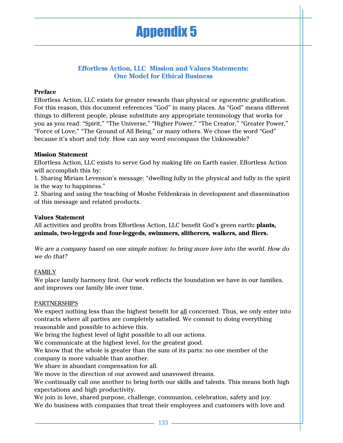# Appendix 5

# Effortless Action, LLC Mission and Values Statements: One Model for Ethical Business

## Preface

Effortless Action, LLC exists for greater rewards than physical or egocentric gratification. For this reason, this document references "God" in many places. As "God" means different things to different people, please substitute any appropriate terminology that works for you as you read: "Spirit," "The Universe," "Higher Power," "The Creator," "Greater Power," "Force of Love," "The Ground of All Being," or many others. We chose the word "God" because it's short and tidy. How can any word encompass the Unknowable?

## Mission Statement

Effortless Action, LLC exists to serve God by making life on Earth easier. Effortless Action will accomplish this by:

1. Sharing Miriam Levenson's message: "dwelling fully in the physical and fully in the spirit is the way to happiness."

2. Sharing and using the teaching of Moshe Feldenkrais in development and dissemination of this message and related products.

## Values Statement

All activities and profits from Effortless Action, LLC benefit God's green earth: plants, animals, two-leggeds and four-leggeds, swimmers, slitherers, walkers, and fliers.

We are a company based on one simple notion: to bring more love into the world. How do we do that?

## FAMILY

We place family harmony first. Our work reflects the foundation we have in our families, and improves our family life over time.

## PARTNERSHIPS

We expect nothing less than the highest benefit for all concerned. Thus, we only enter into contracts where all parties are completely satisfied. We commit to doing everything reasonable and possible to achieve this.

We bring the highest level of light possible to all our actions.

We communicate at the highest level, for the greatest good.

We know that the whole is greater than the sum of its parts: no one member of the company is more valuable than another.

We share in abundant compensation for all.

We move in the direction of our avowed and unavowed dreams.

We continually call one another to bring forth our skills and talents. This means both high expectations and high productivity.

We join in love, shared purpose, challenge, communion, celebration, safety and joy. We do business with companies that treat their employees and customers with love and